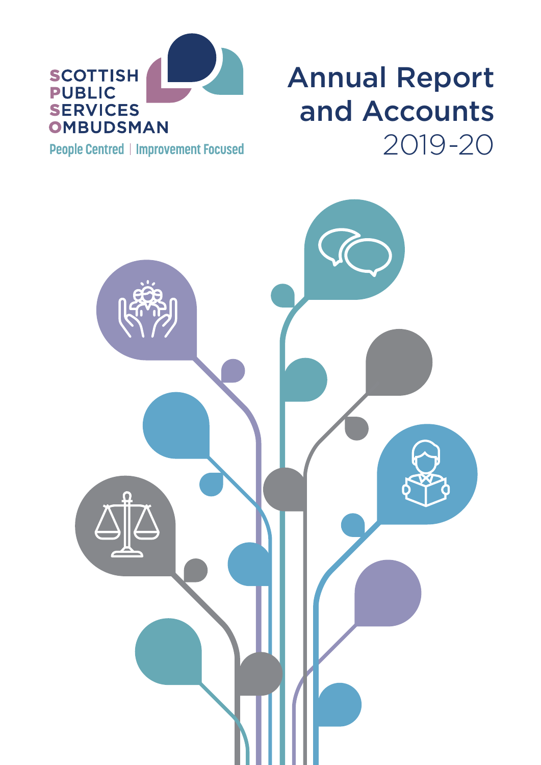

### Annual Report and Accounts 2019-20

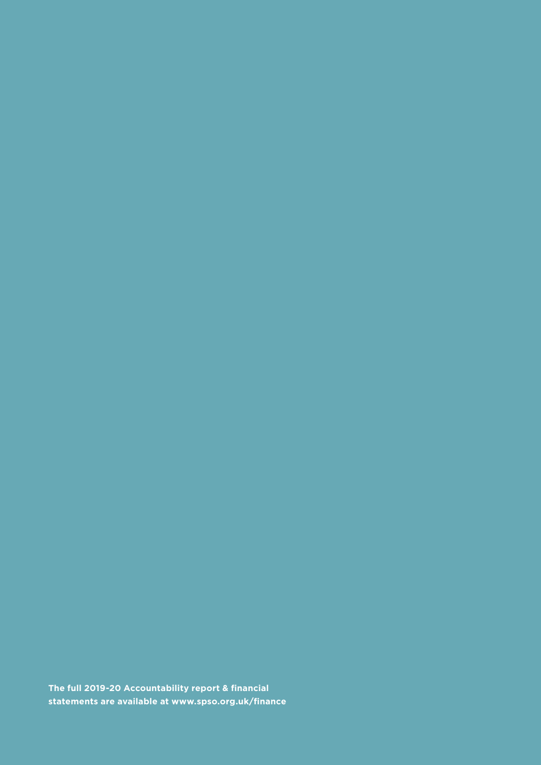**The full 2019-20 Accountability report & financial statements are available at [www.spso.org.uk/finance](http://www.spso.org.uk/finance)**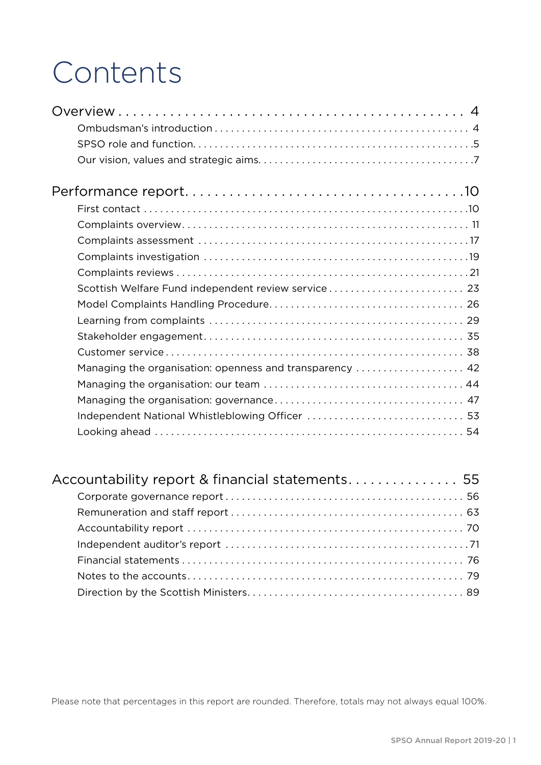### Contents

| Scottish Welfare Fund independent review service 23      |
|----------------------------------------------------------|
|                                                          |
|                                                          |
|                                                          |
|                                                          |
| Managing the organisation: openness and transparency  42 |
|                                                          |
|                                                          |
|                                                          |
|                                                          |

| Accountability report & financial statements 55 |  |
|-------------------------------------------------|--|
|                                                 |  |
|                                                 |  |
|                                                 |  |
|                                                 |  |
|                                                 |  |
|                                                 |  |
|                                                 |  |

Please note that percentages in this report are rounded. Therefore, totals may not always equal 100%.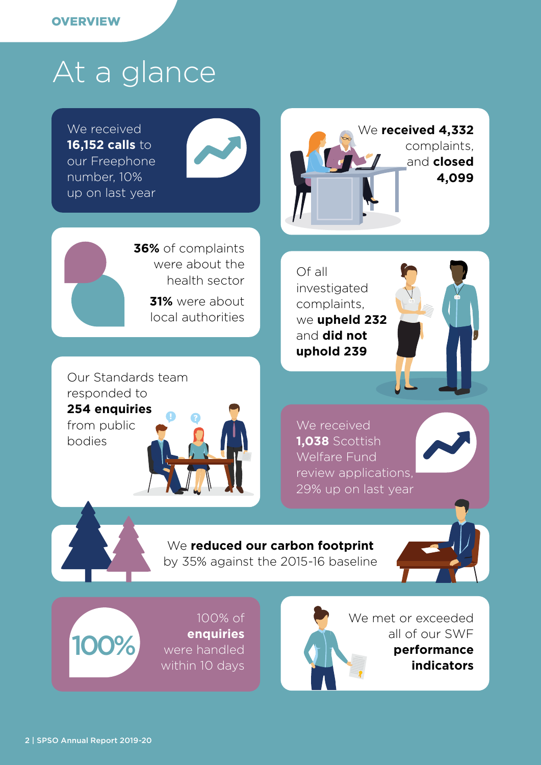### At a glance

We received **16,152 calls** to our Freephone number, 10% up on last year



We **received 4,332** complaints, and **closed 4,099**

**36%** of complaints were about the health sector **31%** were about

local authorities

Of all investigated complaints, we **upheld 232**  and **did not uphold 239**



Our Standards team responded to **254 enquiries** from public bodies







by 35% against the 2015-16 baseline



were handled within 10 days 100%

100% of **enquiries**  We met or exceeded all of our SWF **performance indicators**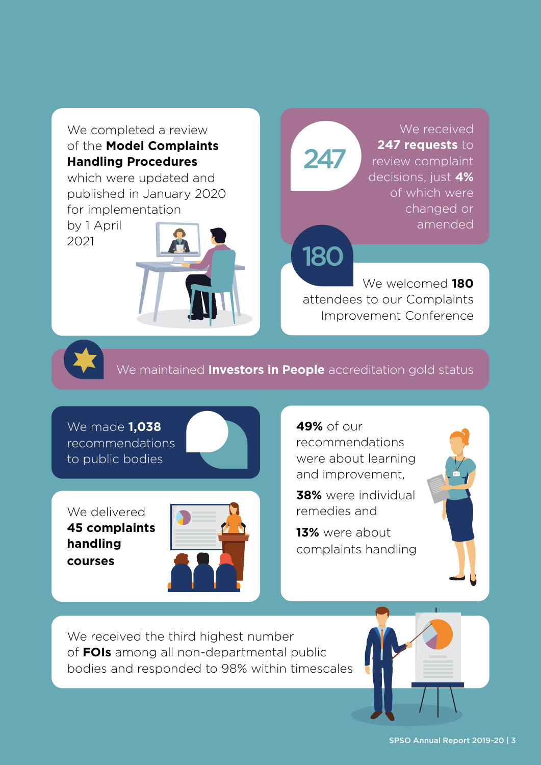### We completed a review of the **Model Complaints Handling Procedures**

which were updated and published in January 2020 for implementation

by 1 April 2021



# 247

180

We received **247 requests** to review complaint decisions, just **4%** of which were changed or amended

We welcomed **180**  attendees to our Complaints Improvement Conference



We maintained **Investors in People** accreditation gold status

We made **1,038** recommendations to public bodies

We delivered **45 complaints handling courses**



**49%** of our recommendations were about learning and improvement,

**38%** were individual remedies and

**13%** were about complaints handling



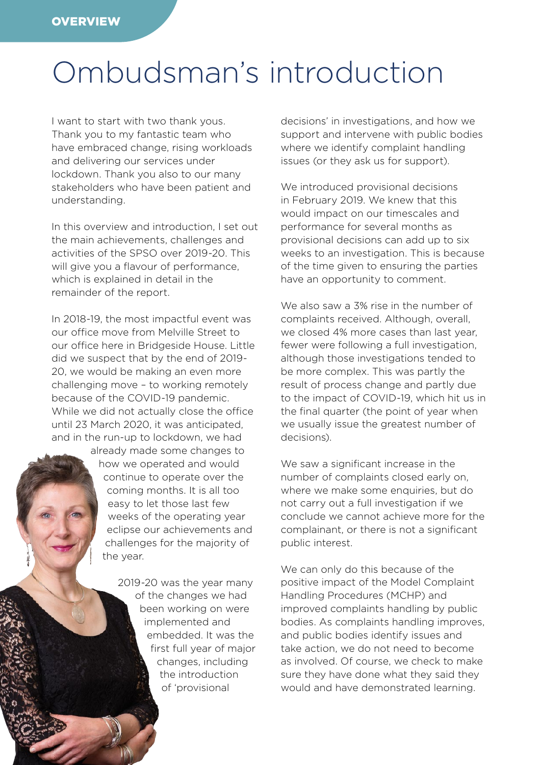### <span id="page-5-0"></span>Ombudsman's introduction

I want to start with two thank yous. Thank you to my fantastic team who have embraced change, rising workloads and delivering our services under lockdown. Thank you also to our many stakeholders who have been patient and understanding.

In this overview and introduction, I set out the main achievements, challenges and activities of the SPSO over 2019-20. This will give you a flavour of performance, which is explained in detail in the remainder of the report.

In 2018-19, the most impactful event was our office move from Melville Street to our office here in Bridgeside House. Little did we suspect that by the end of 2019- 20, we would be making an even more challenging move – to working remotely because of the COVID-19 pandemic. While we did not actually close the office until 23 March 2020, it was anticipated, and in the run-up to lockdown, we had

> already made some changes to how we operated and would continue to operate over the coming months. It is all too easy to let those last few weeks of the operating year eclipse our achievements and challenges for the majority of the year.

> > 2019-20 was the year many of the changes we had been working on were implemented and embedded. It was the first full year of major changes, including the introduction of 'provisional

 $\mathcal{L} = \mathcal{L} \cup \mathcal{L}$ 

decisions' in investigations, and how we support and intervene with public bodies where we identify complaint handling issues (or they ask us for support).

We introduced provisional decisions in February 2019. We knew that this would impact on our timescales and performance for several months as provisional decisions can add up to six weeks to an investigation. This is because of the time given to ensuring the parties have an opportunity to comment.

We also saw a 3% rise in the number of complaints received. Although, overall, we closed 4% more cases than last year, fewer were following a full investigation, although those investigations tended to be more complex. This was partly the result of process change and partly due to the impact of COVID-19, which hit us in the final quarter (the point of year when we usually issue the greatest number of decisions).

We saw a significant increase in the number of complaints closed early on, where we make some enquiries, but do not carry out a full investigation if we conclude we cannot achieve more for the complainant, or there is not a significant public interest.

We can only do this because of the positive impact of the Model Complaint Handling Procedures (MCHP) and improved complaints handling by public bodies. As complaints handling improves, and public bodies identify issues and take action, we do not need to become as involved. Of course, we check to make sure they have done what they said they would and have demonstrated learning.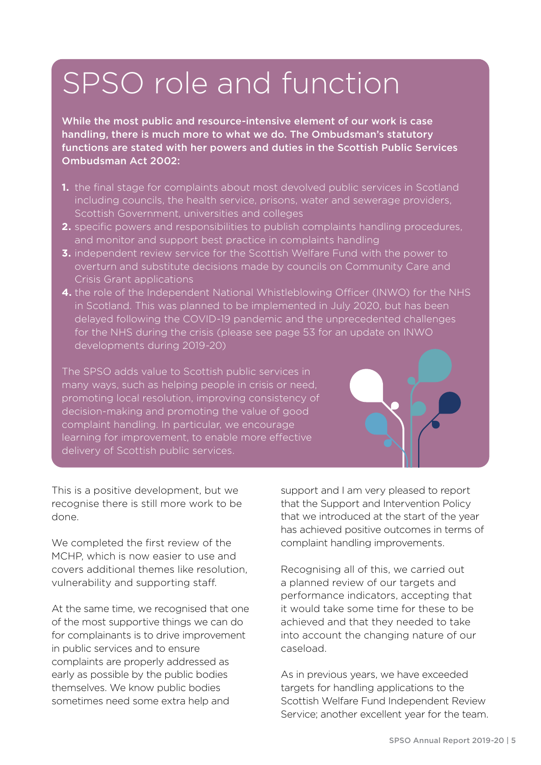### <span id="page-6-0"></span>SPSO role and function

While the most public and resource-intensive element of our work is case handling, there is much more to what we do. The Ombudsman's statutory functions are stated with her powers and duties in the Scottish Public Services Ombudsman Act 2002:

- **1.** the final stage for complaints about most devolved public services in Scotland including councils, the health service, prisons, water and sewerage providers, Scottish Government, universities and colleges
- **2.** specific powers and responsibilities to publish complaints handling procedures, and monitor and support best practice in complaints handling
- **3.** independent review service for the Scottish Welfare Fund with the power to overturn and substitute decisions made by councils on Community Care and Crisis Grant applications
- **4.** the role of the Independent National Whistleblowing Officer (INWO) for the NHS in Scotland. This was planned to be implemented in July 2020, but has been delayed following the COVID-19 pandemic and the unprecedented challenges for the NHS during the crisis (please see page 53 for an update on INWO developments during 2019-20)

The SPSO adds value to Scottish public services in many ways, such as helping people in crisis or need, promoting local resolution, improving consistency of decision-making and promoting the value of good complaint handling. In particular, we encourage learning for improvement, to enable more effective delivery of Scottish public services.

This is a positive development, but we recognise there is still more work to be done.

We completed the first review of the MCHP, which is now easier to use and covers additional themes like resolution, vulnerability and supporting staff.

At the same time, we recognised that one of the most supportive things we can do for complainants is to drive improvement in public services and to ensure complaints are properly addressed as early as possible by the public bodies themselves. We know public bodies sometimes need some extra help and

support and I am very pleased to report that the Support and Intervention Policy that we introduced at the start of the year has achieved positive outcomes in terms of complaint handling improvements.

Recognising all of this, we carried out a planned review of our targets and performance indicators, accepting that it would take some time for these to be achieved and that they needed to take into account the changing nature of our caseload.

As in previous years, we have exceeded targets for handling applications to the Scottish Welfare Fund Independent Review Service; another excellent year for the team.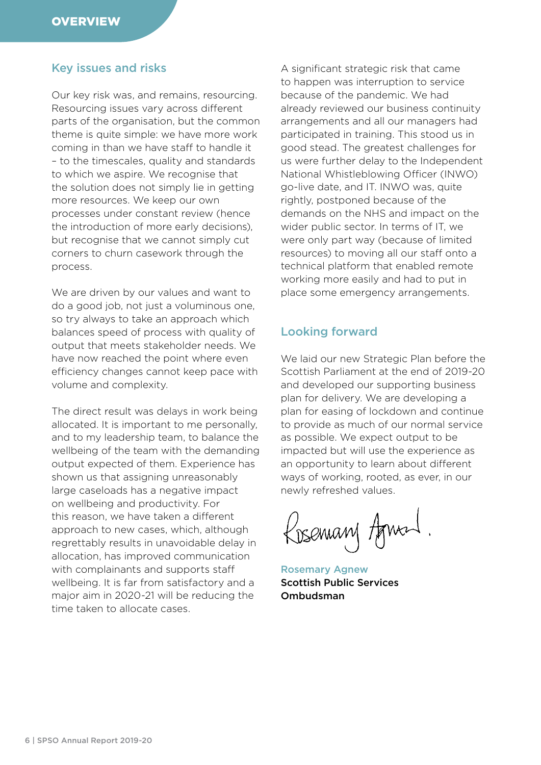### Key issues and risks

Our key risk was, and remains, resourcing. Resourcing issues vary across different parts of the organisation, but the common theme is quite simple: we have more work coming in than we have staff to handle it – to the timescales, quality and standards to which we aspire. We recognise that the solution does not simply lie in getting more resources. We keep our own processes under constant review (hence the introduction of more early decisions), but recognise that we cannot simply cut corners to churn casework through the process.

We are driven by our values and want to do a good job, not just a voluminous one, so try always to take an approach which balances speed of process with quality of output that meets stakeholder needs. We have now reached the point where even efficiency changes cannot keep pace with volume and complexity.

The direct result was delays in work being allocated. It is important to me personally, and to my leadership team, to balance the wellbeing of the team with the demanding output expected of them. Experience has shown us that assigning unreasonably large caseloads has a negative impact on wellbeing and productivity. For this reason, we have taken a different approach to new cases, which, although regrettably results in unavoidable delay in allocation, has improved communication with complainants and supports staff wellbeing. It is far from satisfactory and a major aim in 2020-21 will be reducing the time taken to allocate cases.

A significant strategic risk that came to happen was interruption to service because of the pandemic. We had already reviewed our business continuity arrangements and all our managers had participated in training. This stood us in good stead. The greatest challenges for us were further delay to the Independent National Whistleblowing Officer (INWO) go-live date, and IT. INWO was, quite rightly, postponed because of the demands on the NHS and impact on the wider public sector. In terms of IT, we were only part way (because of limited resources) to moving all our staff onto a technical platform that enabled remote working more easily and had to put in place some emergency arrangements.

#### Looking forward

We laid our new Strategic Plan before the Scottish Parliament at the end of 2019-20 and developed our supporting business plan for delivery. We are developing a plan for easing of lockdown and continue to provide as much of our normal service as possible. We expect output to be impacted but will use the experience as an opportunity to learn about different ways of working, rooted, as ever, in our newly refreshed values.

Rosemany Agneed

Rosemary Agnew Scottish Public Services Ombudsman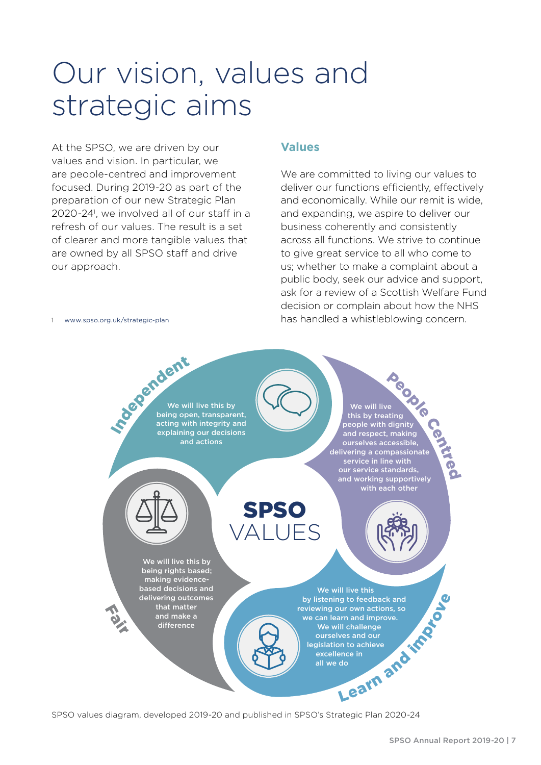### <span id="page-8-0"></span>Our vision, values and strategic aims

At the SPSO, we are driven by our values and vision. In particular, we are people-centred and improvement focused. During 2019-20 as part of the preparation of our new Strategic Plan 2020-241 , we involved all of our staff in a refresh of our values. The result is a set of clearer and more tangible values that are owned by all SPSO staff and drive our approach.

1 [www.spso.org.uk/strategic-plan](http://www.spso.org.uk/strategic-plan)

### **Values**

We are committed to living our values to deliver our functions efficiently, effectively and economically. While our remit is wide, and expanding, we aspire to deliver our business coherently and consistently across all functions. We strive to continue to give great service to all who come to us; whether to make a complaint about a public body, seek our advice and support, ask for a review of a Scottish Welfare Fund decision or complain about how the NHS has handled a whistleblowing concern.



SPSO values diagram, developed 2019-20 and published in SPSO's Strategic Plan 2020-24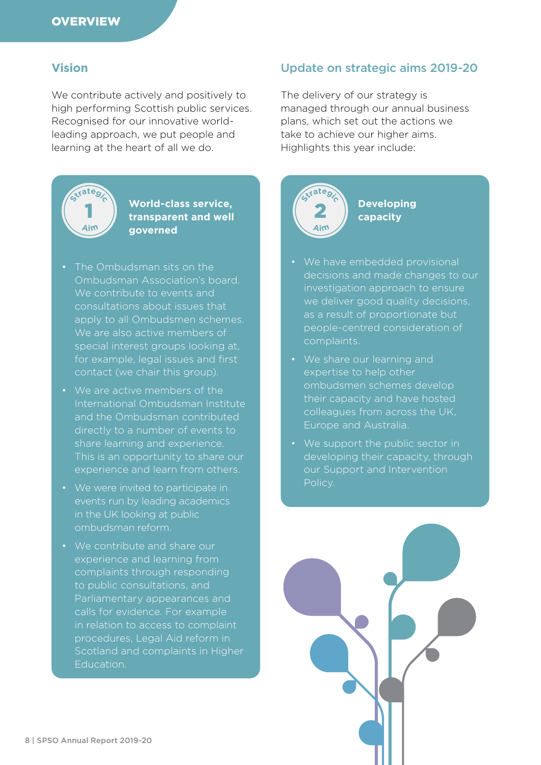### **Vision**

We contribute actively and positively to high performing Scottish public services. Recognised for our innovative worldleading approach, we put people and learning at the heart of all we do.



#### **World-class service, transparent and well governed**

- The Ombudsman sits on the Ombudsman Association's board. We contribute to events and consultations about issues that apply to all Ombudsmen schemes. We are also active members of special interest groups looking at, for example, legal issues and first contact (we chair this group).
- We are active members of the International Ombudsman Institute and the Ombudsman contributed directly to a number of events to share learning and experience. This is an opportunity to share our experience and learn from others.
- We were invited to participate in events run by leading academics in the UK looking at public ombudsman reform.
- We contribute and share our experience and learning from complaints through responding to public consultations, and Parliamentary appearances and calls for evidence. For example in relation to access to complaint procedures, Legal Aid reform in Scotland and complaints in Higher Education.

### Update on strategic aims 2019-20

The delivery of our strategy is managed through our annual business plans, which set out the actions we take to achieve our higher aims. Highlights this year include:



**Developing capacity**

- We have embedded provisional decisions and made changes to our investigation approach to ensure we deliver good quality decisions. as a result of proportionate but people-centred consideration of complaints.
- We share our learning and expertise to help other ombudsmen schemes develop their capacity and have hosted colleagues from across the UK, Europe and Australia.
- We support the public sector in developing their capacity, through our Support and Intervention Policy.

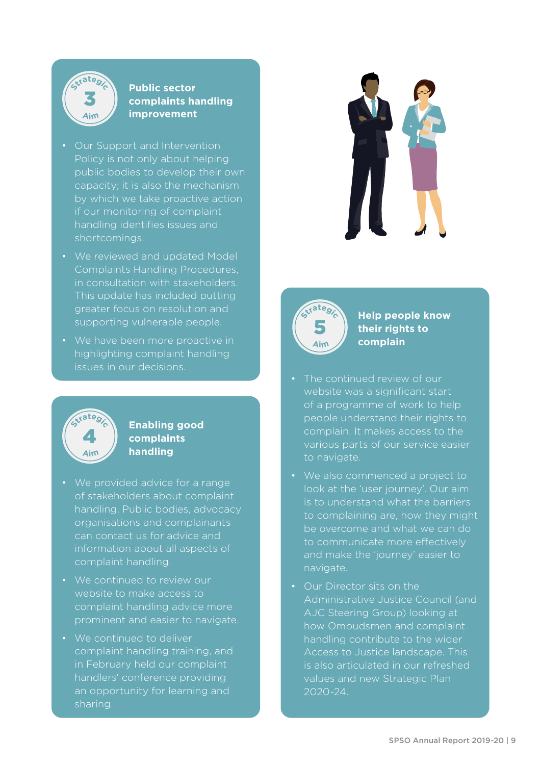

### **Public sector complaints handling improvement**

- Our Support and Intervention Policy is not only about helping public bodies to develop their own capacity; it is also the mechanism by which we take proactive action if our monitoring of complaint handling identifies issues and shortcomings.
- We reviewed and updated Model Complaints Handling Procedures, in consultation with stakeholders. This update has included putting greater focus on resolution and supporting vulnerable people.
- We have been more proactive in highlighting complaint handling issues in our decisions.



### **Enabling good complaints handling**

- We provided advice for a range of stakeholders about complaint handling. Public bodies, advocacy organisations and complainants can contact us for advice and information about all aspects of complaint handling.
- We continued to review our website to make access to complaint handling advice more prominent and easier to navigate.
- We continued to deliver complaint handling training, and in February held our complaint handlers' conference providing an opportunity for learning and sharing.





**Help people know their rights to complain**

- The continued review of our website was a significant start of a programme of work to help people understand their rights to complain. It makes access to the to navigate.
- We also commenced a project to look at the 'user journey'. Our aim is to understand what the barriers to complaining are, how they might be overcome and what we can do to communicate more effectively and make the 'journey' easier to navigate.
- Our Director sits on the Administrative Justice Council (and AJC Steering Group) looking at how Ombudsmen and complaint handling contribute to the wider Access to Justice landscape. This is also articulated in our refreshed values and new Strategic Plan 2020-24.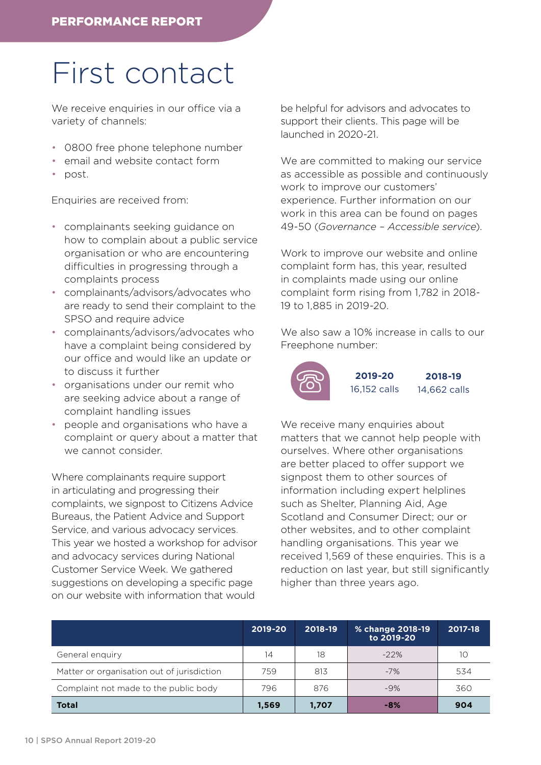### <span id="page-11-0"></span>First contact

We receive enquiries in our office via a variety of channels:

- 0800 free phone telephone number
- email and website contact form
- post.

Enquiries are received from:

- complainants seeking guidance on how to complain about a public service organisation or who are encountering difficulties in progressing through a complaints process
- complainants/advisors/advocates who are ready to send their complaint to the SPSO and require advice
- complainants/advisors/advocates who have a complaint being considered by our office and would like an update or to discuss it further
- organisations under our remit who are seeking advice about a range of complaint handling issues
- people and organisations who have a complaint or query about a matter that we cannot consider.

Where complainants require support in articulating and progressing their complaints, we signpost to Citizens Advice Bureaus, the Patient Advice and Support Service, and various advocacy services. This year we hosted a workshop for advisor and advocacy services during National Customer Service Week. We gathered suggestions on developing a specific page on our website with information that would

be helpful for advisors and advocates to support their clients. This page will be launched in 2020-21.

We are committed to making our service as accessible as possible and continuously work to improve our customers' experience. Further information on our work in this area can be found on pages 49-50 (*Governance – Accessible service*).

Work to improve our website and online complaint form has, this year, resulted in complaints made using our online complaint form rising from 1,782 in 2018- 19 to 1,885 in 2019-20.

We also saw a 10% increase in calls to our Freephone number:



We receive many enquiries about matters that we cannot help people with ourselves. Where other organisations are better placed to offer support we signpost them to other sources of information including expert helplines such as Shelter, Planning Aid, Age Scotland and Consumer Direct; our or other websites, and to other complaint handling organisations. This year we received 1,569 of these enquiries. This is a reduction on last year, but still significantly higher than three years ago.

|                                            | 2019-20 | 2018-19 | % change 2018-19<br>to 2019-20 | 2017-18 |
|--------------------------------------------|---------|---------|--------------------------------|---------|
| General enquiry                            | 14      | 18      | $-22%$                         | 10      |
| Matter or organisation out of jurisdiction | 759     | 813     | $-7%$                          | 534     |
| Complaint not made to the public body      | 796     | 876     | $-9%$                          | 360     |
| <b>Total</b>                               | 1,569   | 1,707   | -8%                            | 904     |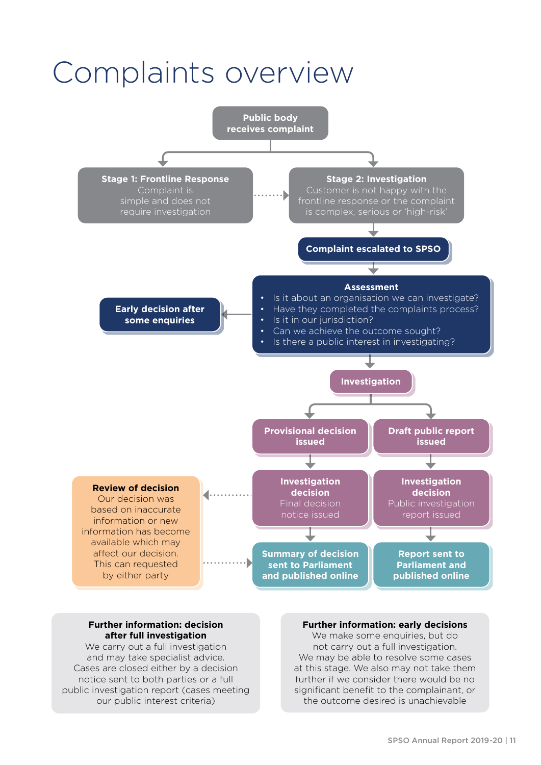### <span id="page-12-0"></span>Complaints overview



#### **Further information: decision after full investigation**

We carry out a full investigation and may take specialist advice. Cases are closed either by a decision notice sent to both parties or a full public investigation report (cases meeting our public interest criteria)

#### **Further information: early decisions**

We make some enquiries, but do not carry out a full investigation. We may be able to resolve some cases at this stage. We also may not take them further if we consider there would be no significant benefit to the complainant, or the outcome desired is unachievable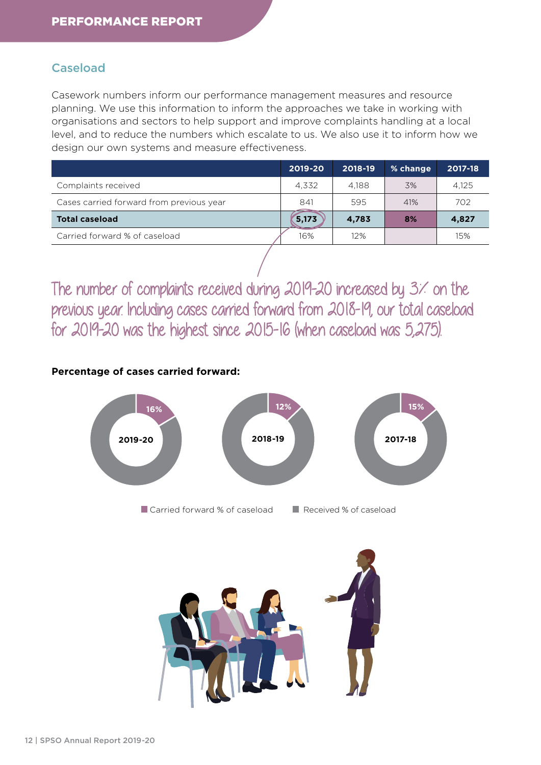### Caseload

Casework numbers inform our performance management measures and resource planning. We use this information to inform the approaches we take in working with organisations and sectors to help support and improve complaints handling at a local level, and to reduce the numbers which escalate to us. We also use it to inform how we design our own systems and measure effectiveness.

|                                          | 2019-20 | 2018-19 | % change | 2017-18 |
|------------------------------------------|---------|---------|----------|---------|
| Complaints received                      | 4.332   | 4.188   | 3%       | 4.125   |
| Cases carried forward from previous year | 841     | 595     | 41%      | 702     |
| <b>Total caseload</b>                    | 5,173   | 4,783   | 8%       | 4,827   |
| Carried forward % of caseload            | 16%     | 12%     |          | 15%     |
|                                          |         |         |          |         |

The number of complaints received during 2019-20 increased by 3% on the previous year. Including cases carried forward from 2018-19, our total caseload for 2019-20 was the highest since 2015-16 (when caseload was 5,275).

### **Percentage of cases carried forward:**



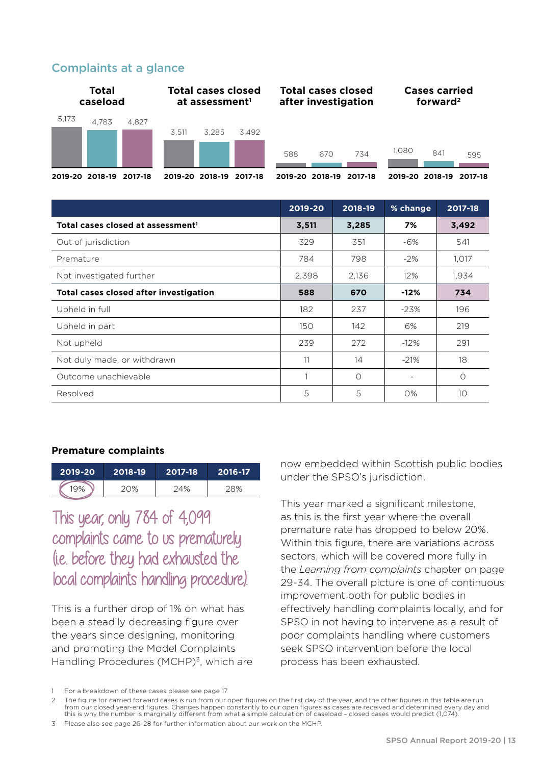### Complaints at a glance



|                                               | 2019-20 | 2018-19  | % change                 | 2017-18  |
|-----------------------------------------------|---------|----------|--------------------------|----------|
| Total cases closed at assessment <sup>1</sup> | 3,511   | 3,285    | 7%                       | 3,492    |
| Out of jurisdiction                           | 329     | 351      | -6%                      | 541      |
| Premature                                     | 784     | 798      | $-2\%$                   | 1,017    |
| Not investigated further                      | 2,398   | 2,136    | 12%                      | 1,934    |
| Total cases closed after investigation        | 588     | 670      | $-12%$                   | 734      |
| Upheld in full                                | 182     | 237      | $-23%$                   | 196      |
| Upheld in part                                | 150     | 142      | 6%                       | 219      |
| Not upheld                                    | 239     | 272      | $-12\%$                  | 291      |
| Not duly made, or withdrawn                   | 11      | 14       | $-21%$                   | 18       |
| Outcome unachievable                          |         | $\Omega$ | $\overline{\phantom{a}}$ | $\Omega$ |
| Resolved                                      | 5       | 5        | O%                       | 10       |

#### **Premature complaints**

| 2019-20 | 2018-19 | 2017-18 | 2016-17 |
|---------|---------|---------|---------|
|         | $(1)$ % | ገ4%     |         |

This year, only 784 of 4,099 complaints came to us prematurely (i.e. before they had exhausted the local complaints handling procedure).

This is a further drop of 1% on what has been a steadily decreasing figure over the years since designing, monitoring and promoting the Model Complaints Handling Procedures (MCHP)<sup>3</sup>, which are

now embedded within Scottish public bodies under the SPSO's jurisdiction.

This year marked a significant milestone, as this is the first year where the overall premature rate has dropped to below 20%. Within this figure, there are variations across sectors, which will be covered more fully in the *Learning from complaints* chapter on page 29-34. The overall picture is one of continuous improvement both for public bodies in effectively handling complaints locally, and for SPSO in not having to intervene as a result of poor complaints handling where customers seek SPSO intervention before the local process has been exhausted.

<sup>1</sup> For a breakdown of these cases please see page 17

<sup>2</sup> The figure for carried forward cases is run from our open figures on the first day of the year, and the other figures in this table are run from our closed year-end figures. Changes happen constantly to our open figures as cases are received and determined every day and this is why the number is marginally different from what a simple calculation of caseload – closed cases would predict (1,074).

<sup>3</sup> Please also see page 26-28 for further information about our work on the MCHP.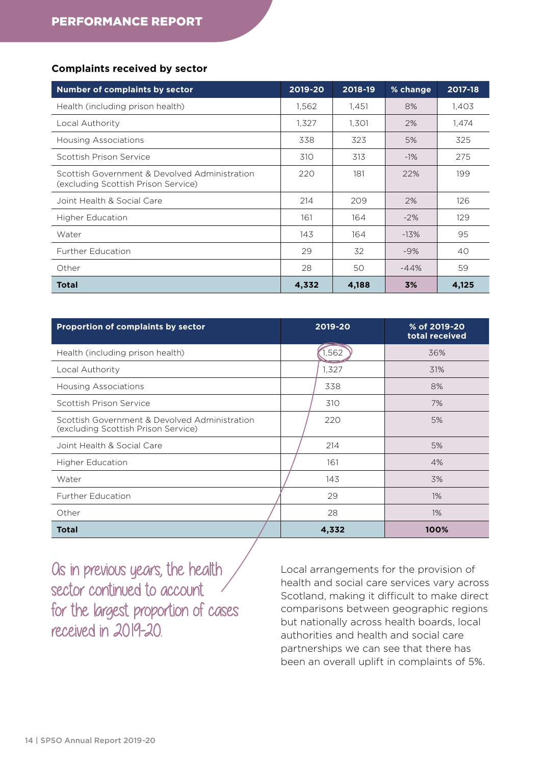#### **Complaints received by sector**

| <b>Number of complaints by sector</b>                                                | 2019-20 | 2018-19 | % change | 2017-18 |
|--------------------------------------------------------------------------------------|---------|---------|----------|---------|
| Health (including prison health)                                                     | 1,562   | 1,451   | 8%       | 1,403   |
| Local Authority                                                                      | 1,327   | 1,301   | 2%       | 1,474   |
| Housing Associations                                                                 | 338     | 323     | 5%       | 325     |
| Scottish Prison Service                                                              | 310     | 313     | $-1\%$   | 275     |
| Scottish Government & Devolved Administration<br>(excluding Scottish Prison Service) | 220     | 181     | 22%      | 199     |
| Joint Health & Social Care                                                           | 214     | 209     | 2%       | 126     |
| <b>Higher Education</b>                                                              | 161     | 164     | $-2%$    | 129     |
| Water                                                                                | 143     | 164     | $-13%$   | 95      |
| <b>Further Education</b>                                                             | 29      | 32      | $-9%$    | 40      |
| Other                                                                                | 28      | 50      | $-44%$   | 59      |
| <b>Total</b>                                                                         | 4,332   | 4,188   | 3%       | 4,125   |

| <b>Proportion of complaints by sector</b>                                            | 2019-20 | % of 2019-20<br>total received |
|--------------------------------------------------------------------------------------|---------|--------------------------------|
| Health (including prison health)                                                     | .562    | 36%                            |
| Local Authority                                                                      | 1,327   | 31%                            |
| Housing Associations                                                                 | 338     | 8%                             |
| Scottish Prison Service                                                              | 310     | 7%                             |
| Scottish Government & Devolved Administration<br>(excluding Scottish Prison Service) | 220     | 5%                             |
| Joint Health & Social Care                                                           | 214     | 5%                             |
| <b>Higher Education</b>                                                              | 161     | 4%                             |
| Water                                                                                | 143     | 3%                             |
| <b>Further Education</b>                                                             | 29      | $1\%$                          |
| Other                                                                                | 28      | $1\%$                          |
| <b>Total</b>                                                                         | 4,332   | 100%                           |

Os in previous years, the health sector continued to account for the largest proportion of cases received in 2019-20.

Local arrangements for the provision of health and social care services vary across Scotland, making it difficult to make direct comparisons between geographic regions but nationally across health boards, local authorities and health and social care partnerships we can see that there has been an overall uplift in complaints of 5%.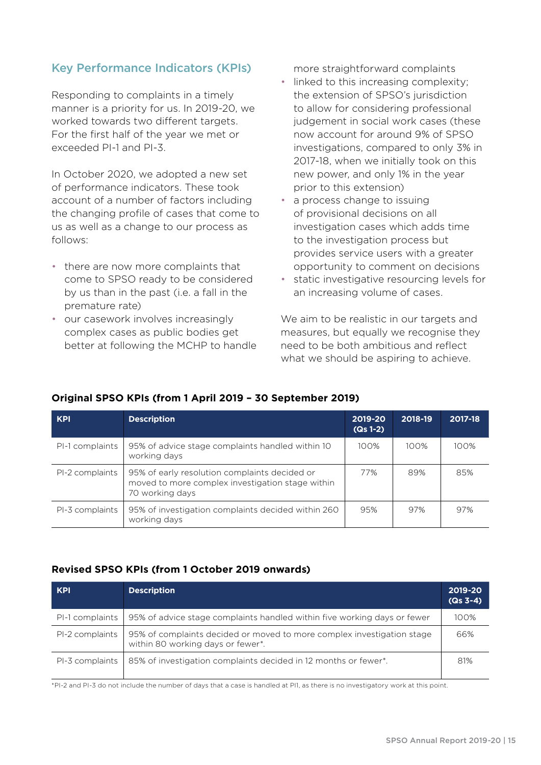### Key Performance Indicators (KPIs)

Responding to complaints in a timely manner is a priority for us. In 2019-20, we worked towards two different targets. For the first half of the year we met or exceeded PI-1 and PI-3.

In October 2020, we adopted a new set of performance indicators. These took account of a number of factors including the changing profile of cases that come to us as well as a change to our process as follows:

- there are now more complaints that come to SPSO ready to be considered by us than in the past (i.e. a fall in the premature rate)
- our casework involves increasingly complex cases as public bodies get better at following the MCHP to handle

more straightforward complaints

- linked to this increasing complexity; the extension of SPSO's jurisdiction to allow for considering professional judgement in social work cases (these now account for around 9% of SPSO investigations, compared to only 3% in 2017-18, when we initially took on this new power, and only 1% in the year prior to this extension)
- a process change to issuing of provisional decisions on all investigation cases which adds time to the investigation process but provides service users with a greater opportunity to comment on decisions
- static investigative resourcing levels for an increasing volume of cases.

We aim to be realistic in our targets and measures, but equally we recognise they need to be both ambitious and reflect what we should be aspiring to achieve.

### **Original SPSO KPIs (from 1 April 2019 – 30 September 2019)**

| <b>KPI</b>      | <b>Description</b>                                                                                                   | 2019-20<br>$(Qs 1-2)$ | 2018-19 | 2017-18 |
|-----------------|----------------------------------------------------------------------------------------------------------------------|-----------------------|---------|---------|
| PI-1 complaints | 95% of advice stage complaints handled within 10<br>working days                                                     | 100%                  | 100%    | 100%    |
| PI-2 complaints | 95% of early resolution complaints decided or<br>moved to more complex investigation stage within<br>70 working days | 77%                   | 89%     | 85%     |
| PI-3 complaints | 95% of investigation complaints decided within 260<br>working days                                                   | 95%                   | 97%     | 97%     |

#### **Revised SPSO KPIs (from 1 October 2019 onwards)**

| <b>KPI</b>      | <b>Description</b>                                                                                          | 2019-20<br>$(Qs 3-4)$ |
|-----------------|-------------------------------------------------------------------------------------------------------------|-----------------------|
| PI-1 complaints | 95% of advice stage complaints handled within five working days or fewer                                    | 100%                  |
| PI-2 complaints | 95% of complaints decided or moved to more complex investigation stage<br>within 80 working days or fewer*. | 66%                   |
| PI-3 complaints | 85% of investigation complaints decided in 12 months or fewer*.                                             | 81%                   |

\*PI-2 and PI-3 do not include the number of days that a case is handled at PI1, as there is no investigatory work at this point.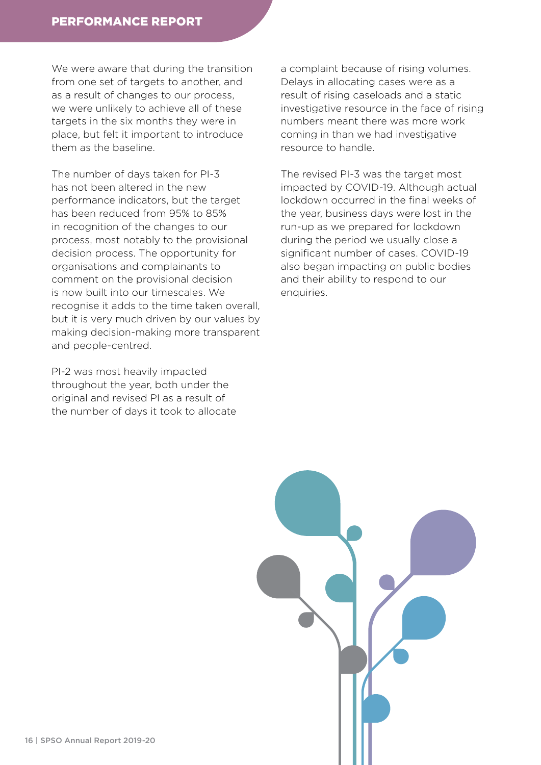We were aware that during the transition from one set of targets to another, and as a result of changes to our process, we were unlikely to achieve all of these targets in the six months they were in place, but felt it important to introduce them as the baseline.

The number of days taken for PI-3 has not been altered in the new performance indicators, but the target has been reduced from 95% to 85% in recognition of the changes to our process, most notably to the provisional decision process. The opportunity for organisations and complainants to comment on the provisional decision is now built into our timescales. We recognise it adds to the time taken overall, but it is very much driven by our values by making decision-making more transparent and people-centred.

PI-2 was most heavily impacted throughout the year, both under the original and revised PI as a result of the number of days it took to allocate a complaint because of rising volumes. Delays in allocating cases were as a result of rising caseloads and a static investigative resource in the face of rising numbers meant there was more work coming in than we had investigative resource to handle.

The revised PI-3 was the target most impacted by COVID-19. Although actual lockdown occurred in the final weeks of the year, business days were lost in the run-up as we prepared for lockdown during the period we usually close a significant number of cases. COVID-19 also began impacting on public bodies and their ability to respond to our enquiries.

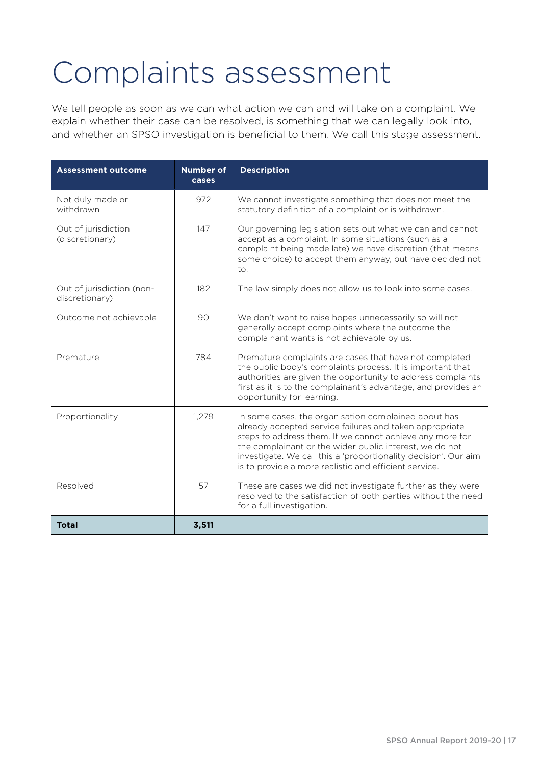### <span id="page-18-0"></span>Complaints assessment

We tell people as soon as we can what action we can and will take on a complaint. We explain whether their case can be resolved, is something that we can legally look into, and whether an SPSO investigation is beneficial to them. We call this stage assessment.

| <b>Assessment outcome</b>                   | <b>Number of</b><br>cases | <b>Description</b>                                                                                                                                                                                                                                                                                                                                                 |
|---------------------------------------------|---------------------------|--------------------------------------------------------------------------------------------------------------------------------------------------------------------------------------------------------------------------------------------------------------------------------------------------------------------------------------------------------------------|
| Not duly made or<br>withdrawn               | 972                       | We cannot investigate something that does not meet the<br>statutory definition of a complaint or is withdrawn.                                                                                                                                                                                                                                                     |
| Out of jurisdiction<br>(discretionary)      | 147                       | Our governing legislation sets out what we can and cannot<br>accept as a complaint. In some situations (such as a<br>complaint being made late) we have discretion (that means<br>some choice) to accept them anyway, but have decided not<br>to.                                                                                                                  |
| Out of jurisdiction (non-<br>discretionary) | 182                       | The law simply does not allow us to look into some cases.                                                                                                                                                                                                                                                                                                          |
| Outcome not achievable                      | 90                        | We don't want to raise hopes unnecessarily so will not<br>generally accept complaints where the outcome the<br>complainant wants is not achievable by us.                                                                                                                                                                                                          |
| Premature                                   | 784                       | Premature complaints are cases that have not completed<br>the public body's complaints process. It is important that<br>authorities are given the opportunity to address complaints<br>first as it is to the complainant's advantage, and provides an<br>opportunity for learning.                                                                                 |
| Proportionality                             | 1,279                     | In some cases, the organisation complained about has<br>already accepted service failures and taken appropriate<br>steps to address them. If we cannot achieve any more for<br>the complainant or the wider public interest, we do not<br>investigate. We call this a 'proportionality decision'. Our aim<br>is to provide a more realistic and efficient service. |
| Resolved                                    | 57                        | These are cases we did not investigate further as they were<br>resolved to the satisfaction of both parties without the need<br>for a full investigation.                                                                                                                                                                                                          |
| <b>Total</b>                                | 3,511                     |                                                                                                                                                                                                                                                                                                                                                                    |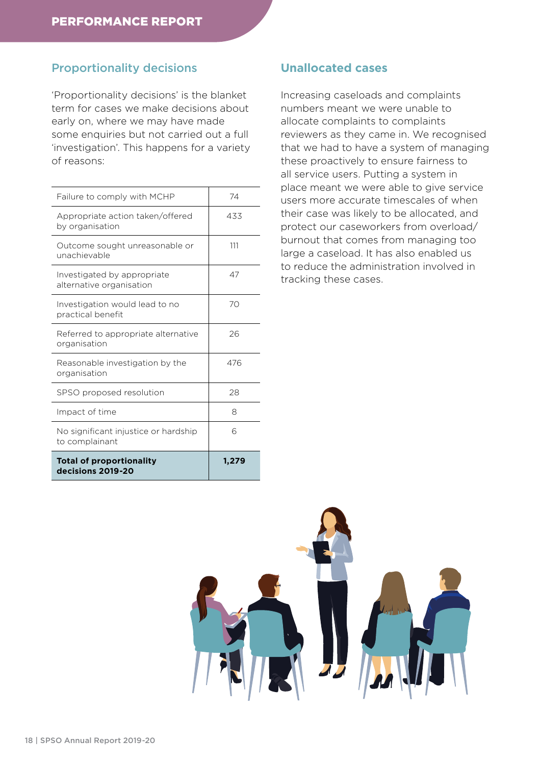### Proportionality decisions

'Proportionality decisions' is the blanket term for cases we make decisions about early on, where we may have made some enquiries but not carried out a full 'investigation'. This happens for a variety of reasons:

| Failure to comply with MCHP                             | 74    |
|---------------------------------------------------------|-------|
| Appropriate action taken/offered<br>by organisation     | 433   |
| Outcome sought unreasonable or<br>unachievable          | 111   |
| Investigated by appropriate<br>alternative organisation | 47    |
| Investigation would lead to no<br>practical benefit     | 70    |
| Referred to appropriate alternative<br>organisation     | 26    |
| Reasonable investigation by the<br>organisation         | 476   |
| SPSO proposed resolution                                | 28    |
| Impact of time                                          | 8     |
| No significant injustice or hardship<br>to complainant  | 6     |
| <b>Total of proportionality</b><br>decisions 2019-20    | 1,279 |

### **Unallocated cases**

Increasing caseloads and complaints numbers meant we were unable to allocate complaints to complaints reviewers as they came in. We recognised that we had to have a system of managing these proactively to ensure fairness to all service users. Putting a system in place meant we were able to give service users more accurate timescales of when their case was likely to be allocated, and protect our caseworkers from overload/ burnout that comes from managing too large a caseload. It has also enabled us to reduce the administration involved in tracking these cases.

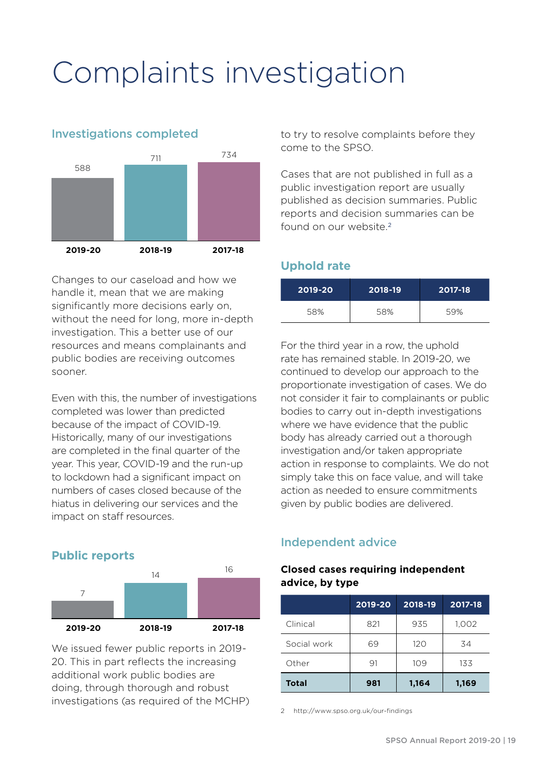### <span id="page-20-0"></span>Complaints investigation

## **2019-20 2018-19 2017-18** 588 711 734

Investigations completed

Changes to our caseload and how we handle it, mean that we are making significantly more decisions early on, without the need for long, more in-depth investigation. This a better use of our resources and means complainants and public bodies are receiving outcomes sooner.

Even with this, the number of investigations completed was lower than predicted because of the impact of COVID-19. Historically, many of our investigations are completed in the final quarter of the year. This year, COVID-19 and the run-up to lockdown had a significant impact on numbers of cases closed because of the hiatus in delivering our services and the impact on staff resources.

### **Public reports**



We issued fewer public reports in 2019- 20. This in part reflects the increasing additional work public bodies are doing, through thorough and robust investigations (as required of the MCHP)

to try to resolve complaints before they come to the SPSO.

Cases that are not published in full as a public investigation report are usually published as decision summaries. Public reports and decision summaries can be found on our website.<sup>2</sup>

### **Uphold rate**

| 2019-20 | 2018-19 | 2017-18 |
|---------|---------|---------|
| 58%     | 58%     | 59%     |

For the third year in a row, the uphold rate has remained stable. In 2019-20, we continued to develop our approach to the proportionate investigation of cases. We do not consider it fair to complainants or public bodies to carry out in-depth investigations where we have evidence that the public body has already carried out a thorough investigation and/or taken appropriate action in response to complaints. We do not simply take this on face value, and will take action as needed to ensure commitments given by public bodies are delivered.

### Independent advice

### **Closed cases requiring independent advice, by type**

|              | 2019-20<br>2018-19 |       | 2017-18 |
|--------------|--------------------|-------|---------|
| Clinical     | 821                | 935   | 1,002   |
| Social work  | 69                 | 120   | 34      |
| Other        | 91                 | 109   | 133     |
| <b>Total</b> | 981                | 1,164 | 1,169   |

2 http://www.spso.org.uk/our-findings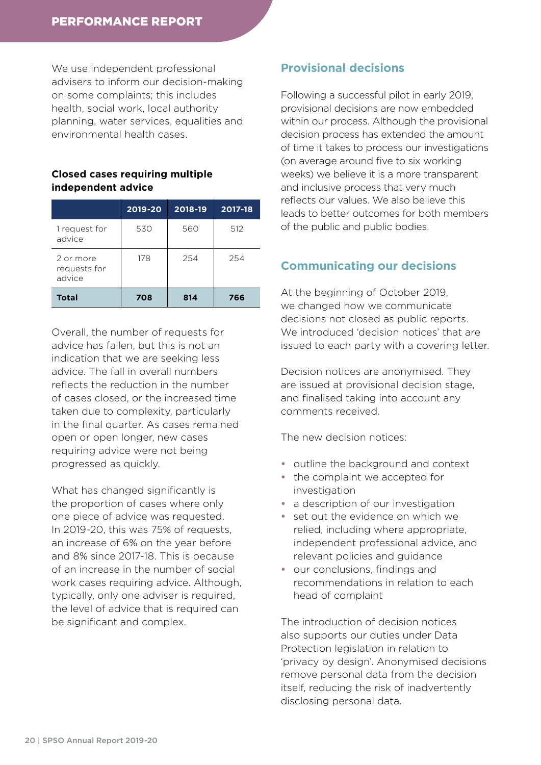We use independent professional advisers to inform our decision-making on some complaints; this includes health, social work, local authority planning, water services, equalities and environmental health cases.

### **Closed cases requiring multiple independent advice**

|                                     | 2019-20 | 2018-19 | $2017 - 18$ |
|-------------------------------------|---------|---------|-------------|
| 1 request for<br>advice             | 530     | 560     | 512         |
| 2 or more<br>requests for<br>advice | 178     | 254     | 254         |
| <b>Total</b>                        | 708     | 814     | 766         |

Overall, the number of requests for advice has fallen, but this is not an indication that we are seeking less advice. The fall in overall numbers reflects the reduction in the number of cases closed, or the increased time taken due to complexity, particularly in the final quarter. As cases remained open or open longer, new cases requiring advice were not being progressed as quickly.

What has changed significantly is the proportion of cases where only one piece of advice was requested. In 2019-20, this was 75% of requests, an increase of 6% on the year before and 8% since 2017-18. This is because of an increase in the number of social work cases requiring advice. Although, typically, only one adviser is required, the level of advice that is required can be significant and complex.

### **Provisional decisions**

Following a successful pilot in early 2019, provisional decisions are now embedded within our process. Although the provisional decision process has extended the amount of time it takes to process our investigations (on average around five to six working weeks) we believe it is a more transparent and inclusive process that very much reflects our values. We also believe this leads to better outcomes for both members of the public and public bodies.

### **Communicating our decisions**

At the beginning of October 2019, we changed how we communicate decisions not closed as public reports. We introduced 'decision notices' that are issued to each party with a covering letter.

Decision notices are anonymised. They are issued at provisional decision stage, and finalised taking into account any comments received.

The new decision notices:

- **•** outline the background and context
- **•** the complaint we accepted for investigation
- **•** a description of our investigation
- **•** set out the evidence on which we relied, including where appropriate, independent professional advice, and relevant policies and guidance
- **•** our conclusions, findings and recommendations in relation to each head of complaint

The introduction of decision notices also supports our duties under Data Protection legislation in relation to 'privacy by design'. Anonymised decisions remove personal data from the decision itself, reducing the risk of inadvertently disclosing personal data.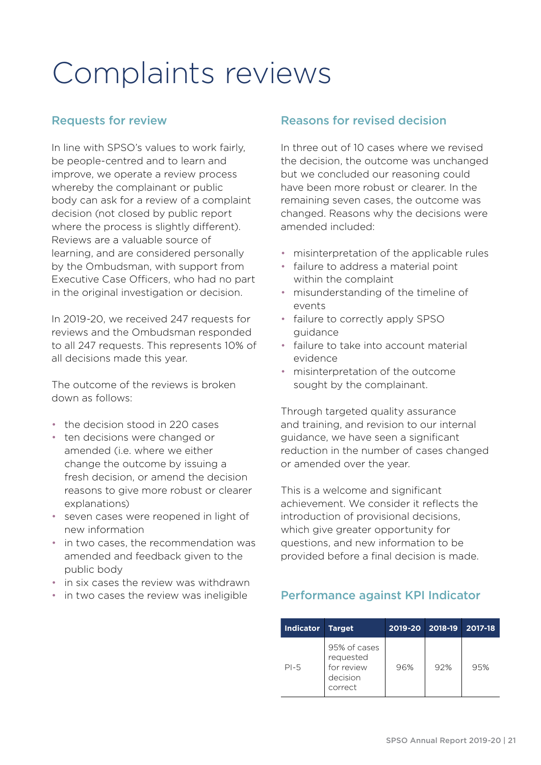### <span id="page-22-0"></span>Complaints reviews

### Requests for review

In line with SPSO's values to work fairly, be people-centred and to learn and improve, we operate a review process whereby the complainant or public body can ask for a review of a complaint decision (not closed by public report where the process is slightly different). Reviews are a valuable source of learning, and are considered personally by the Ombudsman, with support from Executive Case Officers, who had no part in the original investigation or decision.

In 2019-20, we received 247 requests for reviews and the Ombudsman responded to all 247 requests. This represents 10% of all decisions made this year.

The outcome of the reviews is broken down as follows:

- the decision stood in 220 cases
- ten decisions were changed or amended (i.e. where we either change the outcome by issuing a fresh decision, or amend the decision reasons to give more robust or clearer explanations)
- seven cases were reopened in light of new information
- in two cases, the recommendation was amended and feedback given to the public body
- in six cases the review was withdrawn
- in two cases the review was ineligible

### Reasons for revised decision

In three out of 10 cases where we revised the decision, the outcome was unchanged but we concluded our reasoning could have been more robust or clearer. In the remaining seven cases, the outcome was changed. Reasons why the decisions were amended included:

- misinterpretation of the applicable rules
- failure to address a material point within the complaint
- misunderstanding of the timeline of events
- failure to correctly apply SPSO guidance
- failure to take into account material evidence
- misinterpretation of the outcome sought by the complainant.

Through targeted quality assurance and training, and revision to our internal guidance, we have seen a significant reduction in the number of cases changed or amended over the year.

This is a welcome and significant achievement. We consider it reflects the introduction of provisional decisions, which give greater opportunity for questions, and new information to be provided before a final decision is made.

### Performance against KPI Indicator

| <b>Indicator</b> | <b>Target</b>                                                  | 2019-20 | 2018-19 | 2017-18 |
|------------------|----------------------------------------------------------------|---------|---------|---------|
| $PI-5$           | 95% of cases<br>requested<br>for review<br>decision<br>correct | 96%     | 92%     | 95%     |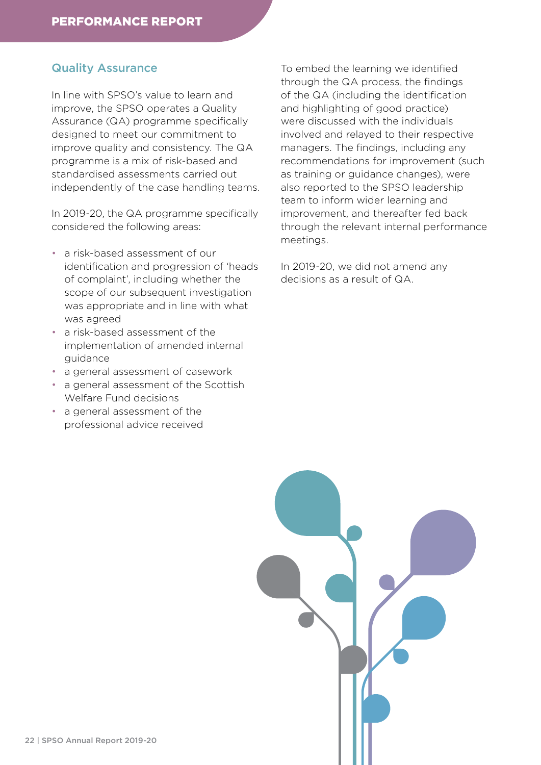### Quality Assurance

In line with SPSO's value to learn and improve, the SPSO operates a Quality Assurance (QA) programme specifically designed to meet our commitment to improve quality and consistency. The QA programme is a mix of risk-based and standardised assessments carried out independently of the case handling teams.

In 2019-20, the QA programme specifically considered the following areas:

- a risk-based assessment of our identification and progression of 'heads of complaint', including whether the scope of our subsequent investigation was appropriate and in line with what was agreed
- a risk-based assessment of the implementation of amended internal guidance
- a general assessment of casework
- a general assessment of the Scottish Welfare Fund decisions
- a general assessment of the professional advice received

To embed the learning we identified through the QA process, the findings of the QA (including the identification and highlighting of good practice) were discussed with the individuals involved and relayed to their respective managers. The findings, including any recommendations for improvement (such as training or guidance changes), were also reported to the SPSO leadership team to inform wider learning and improvement, and thereafter fed back through the relevant internal performance meetings.

In 2019-20, we did not amend any decisions as a result of QA.

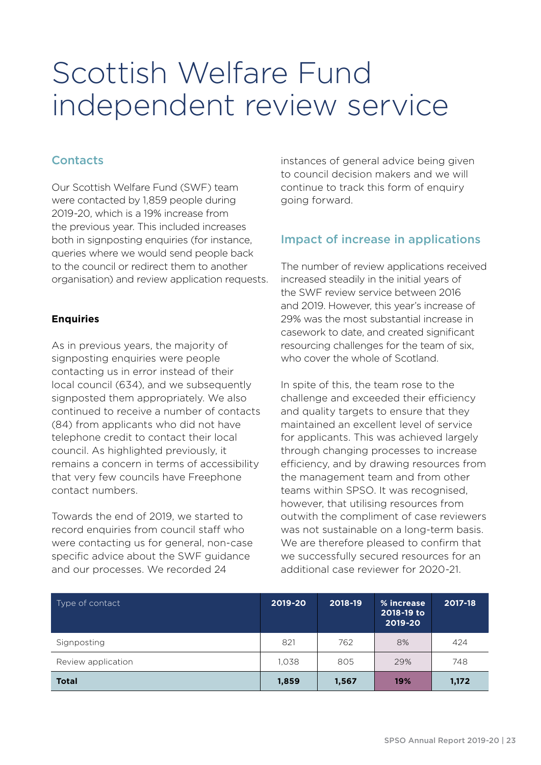### <span id="page-24-0"></span>Scottish Welfare Fund independent review service

### **Contacts**

Our Scottish Welfare Fund (SWF) team were contacted by 1,859 people during 2019-20, which is a 19% increase from the previous year. This included increases both in signposting enquiries (for instance, queries where we would send people back to the council or redirect them to another organisation) and review application requests.

#### **Enquiries**

As in previous years, the majority of signposting enquiries were people contacting us in error instead of their local council (634), and we subsequently signposted them appropriately. We also continued to receive a number of contacts (84) from applicants who did not have telephone credit to contact their local council. As highlighted previously, it remains a concern in terms of accessibility that very few councils have Freephone contact numbers.

Towards the end of 2019, we started to record enquiries from council staff who were contacting us for general, non-case specific advice about the SWF guidance and our processes. We recorded 24

instances of general advice being given to council decision makers and we will continue to track this form of enquiry going forward.

### Impact of increase in applications

The number of review applications received increased steadily in the initial years of the SWF review service between 2016 and 2019. However, this year's increase of 29% was the most substantial increase in casework to date, and created significant resourcing challenges for the team of six, who cover the whole of Scotland.

In spite of this, the team rose to the challenge and exceeded their efficiency and quality targets to ensure that they maintained an excellent level of service for applicants. This was achieved largely through changing processes to increase efficiency, and by drawing resources from the management team and from other teams within SPSO. It was recognised, however, that utilising resources from outwith the compliment of case reviewers was not sustainable on a long-term basis. We are therefore pleased to confirm that we successfully secured resources for an additional case reviewer for 2020-21.

| Type of contact    | 2019-20 | 2018-19 | % increase<br>2018-19 to<br>2019-20 | 2017-18 |
|--------------------|---------|---------|-------------------------------------|---------|
| Signposting        | 821     | 762     | 8%                                  | 424     |
| Review application | 1.038   | 805     | 29%                                 | 748     |
| <b>Total</b>       | 1,859   | 1,567   | 19%                                 | 1,172   |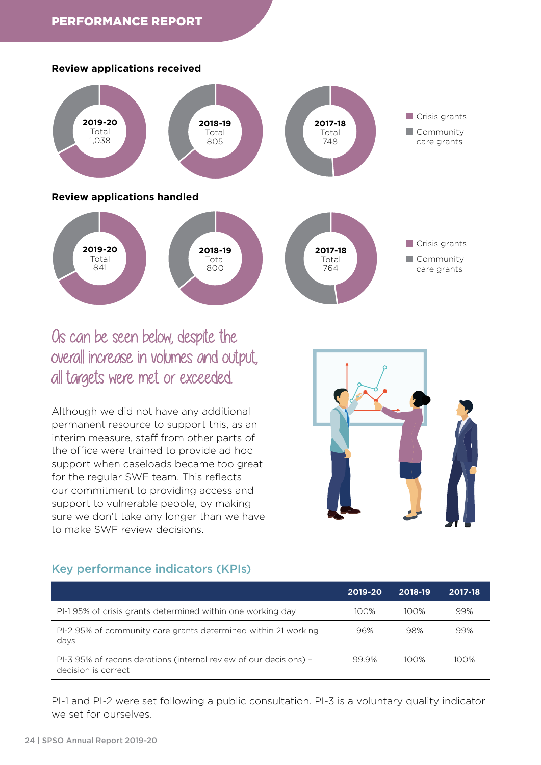#### **Review applications received**





### Os can be seen below, despite the overall increase in volumes and output, all targets were met or exceeded.

Although we did not have any additional permanent resource to support this, as an interim measure, staff from other parts of the office were trained to provide ad hoc support when caseloads became too great for the regular SWF team. This reflects our commitment to providing access and support to vulnerable people, by making sure we don't take any longer than we have to make SWF review decisions.



### Key performance indicators (KPIs)

|                                                                                          | 2019-20 | 2018-19 | 2017-18 |
|------------------------------------------------------------------------------------------|---------|---------|---------|
| PI-195% of crisis grants determined within one working day                               | 100%    | 100%    | 99%     |
| PI-2 95% of community care grants determined within 21 working<br>days                   | 96%     | 98%     | 99%     |
| PI-3 95% of reconsiderations (internal review of our decisions) -<br>decision is correct | 99.9%   | 100%    | 100%    |

PI-1 and PI-2 were set following a public consultation. PI-3 is a voluntary quality indicator we set for ourselves.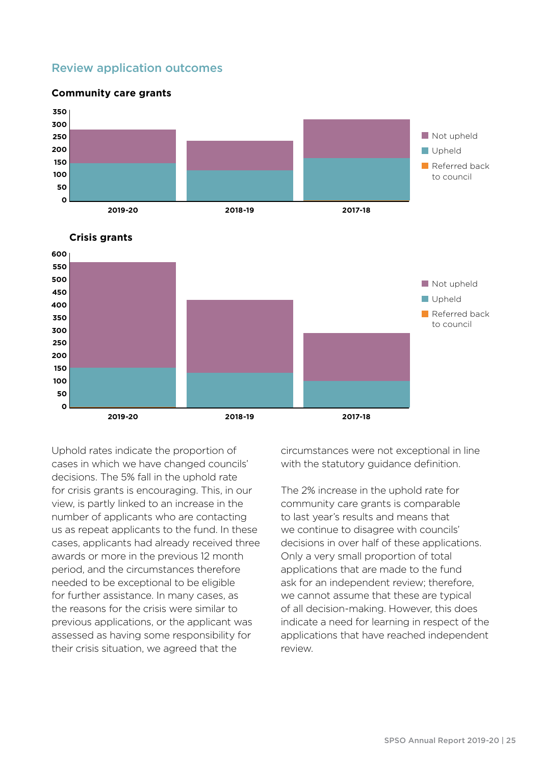### Review application outcomes



**2019-20 2018-19 2017-18**

Uphold rates indicate the proportion of cases in which we have changed councils' decisions. The 5% fall in the uphold rate for crisis grants is encouraging. This, in our view, is partly linked to an increase in the number of applicants who are contacting us as repeat applicants to the fund. In these cases, applicants had already received three awards or more in the previous 12 month period, and the circumstances therefore needed to be exceptional to be eligible for further assistance. In many cases, as the reasons for the crisis were similar to previous applications, or the applicant was assessed as having some responsibility for their crisis situation, we agreed that the

circumstances were not exceptional in line with the statutory quidance definition.

The 2% increase in the uphold rate for community care grants is comparable to last year's results and means that we continue to disagree with councils' decisions in over half of these applications. Only a very small proportion of total applications that are made to the fund ask for an independent review; therefore, we cannot assume that these are typical of all decision-making. However, this does indicate a need for learning in respect of the applications that have reached independent review.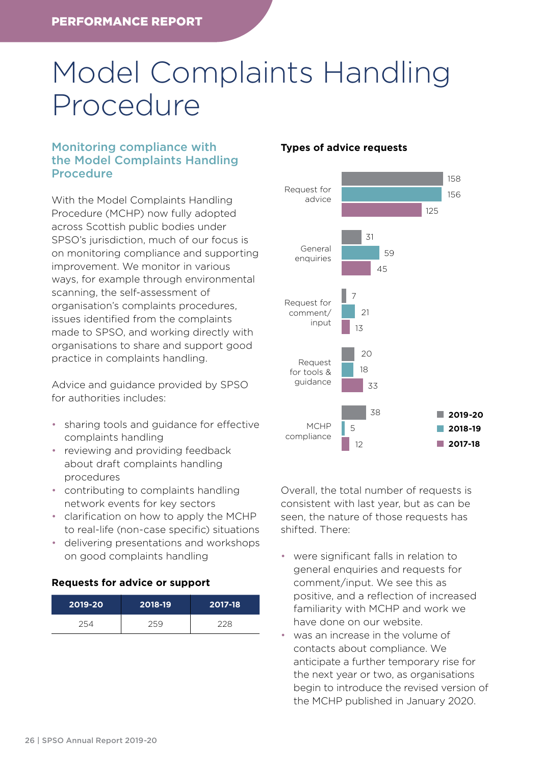### <span id="page-27-0"></span>Model Complaints Handling Procedure

### Monitoring compliance with the Model Complaints Handling Procedure

With the Model Complaints Handling Procedure (MCHP) now fully adopted across Scottish public bodies under SPSO's jurisdiction, much of our focus is on monitoring compliance and supporting improvement. We monitor in various ways, for example through environmental scanning, the self-assessment of organisation's complaints procedures, issues identified from the complaints made to SPSO, and working directly with organisations to share and support good practice in complaints handling.

Advice and guidance provided by SPSO for authorities includes:

- sharing tools and guidance for effective complaints handling
- reviewing and providing feedback about draft complaints handling procedures
- contributing to complaints handling network events for key sectors
- clarification on how to apply the MCHP to real-life (non-case specific) situations
- delivering presentations and workshops on good complaints handling

### **Requests for advice or support**

| 2019-20 | 2018-19 | 2017-18 |
|---------|---------|---------|
| 254     | 259     | 228     |

#### **Types of advice requests**



Overall, the total number of requests is consistent with last year, but as can be seen, the nature of those requests has shifted. There:

- were significant falls in relation to general enquiries and requests for comment/input. We see this as positive, and a reflection of increased familiarity with MCHP and work we have done on our website.
- was an increase in the volume of contacts about compliance. We anticipate a further temporary rise for the next year or two, as organisations begin to introduce the revised version of the MCHP published in January 2020.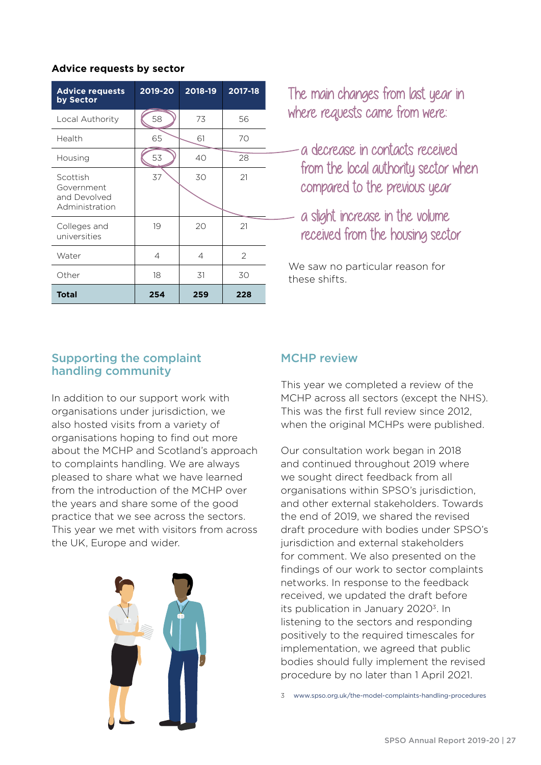### **Advice requests by sector**

| <b>Advice requests</b><br>by Sector                      | 2019-20 | 2018-19 | 2017-18 |
|----------------------------------------------------------|---------|---------|---------|
| Local Authority                                          | 58      | 73      | 56      |
| Health                                                   | 65      | 61      | 70      |
| Housing                                                  | 53      | 40      | 28      |
| Scottish<br>Government<br>and Devolved<br>Administration | 37      | 30      | 21      |
| Colleges and<br>universities                             | 19      | 20      | 21      |
| Water                                                    | 4       | 4       | 2       |
| Other                                                    | 18      | 31      | 30      |
| <b>Total</b>                                             | 254     | 259     | 228     |

The main changes from last year in where requests came from were:

- a decrease in contacts received from the local authority sector when compared to the previous year
- a slight increase in the volume received from the housing sector

We saw no particular reason for these shifts.

### Supporting the complaint handling community

In addition to our support work with organisations under jurisdiction, we also hosted visits from a variety of organisations hoping to find out more about the MCHP and Scotland's approach to complaints handling. We are always pleased to share what we have learned from the introduction of the MCHP over the years and share some of the good practice that we see across the sectors. This year we met with visitors from across the UK, Europe and wider.



### MCHP review

This year we completed a review of the MCHP across all sectors (except the NHS). This was the first full review since 2012, when the original MCHPs were published.

Our consultation work began in 2018 and continued throughout 2019 where we sought direct feedback from all organisations within SPSO's jurisdiction, and other external stakeholders. Towards the end of 2019, we shared the revised draft procedure with bodies under SPSO's jurisdiction and external stakeholders for comment. We also presented on the findings of our work to sector complaints networks. In response to the feedback received, we updated the draft before its publication in January 2020<sup>3</sup>. In listening to the sectors and responding positively to the required timescales for implementation, we agreed that public bodies should fully implement the revised procedure by no later than 1 April 2021.

3 [www.spso.org.uk/the-model-complaints-handling-procedures](http://www.spso.org.uk/the-model-complaints-handling-procedures)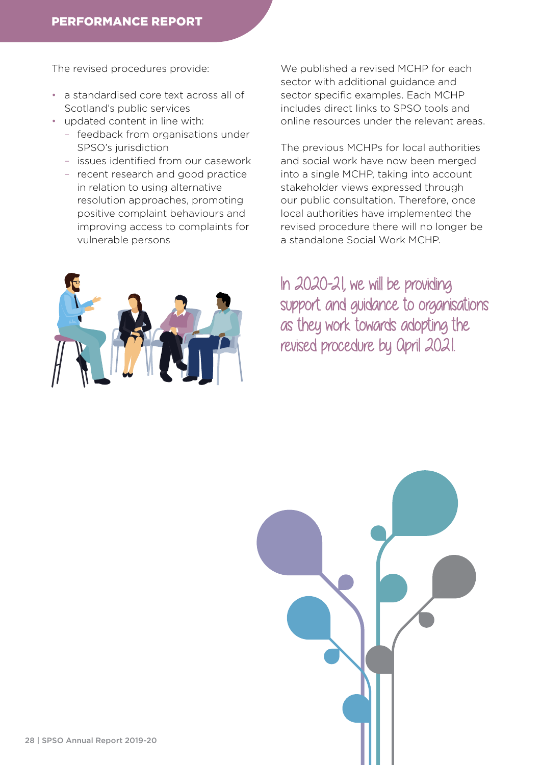The revised procedures provide:

- a standardised core text across all of Scotland's public services
- updated content in line with:
	- feedback from organisations under SPSO's jurisdiction
	- issues identified from our casework
	- recent research and good practice in relation to using alternative resolution approaches, promoting positive complaint behaviours and improving access to complaints for vulnerable persons



We published a revised MCHP for each sector with additional guidance and sector specific examples. Each MCHP includes direct links to SPSO tools and online resources under the relevant areas.

The previous MCHPs for local authorities and social work have now been merged into a single MCHP, taking into account stakeholder views expressed through our public consultation. Therefore, once local authorities have implemented the revised procedure there will no longer be a standalone Social Work MCHP.

In 2020-21, we will be providing support and guidance to organisations as they work towards adopting the revised procedure by April 2021.

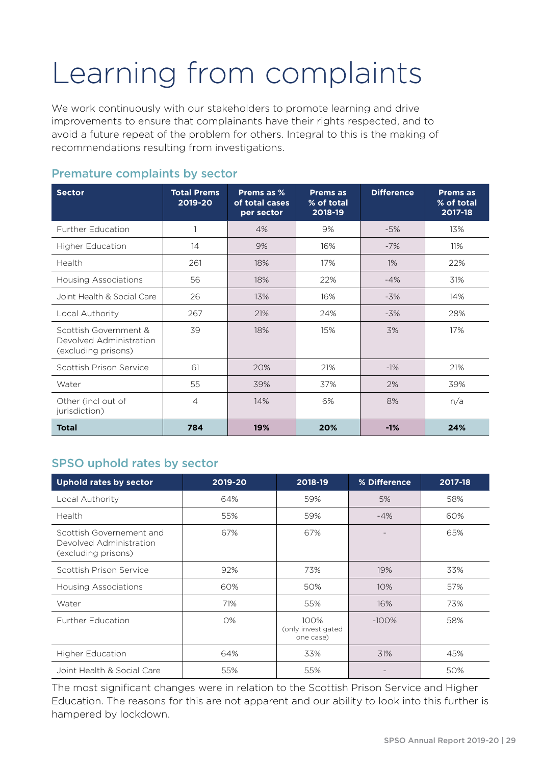### <span id="page-30-0"></span>Learning from complaints

We work continuously with our stakeholders to promote learning and drive improvements to ensure that complainants have their rights respected, and to avoid a future repeat of the problem for others. Integral to this is the making of recommendations resulting from investigations.

| <b>Sector</b>                                                           | <b>Total Prems</b><br>2019-20 | Prems as %<br>of total cases<br>per sector | <b>Prems as</b><br>% of total<br>2018-19 | <b>Difference</b> | <b>Prems as</b><br>% of total<br>2017-18 |
|-------------------------------------------------------------------------|-------------------------------|--------------------------------------------|------------------------------------------|-------------------|------------------------------------------|
| <b>Further Education</b>                                                | 1                             | 4%                                         | 9%                                       | $-5%$             | 13%                                      |
| Higher Education                                                        | 14                            | 9%                                         | 16%                                      | $-7%$             | 11%                                      |
| Health                                                                  | 261                           | 18%                                        | 17%                                      | $1\%$             | 22%                                      |
| <b>Housing Associations</b>                                             | 56                            | 18%                                        | 22%                                      | $-4%$             | 31%                                      |
| Joint Health & Social Care                                              | 26                            | 13%                                        | 16%                                      | $-3%$             | 14%                                      |
| Local Authority                                                         | 267                           | 21%                                        | 24%                                      | $-3%$             | 28%                                      |
| Scottish Government &<br>Devolved Administration<br>(excluding prisons) | 39                            | 18%                                        | 15%                                      | 3%                | 17%                                      |
| Scottish Prison Service                                                 | 61                            | 20%                                        | 21%                                      | $-1\%$            | 21%                                      |
| Water                                                                   | 55                            | 39%                                        | 37%                                      | 2%                | 39%                                      |
| Other (incl out of<br>jurisdiction)                                     | $\overline{4}$                | 14%                                        | 6%                                       | 8%                | n/a                                      |
| <b>Total</b>                                                            | 784                           | 19%                                        | 20%                                      | $-1%$             | 24%                                      |

### Premature complaints by sector

### SPSO uphold rates by sector

| <b>Uphold rates by sector</b>                                              | 2019-20 | 2018-19                                 | % Difference | 2017-18 |
|----------------------------------------------------------------------------|---------|-----------------------------------------|--------------|---------|
| Local Authority                                                            | 64%     | 59%                                     | 5%           | 58%     |
| Health                                                                     | 55%     | 59%                                     | $-4%$        | 60%     |
| Scottish Governement and<br>Devolved Administration<br>(excluding prisons) | 67%     | 67%                                     |              | 65%     |
| Scottish Prison Service                                                    | 92%     | 73%                                     | 19%          | 33%     |
| Housing Associations                                                       | 60%     | 50%                                     | 10%          | 57%     |
| Water                                                                      | 71%     | 55%                                     | 16%          | 73%     |
| <b>Further Education</b>                                                   | 0%      | 100%<br>(only investigated<br>one case) | $-100\%$     | 58%     |
| <b>Higher Education</b>                                                    | 64%     | 33%                                     | 31%          | 45%     |
| Joint Health & Social Care                                                 | 55%     | 55%                                     |              | 50%     |

The most significant changes were in relation to the Scottish Prison Service and Higher Education. The reasons for this are not apparent and our ability to look into this further is hampered by lockdown.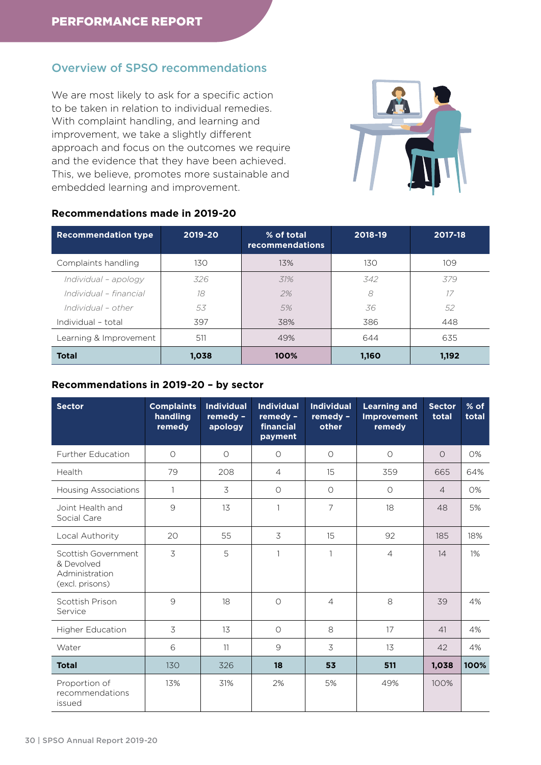### Overview of SPSO recommendations

We are most likely to ask for a specific action to be taken in relation to individual remedies. With complaint handling, and learning and improvement, we take a slightly different approach and focus on the outcomes we require and the evidence that they have been achieved. This, we believe, promotes more sustainable and embedded learning and improvement.



#### **Recommendations made in 2019-20**

| <b>Recommendation type</b> | 2019-20 | % of total<br><b>recommendations</b> | 2018-19 | 2017-18 |
|----------------------------|---------|--------------------------------------|---------|---------|
| Complaints handling        | 130     | 13%                                  | 130     | 109     |
| Individual - apology       | 326     | 31%                                  | 342     | 379     |
| Individual - financial     | 18      | 2%                                   | 8       | 17      |
| Individual - other         | 53      | 5%                                   | 36      | 52      |
| Individual - total         | 397     | 38%                                  | 386     | 448     |
| Learning & Improvement     | 511     | 49%                                  | 644     | 635     |
| <b>Total</b>               | 1,038   | 100%                                 | 1,160   | 1,192   |

### **Recommendations in 2019-20 – by sector**

| <b>Sector</b>                                                          | <b>Complaints</b><br>handling<br>remedy | <b>Individual</b><br>remedy -<br>apology | <b>Individual</b><br>remedy -<br>financial<br>payment | <b>Individual</b><br>remedy -<br>other | <b>Learning and</b><br><b>Improvement</b><br>remedy | <b>Sector</b><br>total | % of<br>total |
|------------------------------------------------------------------------|-----------------------------------------|------------------------------------------|-------------------------------------------------------|----------------------------------------|-----------------------------------------------------|------------------------|---------------|
| Further Education                                                      | $\circ$                                 | $\circ$                                  | $\circ$                                               | $\circ$                                | $\circ$                                             | $\Omega$               | 0%            |
| Health                                                                 | 79                                      | 208                                      | $\overline{4}$                                        | 15                                     | 359                                                 | 665                    | 64%           |
| <b>Housing Associations</b>                                            | 1                                       | 3                                        | $\circ$                                               | $\circ$                                | $\circ$                                             | $\overline{4}$         | 0%            |
| Joint Health and<br>Social Care                                        | $\mathcal{G}$                           | 13                                       | $\mathbf{1}$                                          | 7                                      | 18                                                  | 48                     | 5%            |
| Local Authority                                                        | 20                                      | 55                                       | 3                                                     | 15                                     | 92                                                  | 185                    | 18%           |
| Scottish Government<br>& Devolved<br>Administration<br>(excl. prisons) | 3                                       | 5                                        | $\mathbf{1}$                                          | 1                                      | $\overline{4}$                                      | 14                     | 1%            |
| Scottish Prison<br>Service                                             | 9                                       | 18                                       | $\Omega$                                              | $\overline{4}$                         | 8                                                   | 39                     | 4%            |
| Higher Education                                                       | 3                                       | 13                                       | $\circ$                                               | 8                                      | 17                                                  | 41                     | 4%            |
| Water                                                                  | 6                                       | 11                                       | 9                                                     | 3                                      | 13                                                  | 42                     | 4%            |
| <b>Total</b>                                                           | 130                                     | 326                                      | 18                                                    | 53                                     | 511                                                 | 1,038                  | 100%          |
| Proportion of<br>recommendations<br>issued                             | 13%                                     | 31%                                      | 2%                                                    | 5%                                     | 49%                                                 | 100%                   |               |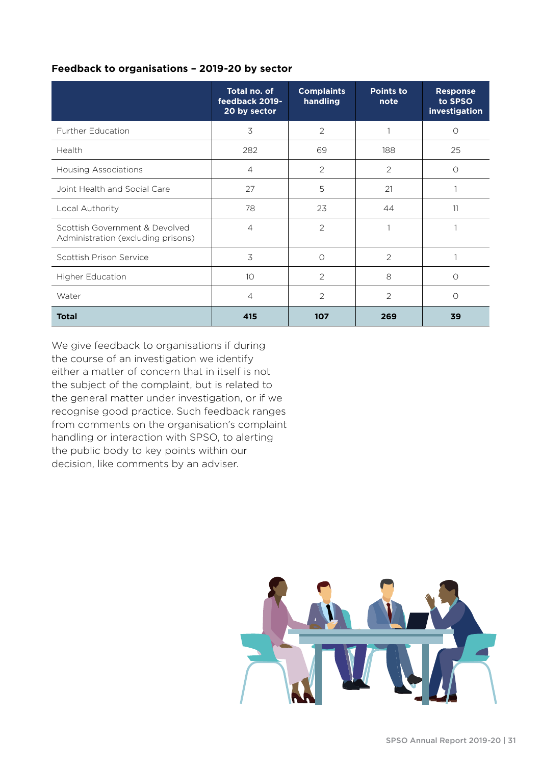### **Feedback to organisations – 2019-20 by sector**

|                                                                      | Total no. of<br>feedback 2019-<br>20 by sector | <b>Complaints</b><br>handling | <b>Points to</b><br>note | <b>Response</b><br>to SPSO<br>investigation |
|----------------------------------------------------------------------|------------------------------------------------|-------------------------------|--------------------------|---------------------------------------------|
| <b>Further Education</b>                                             | 3                                              | 2                             |                          | $\bigcirc$                                  |
| Health                                                               | 282                                            | 69                            | 188                      | 25                                          |
| <b>Housing Associations</b>                                          | $\overline{4}$                                 | $\overline{2}$                | $\overline{2}$           | $\bigcap$                                   |
| Joint Health and Social Care                                         | 27                                             | 5                             | 21                       |                                             |
| Local Authority                                                      | 78                                             | 23                            | 44                       | 11                                          |
| Scottish Government & Devolved<br>Administration (excluding prisons) | $\overline{4}$                                 | $\overline{2}$                |                          |                                             |
| Scottish Prison Service                                              | 3                                              | 0                             | 2                        |                                             |
| Higher Education                                                     | 10                                             | 2                             | 8                        | $\bigcirc$                                  |
| Water                                                                | $\overline{4}$                                 | $\overline{2}$                | $\overline{2}$           | $\Omega$                                    |
| <b>Total</b>                                                         | 415                                            | 107                           | 269                      | 39                                          |

We give feedback to organisations if during the course of an investigation we identify either a matter of concern that in itself is not the subject of the complaint, but is related to the general matter under investigation, or if we recognise good practice. Such feedback ranges from comments on the organisation's complaint handling or interaction with SPSO, to alerting the public body to key points within our decision, like comments by an adviser.

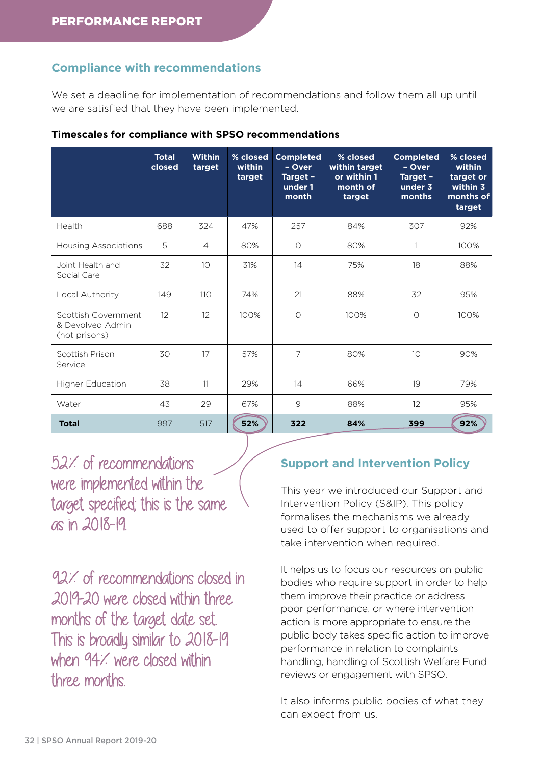### **Compliance with recommendations**

We set a deadline for implementation of recommendations and follow them all up until we are satisfied that they have been implemented.

|                                                          | <b>Total</b><br>closed | Within<br>target | % closed<br>within<br>target | <b>Completed</b><br>- Over<br>Target -<br>under 1<br>month | % closed<br>within target<br>or within 1<br>month of<br>target | <b>Completed</b><br>- Over<br>Target -<br>under 3<br>months | % closed<br>within<br>target or<br>within 3<br>months of<br>target |
|----------------------------------------------------------|------------------------|------------------|------------------------------|------------------------------------------------------------|----------------------------------------------------------------|-------------------------------------------------------------|--------------------------------------------------------------------|
| Health                                                   | 688                    | 324              | 47%                          | 257                                                        | 84%                                                            | 307                                                         | 92%                                                                |
| <b>Housing Associations</b>                              | 5                      | $\overline{4}$   | 80%                          | $\circ$                                                    | 80%                                                            | 1                                                           | 100%                                                               |
| Joint Health and<br>Social Care                          | 32                     | 10               | 31%                          | 14                                                         | 75%                                                            | 18                                                          | 88%                                                                |
| Local Authority                                          | 149                    | 110              | 74%                          | 21                                                         | 88%                                                            | 32                                                          | 95%                                                                |
| Scottish Government<br>& Devolved Admin<br>(not prisons) | 12                     | 12               | 100%                         | $\circ$                                                    | 100%                                                           | $\circ$                                                     | 100%                                                               |
| Scottish Prison<br>Service                               | 30                     | 17               | 57%                          | 7                                                          | 80%                                                            | 10                                                          | 90%                                                                |
| <b>Higher Education</b>                                  | 38                     | 11               | 29%                          | 14                                                         | 66%                                                            | 19                                                          | 79%                                                                |
| Water                                                    | 43                     | 29               | 67%                          | $\mathcal{Q}$                                              | 88%                                                            | 12                                                          | 95%                                                                |
| <b>Total</b>                                             | 997                    | 517              | 52%                          | 322                                                        | 84%                                                            | 399                                                         | 92%                                                                |

#### **Timescales for compliance with SPSO recommendations**

52% of recommendations were implemented within the target specified; this is the same as in 2018-19.

92% of recommendations closed in 2019-20 were closed within three months of the target date set. This is broadly similar to 2018-19 when 94% were closed within three months.

### **Support and Intervention Policy**

This year we introduced our Support and Intervention Policy (S&IP). This policy formalises the mechanisms we already used to offer support to organisations and take intervention when required.

It helps us to focus our resources on public bodies who require support in order to help them improve their practice or address poor performance, or where intervention action is more appropriate to ensure the public body takes specific action to improve performance in relation to complaints handling, handling of Scottish Welfare Fund reviews or engagement with SPSO.

It also informs public bodies of what they can expect from us.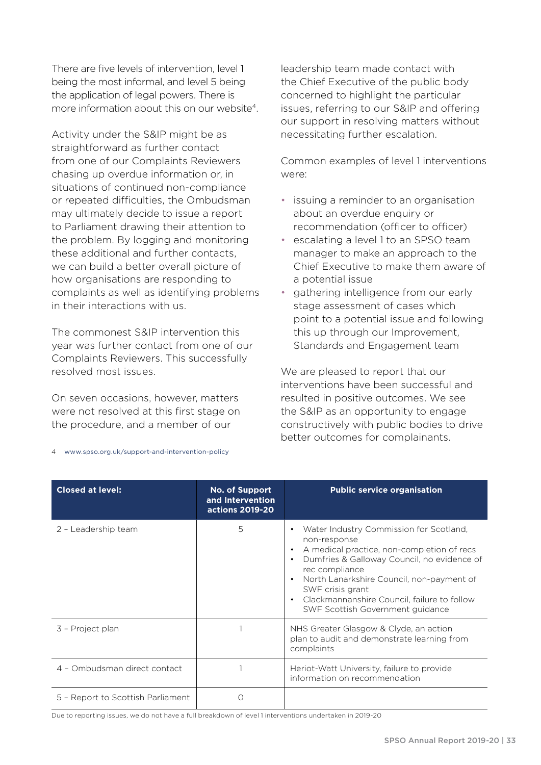There are five levels of intervention, level 1 being the most informal, and level 5 being the application of legal powers. There is more information about this on our website<sup>4</sup>.

Activity under the S&IP might be as straightforward as further contact from one of our Complaints Reviewers chasing up overdue information or, in situations of continued non-compliance or repeated difficulties, the Ombudsman may ultimately decide to issue a report to Parliament drawing their attention to the problem. By logging and monitoring these additional and further contacts, we can build a better overall picture of how organisations are responding to complaints as well as identifying problems in their interactions with us.

The commonest S&IP intervention this year was further contact from one of our Complaints Reviewers. This successfully resolved most issues.

On seven occasions, however, matters were not resolved at this first stage on the procedure, and a member of our

leadership team made contact with the Chief Executive of the public body concerned to highlight the particular issues, referring to our S&IP and offering our support in resolving matters without necessitating further escalation.

Common examples of level 1 interventions were:

- issuing a reminder to an organisation about an overdue enquiry or recommendation (officer to officer)
- escalating a level 1 to an SPSO team manager to make an approach to the Chief Executive to make them aware of a potential issue
- gathering intelligence from our early stage assessment of cases which point to a potential issue and following this up through our Improvement, Standards and Engagement team

We are pleased to report that our interventions have been successful and resulted in positive outcomes. We see the S&IP as an opportunity to engage constructively with public bodies to drive better outcomes for complainants.

| <b>Closed at level:</b>           | <b>No. of Support</b><br>and Intervention<br>actions 2019-20 | <b>Public service organisation</b>                                                                                                                                                                                                                                                                                                                |
|-----------------------------------|--------------------------------------------------------------|---------------------------------------------------------------------------------------------------------------------------------------------------------------------------------------------------------------------------------------------------------------------------------------------------------------------------------------------------|
| 2 - Leadership team               | 5                                                            | Water Industry Commission for Scotland,<br>٠<br>non-response<br>A medical practice, non-completion of recs<br>٠<br>Dumfries & Galloway Council, no evidence of<br>$\bullet$<br>rec compliance<br>North Lanarkshire Council, non-payment of<br>SWF crisis grant<br>Clackmannanshire Council, failure to follow<br>SWF Scottish Government guidance |
| 3 - Project plan                  |                                                              | NHS Greater Glasgow & Clyde, an action<br>plan to audit and demonstrate learning from<br>complaints                                                                                                                                                                                                                                               |
| 4 - Ombudsman direct contact      |                                                              | Heriot-Watt University, failure to provide<br>information on recommendation                                                                                                                                                                                                                                                                       |
| 5 - Report to Scottish Parliament | O                                                            |                                                                                                                                                                                                                                                                                                                                                   |

4 [www.spso.org.uk/support-and-intervention-policy](http://www.spso.org.uk/support-and-intervention-policy)

Due to reporting issues, we do not have a full breakdown of level 1 interventions undertaken in 2019-20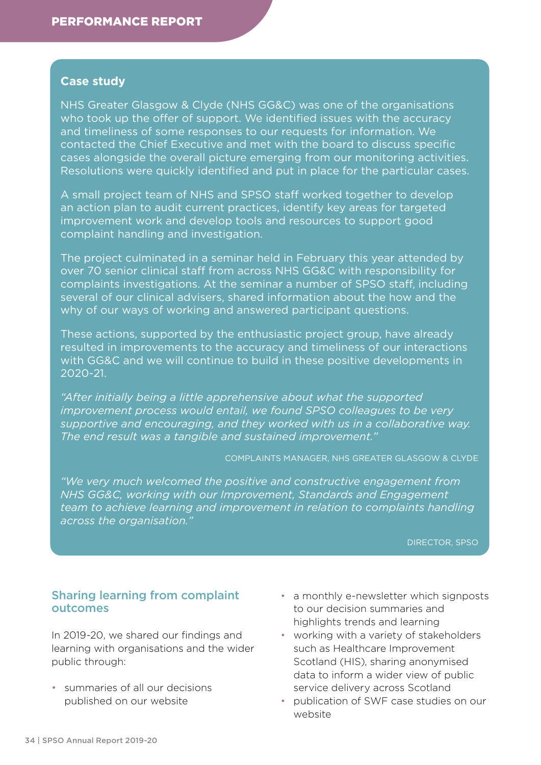### **Case study**

NHS Greater Glasgow & Clyde (NHS GG&C) was one of the organisations who took up the offer of support. We identified issues with the accuracy and timeliness of some responses to our requests for information. We contacted the Chief Executive and met with the board to discuss specific cases alongside the overall picture emerging from our monitoring activities. Resolutions were quickly identified and put in place for the particular cases.

A small project team of NHS and SPSO staff worked together to develop an action plan to audit current practices, identify key areas for targeted improvement work and develop tools and resources to support good complaint handling and investigation.

The project culminated in a seminar held in February this year attended by over 70 senior clinical staff from across NHS GG&C with responsibility for complaints investigations. At the seminar a number of SPSO staff, including several of our clinical advisers, shared information about the how and the why of our ways of working and answered participant questions.

These actions, supported by the enthusiastic project group, have already resulted in improvements to the accuracy and timeliness of our interactions with GG&C and we will continue to build in these positive developments in 2020-21.

*"After initially being a little apprehensive about what the supported improvement process would entail, we found SPSO colleagues to be very supportive and encouraging, and they worked with us in a collaborative way. The end result was a tangible and sustained improvement."* 

COMPLAINTS MANAGER, NHS GREATER GLASGOW & CLYDE

*"We very much welcomed the positive and constructive engagement from NHS GG&C, working with our Improvement, Standards and Engagement team to achieve learning and improvement in relation to complaints handling across the organisation."* 

DIRECTOR, SPSO

### Sharing learning from complaint outcomes

In 2019-20, we shared our findings and learning with organisations and the wider public through:

• summaries of all our decisions published on our website

- a monthly e-newsletter which signposts to our decision summaries and highlights trends and learning
- working with a variety of stakeholders such as Healthcare Improvement Scotland (HIS), sharing anonymised data to inform a wider view of public service delivery across Scotland
- publication of SWF case studies on our website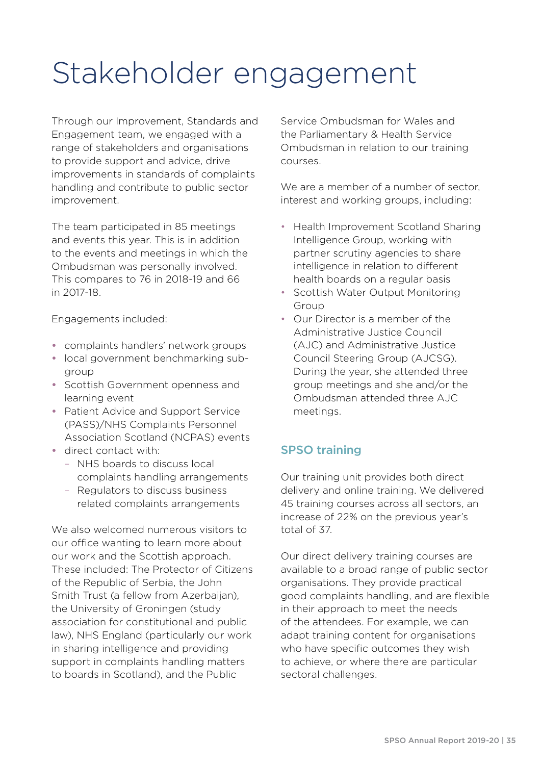# Stakeholder engagement

Through our Improvement, Standards and Engagement team, we engaged with a range of stakeholders and organisations to provide support and advice, drive improvements in standards of complaints handling and contribute to public sector improvement.

The team participated in 85 meetings and events this year. This is in addition to the events and meetings in which the Ombudsman was personally involved. This compares to 76 in 2018-19 and 66 in 2017-18.

Engagements included:

- complaints handlers' network groups
- local government benchmarking subgroup
- Scottish Government openness and learning event
- Patient Advice and Support Service (PASS)/NHS Complaints Personnel Association Scotland (NCPAS) events
- direct contact with:
	- NHS boards to discuss local complaints handling arrangements
	- Regulators to discuss business related complaints arrangements

We also welcomed numerous visitors to our office wanting to learn more about our work and the Scottish approach. These included: The Protector of Citizens of the Republic of Serbia, the John Smith Trust (a fellow from Azerbaijan), the University of Groningen (study association for constitutional and public law), NHS England (particularly our work in sharing intelligence and providing support in complaints handling matters to boards in Scotland), and the Public

Service Ombudsman for Wales and the Parliamentary & Health Service Ombudsman in relation to our training courses.

We are a member of a number of sector interest and working groups, including:

- Health Improvement Scotland Sharing Intelligence Group, working with partner scrutiny agencies to share intelligence in relation to different health boards on a regular basis
- Scottish Water Output Monitoring Group
- Our Director is a member of the Administrative Justice Council (AJC) and Administrative Justice Council Steering Group (AJCSG). During the year, she attended three group meetings and she and/or the Ombudsman attended three AJC meetings.

## SPSO training

Our training unit provides both direct delivery and online training. We delivered 45 training courses across all sectors, an increase of 22% on the previous year's total of 37.

Our direct delivery training courses are available to a broad range of public sector organisations. They provide practical good complaints handling, and are flexible in their approach to meet the needs of the attendees. For example, we can adapt training content for organisations who have specific outcomes they wish to achieve, or where there are particular sectoral challenges.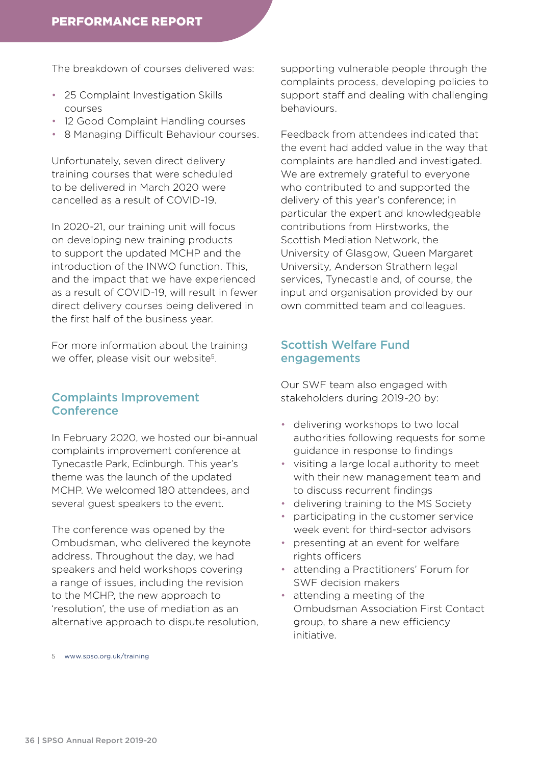The breakdown of courses delivered was:

- 25 Complaint Investigation Skills courses
- 12 Good Complaint Handling courses
- 8 Managing Difficult Behaviour courses.

Unfortunately, seven direct delivery training courses that were scheduled to be delivered in March 2020 were cancelled as a result of COVID-19.

In 2020-21, our training unit will focus on developing new training products to support the updated MCHP and the introduction of the INWO function. This, and the impact that we have experienced as a result of COVID-19, will result in fewer direct delivery courses being delivered in the first half of the business year.

For more information about the training we offer, please visit our website<sup>5</sup>.

## Complaints Improvement **Conference**

In February 2020, we hosted our bi-annual complaints improvement conference at Tynecastle Park, Edinburgh. This year's theme was the launch of the updated MCHP. We welcomed 180 attendees, and several guest speakers to the event.

The conference was opened by the Ombudsman, who delivered the keynote address. Throughout the day, we had speakers and held workshops covering a range of issues, including the revision to the MCHP, the new approach to 'resolution', the use of mediation as an alternative approach to dispute resolution,

supporting vulnerable people through the complaints process, developing policies to support staff and dealing with challenging behaviours.

Feedback from attendees indicated that the event had added value in the way that complaints are handled and investigated. We are extremely grateful to everyone who contributed to and supported the delivery of this year's conference; in particular the expert and knowledgeable contributions from Hirstworks, the Scottish Mediation Network, the University of Glasgow, Queen Margaret University, Anderson Strathern legal services, Tynecastle and, of course, the input and organisation provided by our own committed team and colleagues.

## Scottish Welfare Fund engagements

Our SWF team also engaged with stakeholders during 2019-20 by:

- delivering workshops to two local authorities following requests for some guidance in response to findings
- visiting a large local authority to meet with their new management team and to discuss recurrent findings
- delivering training to the MS Society
- participating in the customer service week event for third-sector advisors
- presenting at an event for welfare rights officers
- attending a Practitioners' Forum for SWF decision makers
- attending a meeting of the Ombudsman Association First Contact group, to share a new efficiency initiative.

5 [www.spso.org.uk/training](http://www.spso.org.uk/training)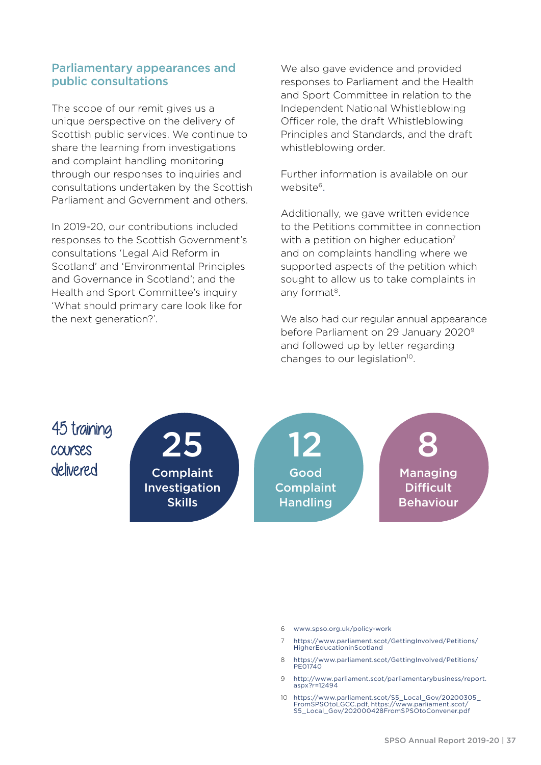## Parliamentary appearances and public consultations

The scope of our remit gives us a unique perspective on the delivery of Scottish public services. We continue to share the learning from investigations and complaint handling monitoring through our responses to inquiries and consultations undertaken by the Scottish Parliament and Government and others.

In 2019-20, our contributions included responses to the Scottish Government's consultations 'Legal Aid Reform in Scotland' and 'Environmental Principles and Governance in Scotland'; and the Health and Sport Committee's inquiry 'What should primary care look like for the next generation?'.

We also gave evidence and provided responses to Parliament and the Health and Sport Committee in relation to the Independent National Whistleblowing Officer role, the draft Whistleblowing Principles and Standards, and the draft whistleblowing order.

Further information is available on our website6.

Additionally, we gave written evidence to the Petitions committee in connection with a petition on higher education<sup>7</sup> and on complaints handling where we supported aspects of the petition which sought to allow us to take complaints in any format<sup>8</sup>.

We also had our regular annual appearance before Parliament on 29 January 2020<sup>9</sup> and followed up by letter regarding changes to our legislation<sup>10</sup>.

45 training courses delivered

25 Complaint Investigation Skills

12 Good **Complaint** Handling

8 Managing **Difficult** 

Behaviour

6 [www.spso.org.uk/policy-work](http://www.spso.org.uk/policy-work)

- 7 [https://www.parliament.scot/GettingInvolved/Petitions/](https://www.parliament.scot/GettingInvolved/Petitions/HigherEducationinScotland) [HigherEducationinScotland](https://www.parliament.scot/GettingInvolved/Petitions/HigherEducationinScotland)
- 8 [https://www.parliament.scot/GettingInvolved/Petitions/](https://www.parliament.scot/GettingInvolved/Petitions/PE01740) [PE01740](https://www.parliament.scot/GettingInvolved/Petitions/PE01740)
- 9 [http://www.parliament.scot/parliamentarybusiness/report.](http://www.parliament.scot/parliamentarybusiness/report.aspx?r=12494) [aspx?r=12494](http://www.parliament.scot/parliamentarybusiness/report.aspx?r=12494)
- 10 [https://www.parliament.scot/S5\\_Local\\_Gov/20200305\\_](https://www.parliament.scot/S5_Local_Gov/20200305_FromSPSOtoLGCC.pdf) [FromSPSOtoLGCC.pdf](https://www.parliament.scot/S5_Local_Gov/20200305_FromSPSOtoLGCC.pdf), [https://www.parliament.scot/](https://www.parliament.scot/S5_Local_Gov/202000428FromSPSOtoConvener.pdf) [S5\\_Local\\_Gov/202000428FromSPSOtoConvener.pdf](https://www.parliament.scot/S5_Local_Gov/202000428FromSPSOtoConvener.pdf)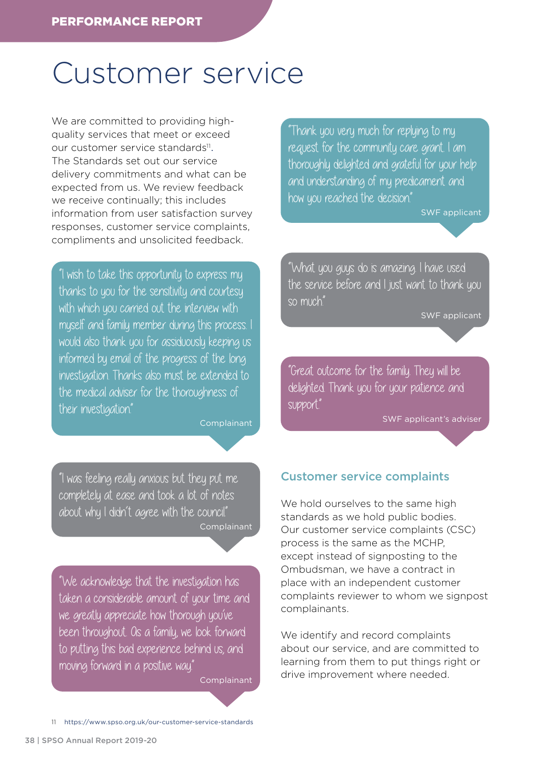## Customer service

We are committed to providing highquality services that meet or exceed our [customer service standards](https://www.spso.org.uk/our-customer-service-standards)<sup>11</sup>. The Standards set out our service delivery commitments and what can be expected from us. We review feedback we receive continually; this includes information from user satisfaction survey responses, customer service complaints, compliments and unsolicited feedback.

"I wish to take this opportunity to express my thanks to you for the sensitivity and courtesy with which you carried out the interview with myself and family member during this process. I would also thank you for assiduously keeping us informed by email of the progress of the long investigation. Thanks also must be extended to the medical adviser for the thoroughness of their investigation."

**Complainant** 

"I was feeling really anxious but they put me completely at ease and took a lot of notes about why I didn't agree with the council." Complainant

"We acknowledge that the investigation has taken a considerable amount of your time and we greatly appreciate how thorough you've been throughout. As a family, we look forward to putting this bad experience behind us, and moving forward in a positive way."

Complainant

"Thank you very much for replying to my request for the community care grant. I am thoroughly delighted and grateful for your help and understanding of my predicament and how you reached the decision."

SWF applicant

"What you guys do is amazing. I have used the service before and I just want to thank you so much."

SWF applicant

"Great outcome for the family. They will be delighted. Thank you for your patience and support."

SWF applicant's adviser

## Customer service complaints

We hold ourselves to the same high standards as we hold public bodies. Our customer service complaints (CSC) process is the same as the MCHP, except instead of signposting to the Ombudsman, we have a contract in place with an independent customer complaints reviewer to whom we signpost complainants.

We identify and record complaints about our service, and are committed to learning from them to put things right or drive improvement where needed.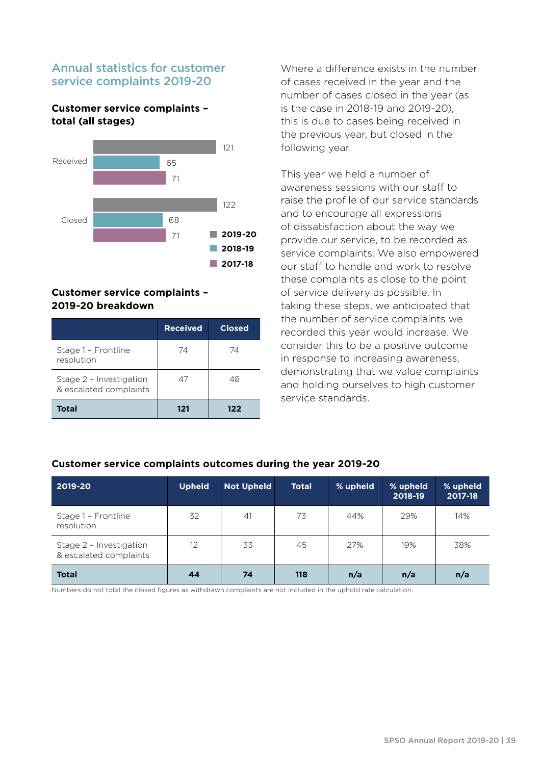## Annual statistics for customer service complaints 2019-20

#### **Customer service complaints – total (all stages)**



#### **Customer service complaints – 2019-20 breakdown**

|                                                   | <b>Received</b> | <b>Closed</b> |
|---------------------------------------------------|-----------------|---------------|
| Stage 1 - Frontline<br>resolution                 | 74              | 74            |
| Stage 2 - Investigation<br>& escalated complaints | 47              | 48            |
| <b>Total</b>                                      | 121             | 122           |

Where a difference exists in the number of cases received in the year and the number of cases closed in the year (as is the case in 2018-19 and 2019-20), this is due to cases being received in the previous year, but closed in the following year.

This year we held a number of awareness sessions with our staff to raise the profile of our service standards and to encourage all expressions of dissatisfaction about the way we provide our service, to be recorded as service complaints. We also empowered our staff to handle and work to resolve these complaints as close to the point of service delivery as possible. In taking these steps, we anticipated that the number of service complaints we recorded this year would increase. We consider this to be a positive outcome in response to increasing awareness, demonstrating that we value complaints and holding ourselves to high customer service standards.

#### **2019-20 Upheld Not Upheld Total % upheld % upheld 2018-19 % upheld 2017-18** Stage 1 – Frontline resolution 32 41 73 44% 29% 14% Stage 2 – Investigation & escalated complaints 12 33 45 27% 19% 38% **Total 44 74 118 n/a n/a n/a**

#### **Customer service complaints outcomes during the year 2019-20**

Numbers do not total the closed figures as withdrawn complaints are not included in the uphold rate calculation.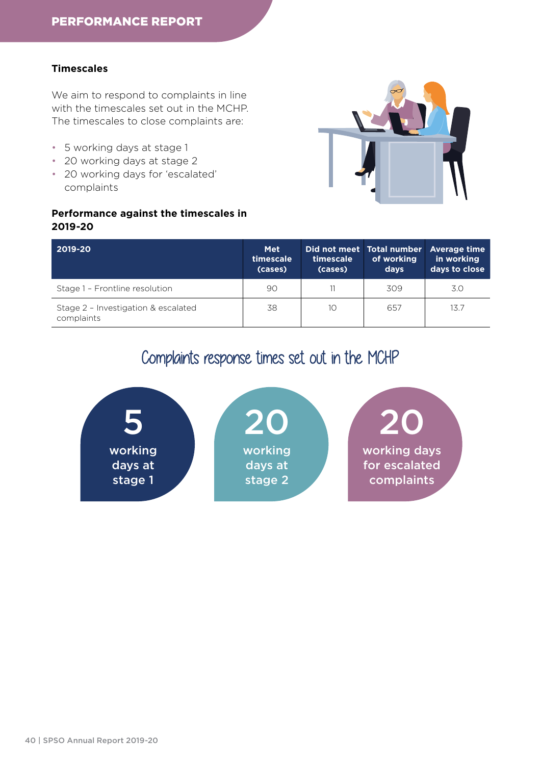### **Timescales**

We aim to respond to complaints in line with the timescales set out in the MCHP. The timescales to close complaints are:

- 5 working days at stage 1
- 20 working days at stage 2
- 20 working days for 'escalated' complaints

#### **Performance against the timescales in 2019-20**



| 2019-20                                           | <b>Met</b><br>timescale<br>(cases) | timescale<br>(cases) | of working<br>days | Did not meet Total number Average time<br>in working<br>days to close |
|---------------------------------------------------|------------------------------------|----------------------|--------------------|-----------------------------------------------------------------------|
| Stage 1 - Frontline resolution                    | 90                                 |                      | 309                | 3.0                                                                   |
| Stage 2 - Investigation & escalated<br>complaints | 38                                 | 10                   | 657                | 13.7                                                                  |

## Complaints response times set out in the MCHP

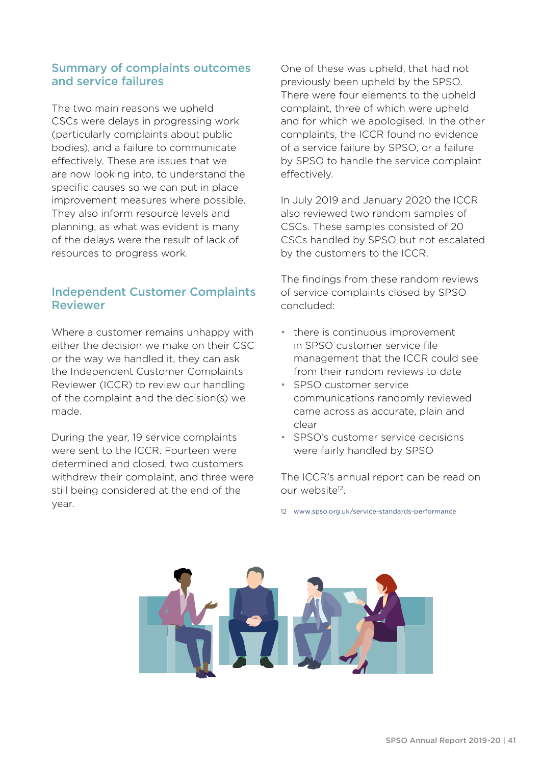## Summary of complaints outcomes and service failures

The two main reasons we upheld CSCs were delays in progressing work (particularly complaints about public bodies), and a failure to communicate effectively. These are issues that we are now looking into, to understand the specific causes so we can put in place improvement measures where possible. They also inform resource levels and planning, as what was evident is many of the delays were the result of lack of resources to progress work.

## Independent Customer Complaints Reviewer

Where a customer remains unhappy with either the decision we make on their CSC or the way we handled it, they can ask the Independent Customer Complaints Reviewer (ICCR) to review our handling of the complaint and the decision(s) we made.

During the year, 19 service complaints were sent to the ICCR. Fourteen were determined and closed, two customers withdrew their complaint, and three were still being considered at the end of the year.

One of these was upheld, that had not previously been upheld by the SPSO. There were four elements to the upheld complaint, three of which were upheld and for which we apologised. In the other complaints, the ICCR found no evidence of a service failure by SPSO, or a failure by SPSO to handle the service complaint effectively.

In July 2019 and January 2020 the ICCR also reviewed two random samples of CSCs. These samples consisted of 20 CSCs handled by SPSO but not escalated by the customers to the ICCR.

The findings from these random reviews of service complaints closed by SPSO concluded:

- there is continuous improvement in SPSO customer service file management that the ICCR could see from their random reviews to date
- SPSO customer service communications randomly reviewed came across as accurate, plain and clear
- SPSO's customer service decisions were fairly handled by SPSO

The ICCR's annual report can be read on our website<sup>12</sup>.

12 [www.spso.org.uk/service-standards-performance](http://www.spso.org.uk/service-standards-performance)

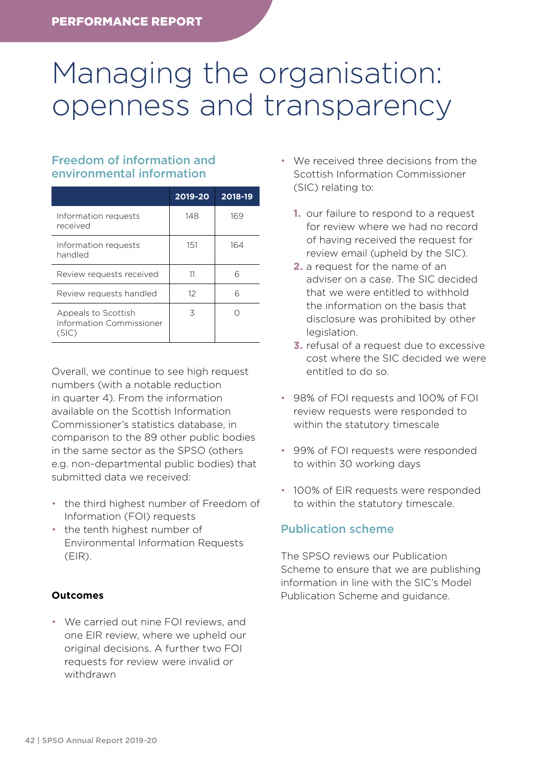# Managing the organisation: openness and transparency

## Freedom of information and environmental information

|                                                          | 2019-20  | 2018-19 |
|----------------------------------------------------------|----------|---------|
| Information requests<br>received                         | 148      | 169     |
| Information requests<br>handled                          | 151      | 164     |
| Review requests received                                 | 11       | 6       |
| Review requests handled                                  | $12^{1}$ | 6       |
| Appeals to Scottish<br>Information Commissioner<br>(SIC) | 3        |         |

Overall, we continue to see high request numbers (with a notable reduction in quarter 4). From the information available on the Scottish Information Commissioner's statistics database, in comparison to the 89 other public bodies in the same sector as the SPSO (others e.g. non-departmental public bodies) that submitted data we received:

- the third highest number of Freedom of Information (FOI) requests
- the tenth highest number of Environmental Information Requests (EIR).

## **Outcomes**

• We carried out nine FOI reviews, and one EIR review, where we upheld our original decisions. A further two FOI requests for review were invalid or withdrawn

- We received three decisions from the Scottish Information Commissioner (SIC) relating to:
	- **1.** our failure to respond to a request for review where we had no record of having received the request for review email (upheld by the SIC).
	- **2.** a request for the name of an adviser on a case. The SIC decided that we were entitled to withhold the information on the basis that disclosure was prohibited by other legislation.
	- **3.** refusal of a request due to excessive cost where the SIC decided we were entitled to do so.
- 98% of FOI requests and 100% of FOI review requests were responded to within the statutory timescale
- 99% of FOI requests were responded to within 30 working days
- 100% of EIR requests were responded to within the statutory timescale.

## Publication scheme

The SPSO reviews our Publication Scheme to ensure that we are publishing information in line with the SIC's Model Publication Scheme and guidance.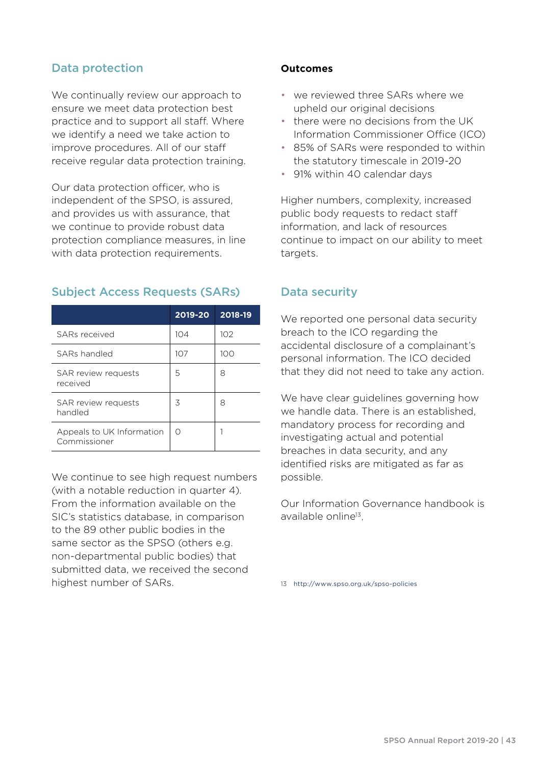## Data protection

We continually review our approach to ensure we meet data protection best practice and to support all staff. Where we identify a need we take action to improve procedures. All of our staff receive regular data protection training.

Our data protection officer, who is independent of the SPSO, is assured, and provides us with assurance, that we continue to provide robust data protection compliance measures, in line with data protection requirements.

## Subject Access Requests (SARs)

|                                           | 2019-20 | 2018-19 |
|-------------------------------------------|---------|---------|
| SARs received                             | 104     | 102     |
| SARs handled                              | 107     | 100     |
| SAR review requests<br>received           | 5       | 8       |
| <b>SAR</b> review requests<br>handled     | 3       | 8       |
| Appeals to UK Information<br>Commissioner | Ω       |         |

We continue to see high request numbers (with a notable reduction in quarter 4). From the information available on the SIC's statistics database, in comparison to the 89 other public bodies in the same sector as the SPSO (others e.g. non-departmental public bodies) that submitted data, we received the second highest number of SARs.

#### **Outcomes**

- we reviewed three SARs where we upheld our original decisions
- there were no decisions from the UK Information Commissioner Office (ICO)
- 85% of SARs were responded to within the statutory timescale in 2019-20
- 91% within 40 calendar days

Higher numbers, complexity, increased public body requests to redact staff information, and lack of resources continue to impact on our ability to meet targets.

## Data security

We reported one personal data security breach to the ICO regarding the accidental disclosure of a complainant's personal information. The ICO decided that they did not need to take any action.

We have clear guidelines governing how we handle data. There is an established, mandatory process for recording and investigating actual and potential breaches in data security, and any identified risks are mitigated as far as possible.

Our Information Governance handbook is available online13.

13 <http://www.spso.org.uk/spso-policies>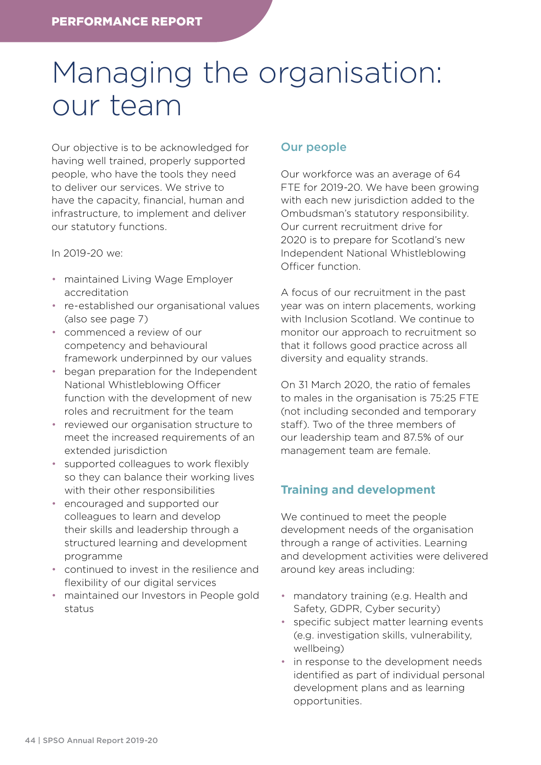# Managing the organisation: our team

Our objective is to be acknowledged for having well trained, properly supported people, who have the tools they need to deliver our services. We strive to have the capacity, financial, human and infrastructure, to implement and deliver our statutory functions.

#### In 2019-20 we:

- maintained Living Wage Employer accreditation
- re-established our organisational values (also see page 7)
- commenced a review of our competency and behavioural framework underpinned by our values
- began preparation for the Independent National Whistleblowing Officer function with the development of new roles and recruitment for the team
- reviewed our organisation structure to meet the increased requirements of an extended jurisdiction
- supported colleagues to work flexibly so they can balance their working lives with their other responsibilities
- encouraged and supported our colleagues to learn and develop their skills and leadership through a structured learning and development programme
- continued to invest in the resilience and flexibility of our digital services
- maintained our Investors in People gold status

## Our people

Our workforce was an average of 64 FTE for 2019-20. We have been growing with each new jurisdiction added to the Ombudsman's statutory responsibility. Our current recruitment drive for 2020 is to prepare for Scotland's new Independent National Whistleblowing Officer function.

A focus of our recruitment in the past year was on intern placements, working with Inclusion Scotland. We continue to monitor our approach to recruitment so that it follows good practice across all diversity and equality strands.

On 31 March 2020, the ratio of females to males in the organisation is 75:25 FTE (not including seconded and temporary staff). Two of the three members of our leadership team and 87.5% of our management team are female.

## **Training and development**

We continued to meet the people development needs of the organisation through a range of activities. Learning and development activities were delivered around key areas including:

- mandatory training (e.g. Health and Safety, GDPR, Cyber security)
- specific subject matter learning events (e.g. investigation skills, vulnerability, wellbeing)
- in response to the development needs identified as part of individual personal development plans and as learning opportunities.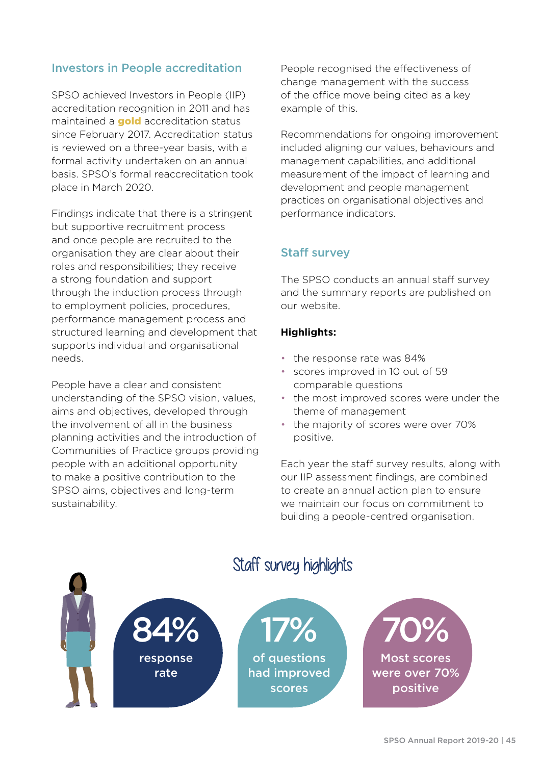## Investors in People accreditation

SPSO achieved Investors in People (IIP) accreditation recognition in 2011 and has maintained a **gold** accreditation status since February 2017. Accreditation status is reviewed on a three-year basis, with a formal activity undertaken on an annual basis. SPSO's formal reaccreditation took place in March 2020.

Findings indicate that there is a stringent but supportive recruitment process and once people are recruited to the organisation they are clear about their roles and responsibilities; they receive a strong foundation and support through the induction process through to employment policies, procedures, performance management process and structured learning and development that supports individual and organisational needs.

People have a clear and consistent understanding of the SPSO vision, values, aims and objectives, developed through the involvement of all in the business planning activities and the introduction of Communities of Practice groups providing people with an additional opportunity to make a positive contribution to the SPSO aims, objectives and long-term sustainability.

People recognised the effectiveness of change management with the success of the office move being cited as a key example of this.

Recommendations for ongoing improvement included aligning our values, behaviours and management capabilities, and additional measurement of the impact of learning and development and people management practices on organisational objectives and performance indicators.

## Staff survey

The SPSO conducts an annual staff survey and the summary reports are published on our website.

## **Highlights:**

- the response rate was 84%
- scores improved in 10 out of 59 comparable questions
- the most improved scores were under the theme of management
- the majority of scores were over 70% positive.

Each year the staff survey results, along with our IIP assessment findings, are combined to create an annual action plan to ensure we maintain our focus on commitment to building a people-centred organisation.



## Staff survey highlights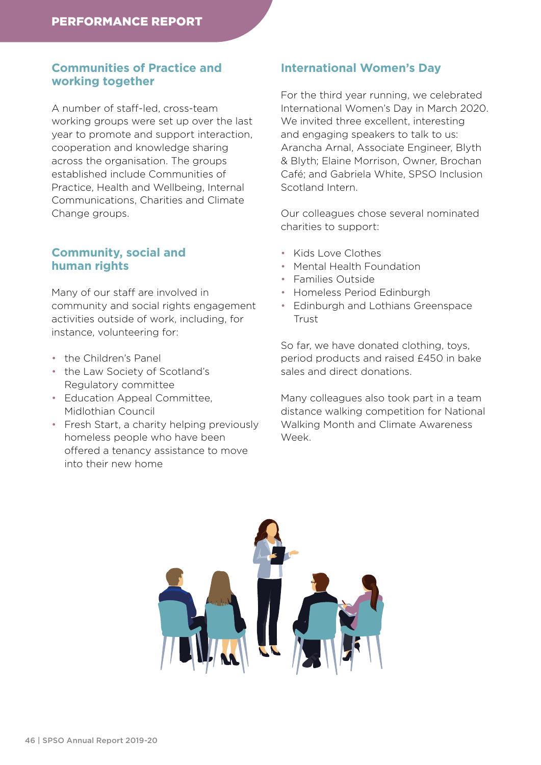## **Communities of Practice and working together**

A number of staff-led, cross-team working groups were set up over the last year to promote and support interaction, cooperation and knowledge sharing across the organisation. The groups established include Communities of Practice, Health and Wellbeing, Internal Communications, Charities and Climate Change groups.

## **Community, social and human rights**

Many of our staff are involved in community and social rights engagement activities outside of work, including, for instance, volunteering for:

- the Children's Panel
- the Law Society of Scotland's Regulatory committee
- Education Appeal Committee, Midlothian Council
- Fresh Start, a charity helping previously homeless people who have been offered a tenancy assistance to move into their new home

## **International Women's Day**

For the third year running, we celebrated International Women's Day in March 2020. We invited three excellent, interesting and engaging speakers to talk to us: Arancha Arnal, Associate Engineer, Blyth & Blyth; Elaine Morrison, Owner, Brochan Café; and Gabriela White, SPSO Inclusion Scotland Intern.

Our colleagues chose several nominated charities to support:

- Kids Love Clothes
- Mental Health Foundation
- Families Outside
- Homeless Period Edinburgh
- Edinburgh and Lothians Greenspace Trust

So far, we have donated clothing, toys, period products and raised £450 in bake sales and direct donations.

Many colleagues also took part in a team distance walking competition for National Walking Month and Climate Awareness Week.

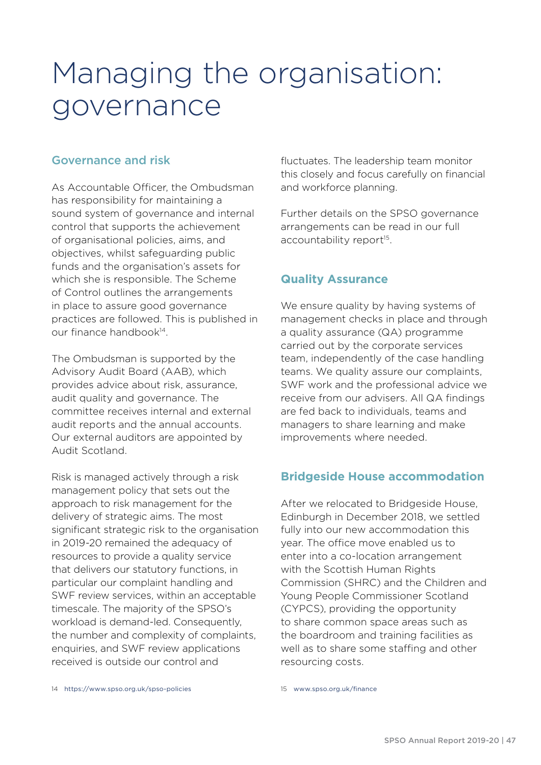# Managing the organisation: governance

## Governance and risk

As Accountable Officer, the Ombudsman has responsibility for maintaining a sound system of governance and internal control that supports the achievement of organisational policies, aims, and objectives, whilst safeguarding public funds and the organisation's assets for which she is responsible. The Scheme of Control outlines the arrangements in place to assure good governance practices are followed. This is published in our finance handbook14.

The Ombudsman is supported by the Advisory Audit Board (AAB), which provides advice about risk, assurance, audit quality and governance. The committee receives internal and external audit reports and the annual accounts. Our external auditors are appointed by Audit Scotland.

Risk is managed actively through a risk management policy that sets out the approach to risk management for the delivery of strategic aims. The most significant strategic risk to the organisation in 2019-20 remained the adequacy of resources to provide a quality service that delivers our statutory functions, in particular our complaint handling and SWF review services, within an acceptable timescale. The majority of the SPSO's workload is demand-led. Consequently, the number and complexity of complaints, enquiries, and SWF review applications received is outside our control and

fluctuates. The leadership team monitor this closely and focus carefully on financial and workforce planning.

Further details on the SPSO governance arrangements can be read in our full accountability report<sup>15</sup>.

## **Quality Assurance**

We ensure quality by having systems of management checks in place and through a quality assurance (QA) programme carried out by the corporate services team, independently of the case handling teams. We quality assure our complaints, SWF work and the professional advice we receive from our advisers. All QA findings are fed back to individuals, teams and managers to share learning and make improvements where needed.

## **Bridgeside House accommodation**

After we relocated to Bridgeside House, Edinburgh in December 2018, we settled fully into our new accommodation this year. The office move enabled us to enter into a co-location arrangement with the Scottish Human Rights Commission (SHRC) and the Children and Young People Commissioner Scotland (CYPCS), providing the opportunity to share common space areas such as the boardroom and training facilities as well as to share some staffing and other resourcing costs.

14 <https://www.spso.org.uk/spso-policies>

<sup>15</sup> [www.spso.org.uk/finance](http://www.spso.org.uk/finance)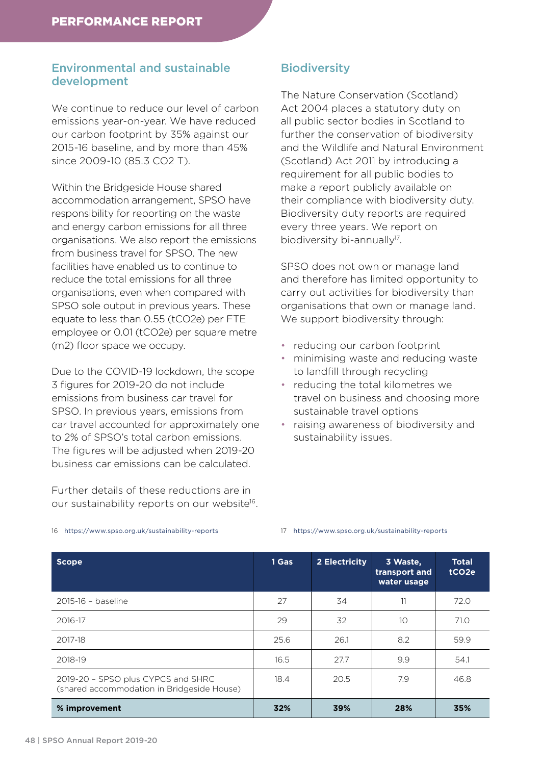## Environmental and sustainable development

We continue to reduce our level of carbon emissions year-on-year. We have reduced our carbon footprint by 35% against our 2015-16 baseline, and by more than 45% since 2009-10 (85.3 CO2 T).

Within the Bridgeside House shared accommodation arrangement, SPSO have responsibility for reporting on the waste and energy carbon emissions for all three organisations. We also report the emissions from business travel for SPSO. The new facilities have enabled us to continue to reduce the total emissions for all three organisations, even when compared with SPSO sole output in previous years. These equate to less than 0.55 (tCO2e) per FTE employee or 0.01 (tCO2e) per square metre (m2) floor space we occupy.

Due to the COVID-19 lockdown, the scope 3 figures for 2019-20 do not include emissions from business car travel for SPSO. In previous years, emissions from car travel accounted for approximately one to 2% of SPSO's total carbon emissions. The figures will be adjusted when 2019-20 business car emissions can be calculated.

Further details of these reductions are in our sustainability reports on our website<sup>16</sup>.

## **Biodiversity**

The Nature Conservation (Scotland) Act 2004 places a statutory duty on all public sector bodies in Scotland to further the conservation of biodiversity and the Wildlife and Natural Environment (Scotland) Act 2011 by introducing a requirement for all public bodies to make a report publicly available on their compliance with biodiversity duty. Biodiversity duty reports are required every three years. We report on biodiversity bi-annually<sup>17</sup>.

SPSO does not own or manage land and therefore has limited opportunity to carry out activities for biodiversity than organisations that own or manage land. We support biodiversity through:

- reducing our carbon footprint
- minimising waste and reducing waste to landfill through recycling
- reducing the total kilometres we travel on business and choosing more sustainable travel options
- raising awareness of biodiversity and sustainability issues.

| <b>Scope</b>                                                                     | 1 Gas | 2 Electricity | 3 Waste,<br>transport and<br>water usage | <b>Total</b><br>tCO <sub>2e</sub> |
|----------------------------------------------------------------------------------|-------|---------------|------------------------------------------|-----------------------------------|
| 2015-16 - baseline                                                               | 27    | 34            | 11                                       | 72.0                              |
| 2016-17                                                                          | 29    | 32            | 10                                       | 71.0                              |
| 2017-18                                                                          | 25.6  | 26.1          | 8.2                                      | 59.9                              |
| 2018-19                                                                          | 16.5  | 27.7          | 9.9                                      | 54.1                              |
| 2019-20 - SPSO plus CYPCS and SHRC<br>(shared accommodation in Bridgeside House) | 18.4  | 20.5          | 7.9                                      | 46.8                              |
| % improvement                                                                    | 32%   | 39%           | 28%                                      | 35%                               |

16 <https://www.spso.org.uk/sustainability-reports>

#### 17 <https://www.spso.org.uk/sustainability-reports>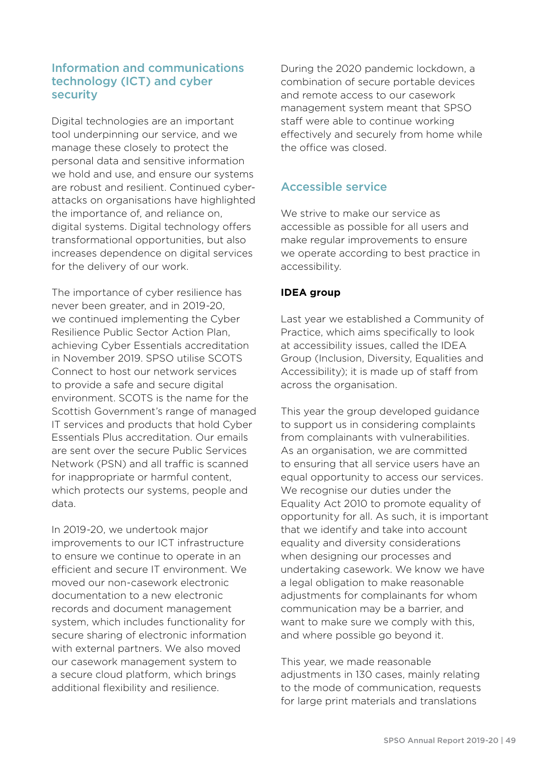## Information and communications technology (ICT) and cyber security

Digital technologies are an important tool underpinning our service, and we manage these closely to protect the personal data and sensitive information we hold and use, and ensure our systems are robust and resilient. Continued cyberattacks on organisations have highlighted the importance of, and reliance on, digital systems. Digital technology offers transformational opportunities, but also increases dependence on digital services for the delivery of our work.

The importance of cyber resilience has never been greater, and in 2019-20, we continued implementing the Cyber Resilience Public Sector Action Plan, achieving Cyber Essentials accreditation in November 2019. SPSO utilise SCOTS Connect to host our network services to provide a safe and secure digital environment. SCOTS is the name for the Scottish Government's range of managed IT services and products that hold Cyber Essentials Plus accreditation. Our emails are sent over the secure Public Services Network (PSN) and all traffic is scanned for inappropriate or harmful content, which protects our systems, people and data.

In 2019-20, we undertook major improvements to our ICT infrastructure to ensure we continue to operate in an efficient and secure IT environment. We moved our non-casework electronic documentation to a new electronic records and document management system, which includes functionality for secure sharing of electronic information with external partners. We also moved our casework management system to a secure cloud platform, which brings additional flexibility and resilience.

During the 2020 pandemic lockdown, a combination of secure portable devices and remote access to our casework management system meant that SPSO staff were able to continue working effectively and securely from home while the office was closed.

## Accessible service

We strive to make our service as accessible as possible for all users and make regular improvements to ensure we operate according to best practice in accessibility.

## **IDEA group**

Last year we established a Community of Practice, which aims specifically to look at accessibility issues, called the IDEA Group (Inclusion, Diversity, Equalities and Accessibility); it is made up of staff from across the organisation.

This year the group developed guidance to support us in considering complaints from complainants with vulnerabilities. As an organisation, we are committed to ensuring that all service users have an equal opportunity to access our services. We recognise our duties under the Equality Act 2010 to promote equality of opportunity for all. As such, it is important that we identify and take into account equality and diversity considerations when designing our processes and undertaking casework. We know we have a legal obligation to make reasonable adjustments for complainants for whom communication may be a barrier, and want to make sure we comply with this, and where possible go beyond it.

This year, we made reasonable adjustments in 130 cases, mainly relating to the mode of communication, requests for large print materials and translations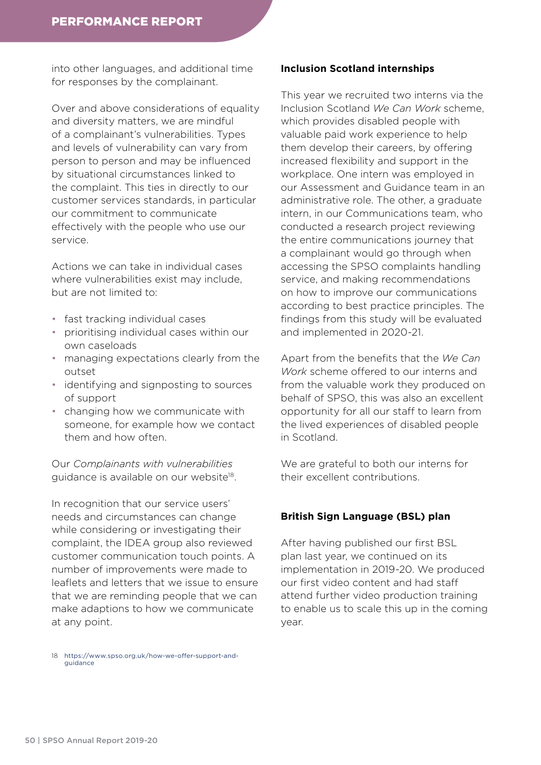into other languages, and additional time for responses by the complainant.

Over and above considerations of equality and diversity matters, we are mindful of a complainant's vulnerabilities. Types and levels of vulnerability can vary from person to person and may be influenced by situational circumstances linked to the complaint. This ties in directly to our customer services standards, in particular our commitment to communicate effectively with the people who use our service.

Actions we can take in individual cases where vulnerabilities exist may include, but are not limited to:

- fast tracking individual cases
- prioritising individual cases within our own caseloads
- managing expectations clearly from the outset
- identifying and signposting to sources of support
- changing how we communicate with someone, for example how we contact them and how often.

Our *Complainants with vulnerabilities* guidance is available on our website<sup>18</sup>.

In recognition that our service users' needs and circumstances can change while considering or investigating their complaint, the IDEA group also reviewed customer communication touch points. A number of improvements were made to leaflets and letters that we issue to ensure that we are reminding people that we can make adaptions to how we communicate at any point.

#### **Inclusion Scotland internships**

This year we recruited two interns via the Inclusion Scotland *We Can Work* scheme, which provides disabled people with valuable paid work experience to help them develop their careers, by offering increased flexibility and support in the workplace. One intern was employed in our Assessment and Guidance team in an administrative role. The other, a graduate intern, in our Communications team, who conducted a research project reviewing the entire communications journey that a complainant would go through when accessing the SPSO complaints handling service, and making recommendations on how to improve our communications according to best practice principles. The findings from this study will be evaluated and implemented in 2020-21.

Apart from the benefits that the *We Can Work* scheme offered to our interns and from the valuable work they produced on behalf of SPSO, this was also an excellent opportunity for all our staff to learn from the lived experiences of disabled people in Scotland.

We are grateful to both our interns for their excellent contributions.

#### **British Sign Language (BSL) plan**

After having published our first BSL plan last year, we continued on its implementation in 2019-20. We produced our first video content and had staff attend further video production training to enable us to scale this up in the coming year.

18 [https://www.spso.org.uk/how-we-offer-support-and](https://www.spso.org.uk/how-we-offer-support-and-guidance)[guidance](https://www.spso.org.uk/how-we-offer-support-and-guidance)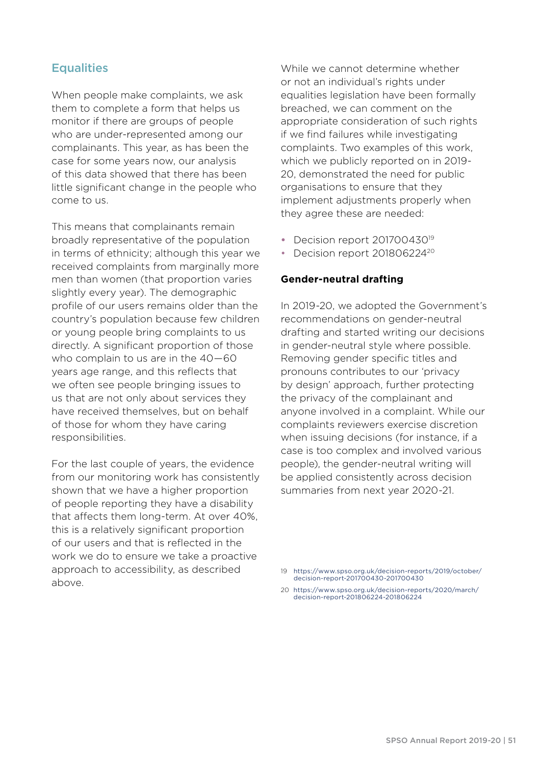## **Equalities**

When people make complaints, we ask them to complete a form that helps us monitor if there are groups of people who are under-represented among our complainants. This year, as has been the case for some years now, our analysis of this data showed that there has been little significant change in the people who come to us.

This means that complainants remain broadly representative of the population in terms of ethnicity; although this year we received complaints from marginally more men than women (that proportion varies slightly every year). The demographic profile of our users remains older than the country's population because few children or young people bring complaints to us directly. A significant proportion of those who complain to us are in the 40—60 years age range, and this reflects that we often see people bringing issues to us that are not only about services they have received themselves, but on behalf of those for whom they have caring responsibilities.

For the last couple of years, the evidence from our monitoring work has consistently shown that we have a higher proportion of people reporting they have a disability that affects them long-term. At over 40%, this is a relatively significant proportion of our users and that is reflected in the work we do to ensure we take a proactive approach to accessibility, as described above.

While we cannot determine whether or not an individual's rights under equalities legislation have been formally breached, we can comment on the appropriate consideration of such rights if we find failures while investigating complaints. Two examples of this work, which we publicly reported on in 2019- 20, demonstrated the need for public organisations to ensure that they implement adjustments properly when they agree these are needed:

- Decision report 201700430<sup>19</sup>
- Decision report 201806224<sup>20</sup>

#### **Gender-neutral drafting**

In 2019-20, we adopted the Government's recommendations on gender-neutral drafting and started writing our decisions in gender-neutral style where possible. Removing gender specific titles and pronouns contributes to our 'privacy by design' approach, further protecting the privacy of the complainant and anyone involved in a complaint. While our complaints reviewers exercise discretion when issuing decisions (for instance, if a case is too complex and involved various people), the gender-neutral writing will be applied consistently across decision summaries from next year 2020-21.

20 [https://www.spso.org.uk/decision-reports/2020/march/](https://www.spso.org.uk/decision-reports/2020/march/decision-report-201806224-201806224) [decision-report-201806224-201806224](https://www.spso.org.uk/decision-reports/2020/march/decision-report-201806224-201806224)

<sup>19</sup> [https://www.spso.org.uk/decision-reports/2019/october/](https://www.spso.org.uk/decision-reports/2019/october/decision-report-201700430-201700430) [decision-report-201700430-201700430](https://www.spso.org.uk/decision-reports/2019/october/decision-report-201700430-201700430)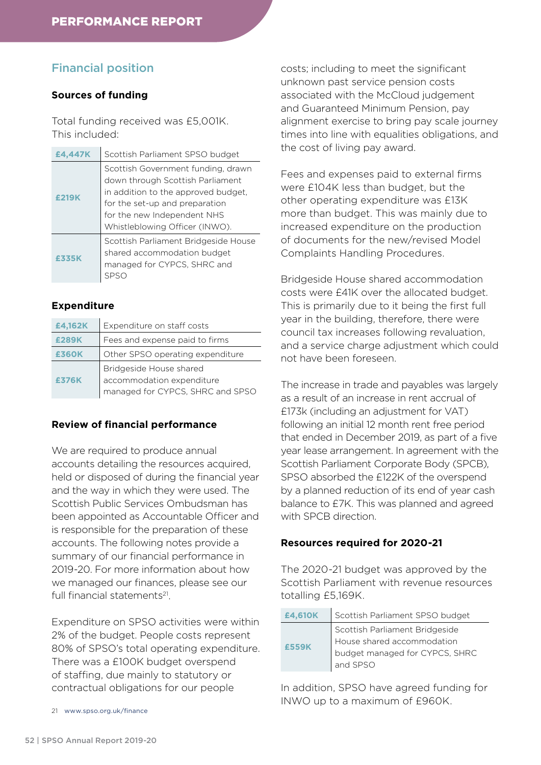## Financial position

#### **Sources of funding**

Total funding received was £5,001K. This included:

| £4,447K | Scottish Parliament SPSO budget                                                                                                                                                                                  |
|---------|------------------------------------------------------------------------------------------------------------------------------------------------------------------------------------------------------------------|
| £219K   | Scottish Government funding, drawn<br>down through Scottish Parliament<br>in addition to the approved budget,<br>for the set-up and preparation<br>for the new Independent NHS<br>Whistleblowing Officer (INWO). |
| £335K   | Scottish Parliament Bridgeside House<br>shared accommodation budget<br>managed for CYPCS, SHRC and                                                                                                               |

#### **Expenditure**

| £4,162K      | Expenditure on staff costs       |
|--------------|----------------------------------|
| £289K        | Fees and expense paid to firms   |
| <b>£360K</b> | Other SPSO operating expenditure |
|              | Bridgeside House shared          |
| £376K        | accommodation expenditure        |
|              | managed for CYPCS, SHRC and SPSO |

#### **Review of financial performance**

We are required to produce annual accounts detailing the resources acquired, held or disposed of during the financial year and the way in which they were used. The Scottish Public Services Ombudsman has been appointed as Accountable Officer and is responsible for the preparation of these accounts. The following notes provide a summary of our financial performance in 2019-20. For more information about how we managed our finances, please see our full financial statements<sup>21</sup>.

Expenditure on SPSO activities were within 2% of the budget. People costs represent 80% of SPSO's total operating expenditure. There was a £100K budget overspend of staffing, due mainly to statutory or contractual obligations for our people

costs; including to meet the significant unknown past service pension costs associated with the McCloud judgement and Guaranteed Minimum Pension, pay alignment exercise to bring pay scale journey times into line with equalities obligations, and the cost of living pay award.

Fees and expenses paid to external firms were £104K less than budget, but the other operating expenditure was £13K more than budget. This was mainly due to increased expenditure on the production of documents for the new/revised Model Complaints Handling Procedures.

Bridgeside House shared accommodation costs were £41K over the allocated budget. This is primarily due to it being the first full year in the building, therefore, there were council tax increases following revaluation, and a service charge adjustment which could not have been foreseen.

The increase in trade and payables was largely as a result of an increase in rent accrual of £173k (including an adjustment for VAT) following an initial 12 month rent free period that ended in December 2019, as part of a five year lease arrangement. In agreement with the Scottish Parliament Corporate Body (SPCB), SPSO absorbed the £122K of the overspend by a planned reduction of its end of year cash balance to £7K. This was planned and agreed with SPCB direction.

#### **Resources required for 2020-21**

The 2020-21 budget was approved by the Scottish Parliament with revenue resources totalling £5,169K.

| £4,610K | Scottish Parliament SPSO budget                                                                |
|---------|------------------------------------------------------------------------------------------------|
|         | Scottish Parliament Bridgeside<br>House shared accommodation<br>budget managed for CYPCS, SHRC |
| £559K   |                                                                                                |
|         |                                                                                                |
|         | and SPSO                                                                                       |

In addition, SPSO have agreed funding for INWO up to a maximum of £960K.

<sup>21</sup> [www.spso.org.uk/finance](http://www.spso.org.uk/finance)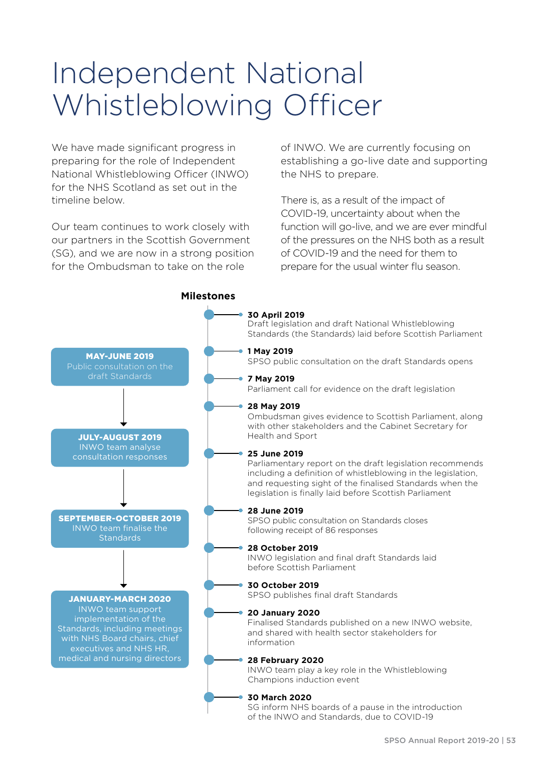# Independent National Whistleblowing Officer

We have made significant progress in preparing for the role of Independent National Whistleblowing Officer (INWO) for the NHS Scotland as set out in the timeline below.

Our team continues to work closely with our partners in the Scottish Government (SG), and we are now in a strong position for the Ombudsman to take on the role

of INWO. We are currently focusing on establishing a go-live date and supporting the NHS to prepare.

There is, as a result of the impact of COVID-19, uncertainty about when the function will go-live, and we are ever mindful of the pressures on the NHS both as a result of COVID-19 and the need for them to prepare for the usual winter flu season.

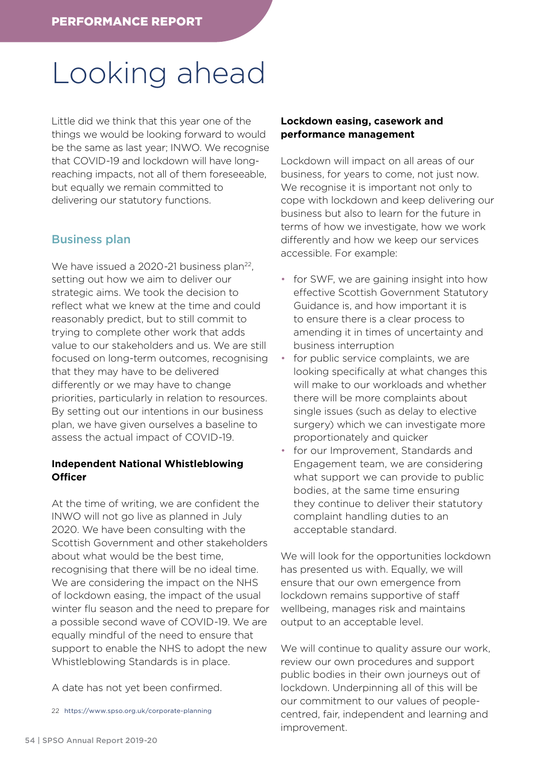# Looking ahead

Little did we think that this year one of the things we would be looking forward to would be the same as last year; INWO. We recognise that COVID-19 and lockdown will have longreaching impacts, not all of them foreseeable, but equally we remain committed to delivering our statutory functions.

## Business plan

We have issued a 2020-21 business plan<sup>22</sup>, setting out how we aim to deliver our strategic aims. We took the decision to reflect what we knew at the time and could reasonably predict, but to still commit to trying to complete other work that adds value to our stakeholders and us. We are still focused on long-term outcomes, recognising that they may have to be delivered differently or we may have to change priorities, particularly in relation to resources. By setting out our intentions in our business plan, we have given ourselves a baseline to assess the actual impact of COVID-19.

## **Independent National Whistleblowing Officer**

At the time of writing, we are confident the INWO will not go live as planned in July 2020. We have been consulting with the Scottish Government and other stakeholders about what would be the best time, recognising that there will be no ideal time. We are considering the impact on the NHS of lockdown easing, the impact of the usual winter flu season and the need to prepare for a possible second wave of COVID-19. We are equally mindful of the need to ensure that support to enable the NHS to adopt the new Whistleblowing Standards is in place.

A date has not yet been confirmed.

22 <https://www.spso.org.uk/corporate-planning>

## **Lockdown easing, casework and performance management**

Lockdown will impact on all areas of our business, for years to come, not just now. We recognise it is important not only to cope with lockdown and keep delivering our business but also to learn for the future in terms of how we investigate, how we work differently and how we keep our services accessible. For example:

- for SWF, we are gaining insight into how effective Scottish Government Statutory Guidance is, and how important it is to ensure there is a clear process to amending it in times of uncertainty and business interruption
- for public service complaints, we are looking specifically at what changes this will make to our workloads and whether there will be more complaints about single issues (such as delay to elective surgery) which we can investigate more proportionately and quicker
- for our Improvement, Standards and Engagement team, we are considering what support we can provide to public bodies, at the same time ensuring they continue to deliver their statutory complaint handling duties to an acceptable standard.

We will look for the opportunities lockdown has presented us with. Equally, we will ensure that our own emergence from lockdown remains supportive of staff wellbeing, manages risk and maintains output to an acceptable level.

We will continue to quality assure our work, review our own procedures and support public bodies in their own journeys out of lockdown. Underpinning all of this will be our commitment to our values of peoplecentred, fair, independent and learning and improvement.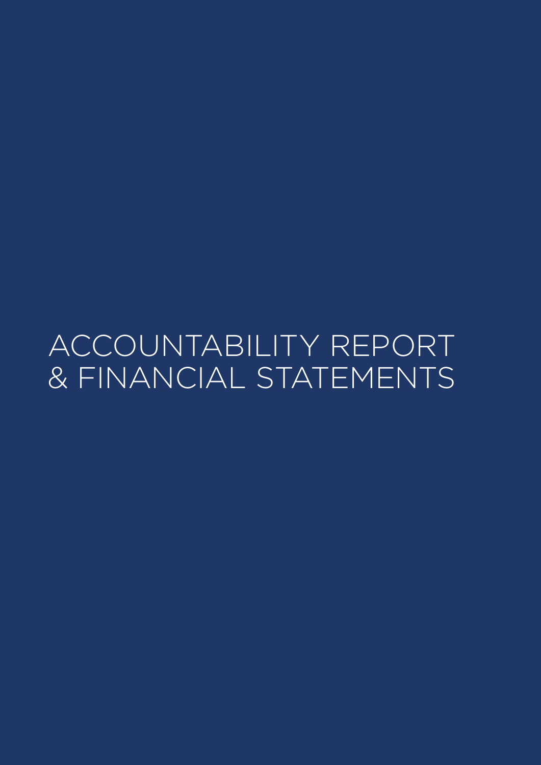ACCOUNTABILITY REPORT & FINANCIAL STATEMENTS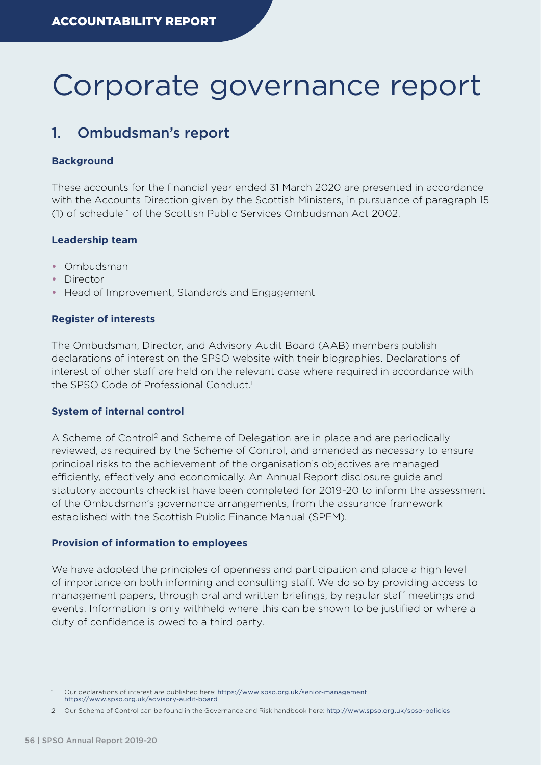# Corporate governance report

## 1. Ombudsman's report

#### **Background**

These accounts for the financial year ended 31 March 2020 are presented in accordance with the Accounts Direction given by the Scottish Ministers, in pursuance of paragraph 15 (1) of schedule 1 of the Scottish Public Services Ombudsman Act 2002.

#### **Leadership team**

- **•** Ombudsman
- **•** Director
- **•** Head of Improvement, Standards and Engagement

#### **Register of interests**

The Ombudsman, Director, and Advisory Audit Board (AAB) members publish declarations of interest on the SPSO website with their biographies. Declarations of interest of other staff are held on the relevant case where required in accordance with the SPSO Code of Professional Conduct<sup>1</sup>

#### **System of internal control**

A Scheme of Control<sup>2</sup> and Scheme of Delegation are in place and are periodically reviewed, as required by the Scheme of Control, and amended as necessary to ensure principal risks to the achievement of the organisation's objectives are managed efficiently, effectively and economically. An Annual Report disclosure guide and statutory accounts checklist have been completed for 2019-20 to inform the assessment of the Ombudsman's governance arrangements, from the assurance framework established with the Scottish Public Finance Manual (SPFM).

#### **Provision of information to employees**

We have adopted the principles of openness and participation and place a high level of importance on both informing and consulting staff. We do so by providing access to management papers, through oral and written briefings, by regular staff meetings and events. Information is only withheld where this can be shown to be justified or where a duty of confidence is owed to a third party.

Our declarations of interest are published here: <https://www.spso.org.uk/senior-management> <https://www.spso.org.uk/advisory-audit-board>

<sup>2</sup> Our Scheme of Control can be found in the Governance and Risk handbook here: <http://www.spso.org.uk/spso-policies>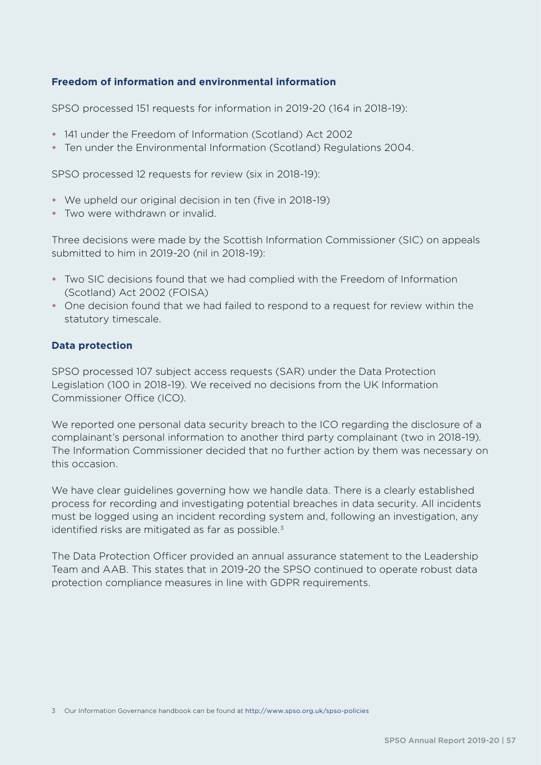## **Freedom of information and environmental information**

SPSO processed 151 requests for information in 2019-20 (164 in 2018-19):

- **•** 141 under the Freedom of Information (Scotland) Act 2002
- **•** Ten under the Environmental Information (Scotland) Regulations 2004.

SPSO processed 12 requests for review (six in 2018-19):

- **•** We upheld our original decision in ten (five in 2018-19)
- **•** Two were withdrawn or invalid.

Three decisions were made by the Scottish Information Commissioner (SIC) on appeals submitted to him in 2019-20 (nil in 2018-19):

- **•** Two SIC decisions found that we had complied with the Freedom of Information (Scotland) Act 2002 (FOISA)
- **•** One decision found that we had failed to respond to a request for review within the statutory timescale.

#### **Data protection**

SPSO processed 107 subject access requests (SAR) under the Data Protection Legislation (100 in 2018-19). We received no decisions from the UK Information Commissioner Office (ICO).

We reported one personal data security breach to the ICO regarding the disclosure of a complainant's personal information to another third party complainant (two in 2018-19). The Information Commissioner decided that no further action by them was necessary on this occasion.

We have clear guidelines governing how we handle data. There is a clearly established process for recording and investigating potential breaches in data security. All incidents must be logged using an incident recording system and, following an investigation, any identified risks are mitigated as far as possible. $3$ 

The Data Protection Officer provided an annual assurance statement to the Leadership Team and AAB. This states that in 2019-20 the SPSO continued to operate robust data protection compliance measures in line with GDPR requirements.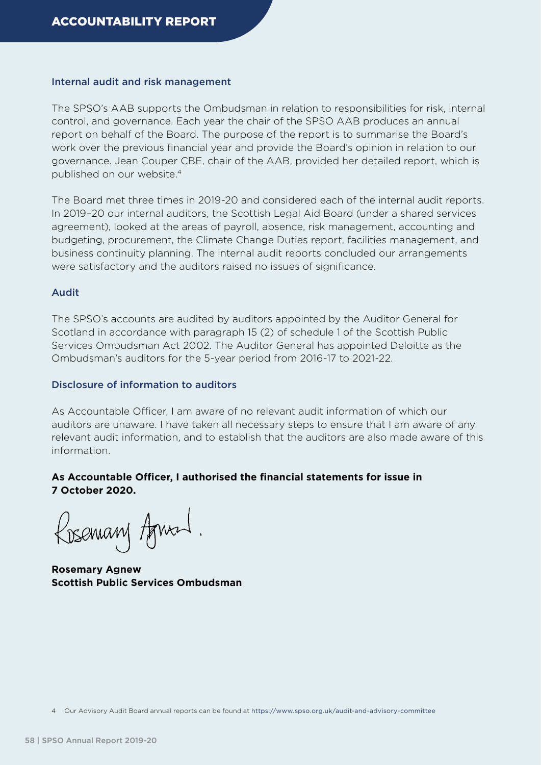#### Internal audit and risk management

The SPSO's AAB supports the Ombudsman in relation to responsibilities for risk, internal control, and governance. Each year the chair of the SPSO AAB produces an annual report on behalf of the Board. The purpose of the report is to summarise the Board's work over the previous financial year and provide the Board's opinion in relation to our governance. Jean Couper CBE, chair of the AAB, provided her detailed report, which is published on our website.4

The Board met three times in 2019-20 and considered each of the internal audit reports. In 2019–20 our internal auditors, the Scottish Legal Aid Board (under a shared services agreement), looked at the areas of payroll, absence, risk management, accounting and budgeting, procurement, the Climate Change Duties report, facilities management, and business continuity planning. The internal audit reports concluded our arrangements were satisfactory and the auditors raised no issues of significance.

#### Audit

The SPSO's accounts are audited by auditors appointed by the Auditor General for Scotland in accordance with paragraph 15 (2) of schedule 1 of the Scottish Public Services Ombudsman Act 2002. The Auditor General has appointed Deloitte as the Ombudsman's auditors for the 5-year period from 2016-17 to 2021-22.

#### Disclosure of information to auditors

As Accountable Officer, I am aware of no relevant audit information of which our auditors are unaware. I have taken all necessary steps to ensure that I am aware of any relevant audit information, and to establish that the auditors are also made aware of this information.

#### **As Accountable Officer, I authorised the financial statements for issue in 7 October 2020.**

Rosemary Agneed.

**Rosemary Agnew Scottish Public Services Ombudsman**

4 Our Advisory Audit Board annual reports can be found at <https://www.spso.org.uk/audit-and-advisory-committee>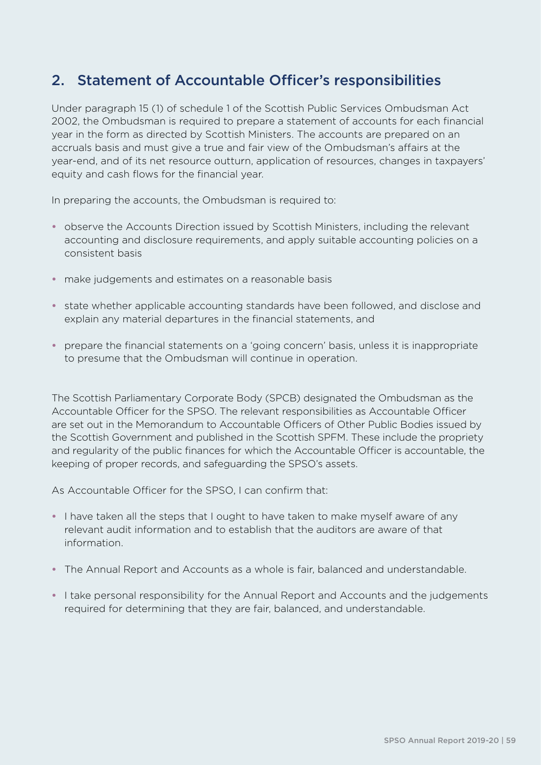## 2. Statement of Accountable Officer's responsibilities

Under paragraph 15 (1) of schedule 1 of the Scottish Public Services Ombudsman Act 2002, the Ombudsman is required to prepare a statement of accounts for each financial year in the form as directed by Scottish Ministers. The accounts are prepared on an accruals basis and must give a true and fair view of the Ombudsman's affairs at the year-end, and of its net resource outturn, application of resources, changes in taxpayers' equity and cash flows for the financial year.

In preparing the accounts, the Ombudsman is required to:

- **•** observe the Accounts Direction issued by Scottish Ministers, including the relevant accounting and disclosure requirements, and apply suitable accounting policies on a consistent basis
- **•** make judgements and estimates on a reasonable basis
- **•** state whether applicable accounting standards have been followed, and disclose and explain any material departures in the financial statements, and
- **•** prepare the financial statements on a 'going concern' basis, unless it is inappropriate to presume that the Ombudsman will continue in operation.

The Scottish Parliamentary Corporate Body (SPCB) designated the Ombudsman as the Accountable Officer for the SPSO. The relevant responsibilities as Accountable Officer are set out in the Memorandum to Accountable Officers of Other Public Bodies issued by the Scottish Government and published in the Scottish SPFM. These include the propriety and regularity of the public finances for which the Accountable Officer is accountable, the keeping of proper records, and safeguarding the SPSO's assets.

As Accountable Officer for the SPSO, I can confirm that:

- **•** I have taken all the steps that I ought to have taken to make myself aware of any relevant audit information and to establish that the auditors are aware of that information.
- **•** The Annual Report and Accounts as a whole is fair, balanced and understandable.
- **•** I take personal responsibility for the Annual Report and Accounts and the judgements required for determining that they are fair, balanced, and understandable.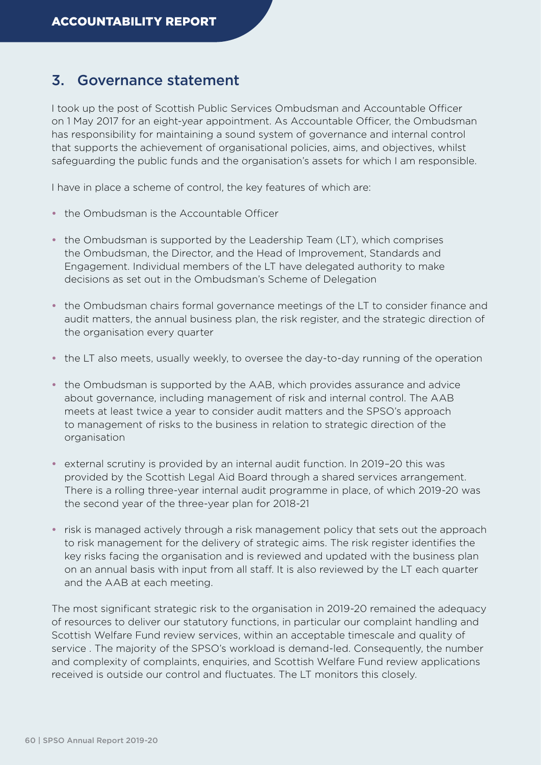## 3. Governance statement

I took up the post of Scottish Public Services Ombudsman and Accountable Officer on 1 May 2017 for an eight-year appointment. As Accountable Officer, the Ombudsman has responsibility for maintaining a sound system of governance and internal control that supports the achievement of organisational policies, aims, and objectives, whilst safeguarding the public funds and the organisation's assets for which I am responsible.

I have in place a scheme of control, the key features of which are:

- **•** the Ombudsman is the Accountable Officer
- **•** the Ombudsman is supported by the Leadership Team (LT), which comprises the Ombudsman, the Director, and the Head of Improvement, Standards and Engagement. Individual members of the LT have delegated authority to make decisions as set out in the Ombudsman's Scheme of Delegation
- **•** the Ombudsman chairs formal governance meetings of the LT to consider finance and audit matters, the annual business plan, the risk register, and the strategic direction of the organisation every quarter
- **•** the LT also meets, usually weekly, to oversee the day-to-day running of the operation
- **•** the Ombudsman is supported by the AAB, which provides assurance and advice about governance, including management of risk and internal control. The AAB meets at least twice a year to consider audit matters and the SPSO's approach to management of risks to the business in relation to strategic direction of the organisation
- **•** external scrutiny is provided by an internal audit function. In 2019–20 this was provided by the Scottish Legal Aid Board through a shared services arrangement. There is a rolling three-year internal audit programme in place, of which 2019-20 was the second year of the three-year plan for 2018-21
- **•** risk is managed actively through a risk management policy that sets out the approach to risk management for the delivery of strategic aims. The risk register identifies the key risks facing the organisation and is reviewed and updated with the business plan on an annual basis with input from all staff. It is also reviewed by the LT each quarter and the AAB at each meeting.

The most significant strategic risk to the organisation in 2019-20 remained the adequacy of resources to deliver our statutory functions, in particular our complaint handling and Scottish Welfare Fund review services, within an acceptable timescale and quality of service . The majority of the SPSO's workload is demand-led. Consequently, the number and complexity of complaints, enquiries, and Scottish Welfare Fund review applications received is outside our control and fluctuates. The LT monitors this closely.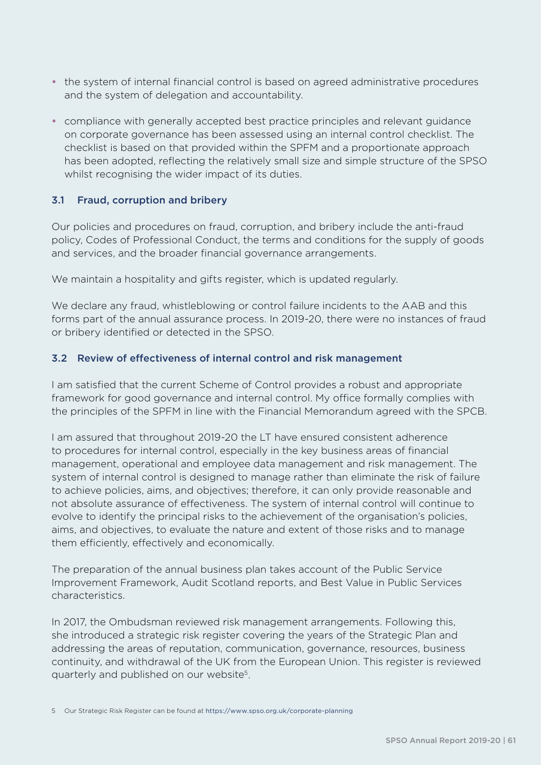- **•** the system of internal financial control is based on agreed administrative procedures and the system of delegation and accountability.
- **•** compliance with generally accepted best practice principles and relevant guidance on corporate governance has been assessed using an internal control checklist. The checklist is based on that provided within the SPFM and a proportionate approach has been adopted, reflecting the relatively small size and simple structure of the SPSO whilst recognising the wider impact of its duties.

## 3.1 Fraud, corruption and bribery

Our policies and procedures on fraud, corruption, and bribery include the anti-fraud policy, Codes of Professional Conduct, the terms and conditions for the supply of goods and services, and the broader financial governance arrangements.

We maintain a hospitality and gifts register, which is updated regularly.

We declare any fraud, whistleblowing or control failure incidents to the AAB and this forms part of the annual assurance process. In 2019-20, there were no instances of fraud or bribery identified or detected in the SPSO.

## 3.2 Review of effectiveness of internal control and risk management

I am satisfied that the current Scheme of Control provides a robust and appropriate framework for good governance and internal control. My office formally complies with the principles of the SPFM in line with the Financial Memorandum agreed with the SPCB.

I am assured that throughout 2019-20 the LT have ensured consistent adherence to procedures for internal control, especially in the key business areas of financial management, operational and employee data management and risk management. The system of internal control is designed to manage rather than eliminate the risk of failure to achieve policies, aims, and objectives; therefore, it can only provide reasonable and not absolute assurance of effectiveness. The system of internal control will continue to evolve to identify the principal risks to the achievement of the organisation's policies, aims, and objectives, to evaluate the nature and extent of those risks and to manage them efficiently, effectively and economically.

The preparation of the annual business plan takes account of the Public Service Improvement Framework, Audit Scotland reports, and Best Value in Public Services characteristics.

In 2017, the Ombudsman reviewed risk management arrangements. Following this, she introduced a strategic risk register covering the years of the Strategic Plan and addressing the areas of reputation, communication, governance, resources, business continuity, and withdrawal of the UK from the European Union. This register is reviewed quarterly and published on our website5.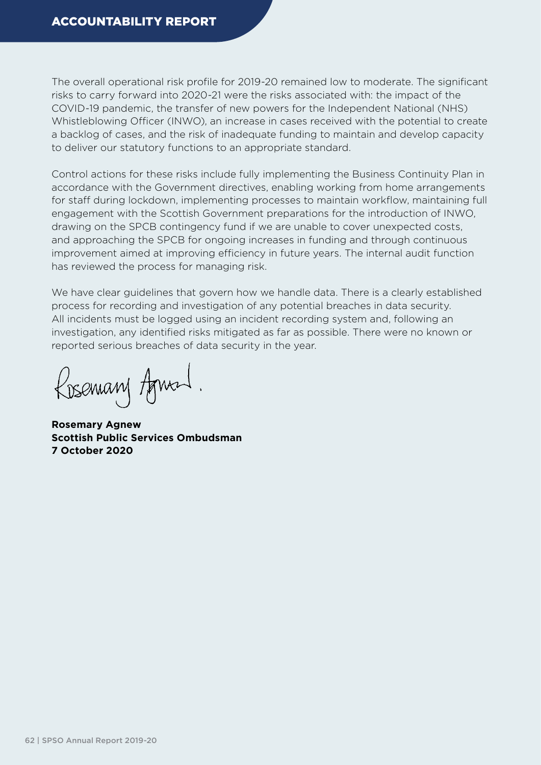The overall operational risk profile for 2019-20 remained low to moderate. The significant risks to carry forward into 2020-21 were the risks associated with: the impact of the COVID-19 pandemic, the transfer of new powers for the Independent National (NHS) Whistleblowing Officer (INWO), an increase in cases received with the potential to create a backlog of cases, and the risk of inadequate funding to maintain and develop capacity to deliver our statutory functions to an appropriate standard.

Control actions for these risks include fully implementing the Business Continuity Plan in accordance with the Government directives, enabling working from home arrangements for staff during lockdown, implementing processes to maintain workflow, maintaining full engagement with the Scottish Government preparations for the introduction of INWO, drawing on the SPCB contingency fund if we are unable to cover unexpected costs, and approaching the SPCB for ongoing increases in funding and through continuous improvement aimed at improving efficiency in future years. The internal audit function has reviewed the process for managing risk.

We have clear guidelines that govern how we handle data. There is a clearly established process for recording and investigation of any potential breaches in data security. All incidents must be logged using an incident recording system and, following an investigation, any identified risks mitigated as far as possible. There were no known or reported serious breaches of data security in the year.

Rosemary Agneed.

**Rosemary Agnew Scottish Public Services Ombudsman 7 October 2020**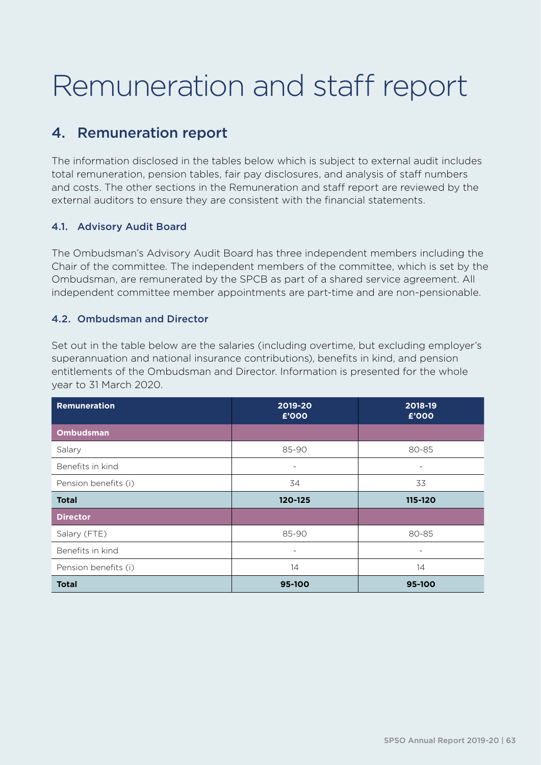# Remuneration and staff report

## 4. Remuneration report

The information disclosed in the tables below which is subject to external audit includes total remuneration, pension tables, fair pay disclosures, and analysis of staff numbers and costs. The other sections in the Remuneration and staff report are reviewed by the external auditors to ensure they are consistent with the financial statements.

## 4.1. Advisory Audit Board

The Ombudsman's Advisory Audit Board has three independent members including the Chair of the committee. The independent members of the committee, which is set by the Ombudsman, are remunerated by the SPCB as part of a shared service agreement. All independent committee member appointments are part-time and are non-pensionable.

## 4.2. Ombudsman and Director

Set out in the table below are the salaries (including overtime, but excluding employer's superannuation and national insurance contributions), benefits in kind, and pension entitlements of the Ombudsman and Director. Information is presented for the whole year to 31 March 2020.

| Remuneration         | 2019-20<br>£'000 | 2018-19<br>£'000         |
|----------------------|------------------|--------------------------|
| <b>Ombudsman</b>     |                  |                          |
| Salary               | 85-90            | 80-85                    |
| Benefits in kind     | -                | $\overline{\phantom{a}}$ |
| Pension benefits (i) | 34               | 33                       |
| <b>Total</b>         | 120-125          | 115-120                  |
| <b>Director</b>      |                  |                          |
| Salary (FTE)         | 85-90            | 80-85                    |
| Benefits in kind     | ۰                |                          |
| Pension benefits (i) | 14               | 14                       |
| <b>Total</b>         | 95-100           | 95-100                   |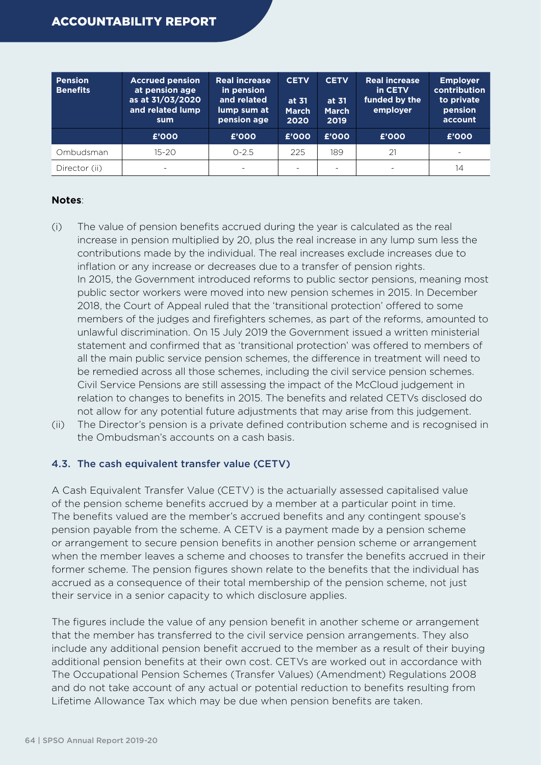| <b>Pension</b><br><b>Benefits</b> | <b>Accrued pension</b><br>at pension age<br>as at 31/03/2020<br>and related lump<br>sum | <b>Real increase</b><br>in pension<br>and related<br>lump sum at<br>pension age | <b>CETV</b><br>at 31<br><b>March</b><br>2020 | <b>CETV</b><br>at 31<br><b>March</b><br>2019 | <b>Real increase</b><br>in CETV<br>funded by the<br>employer | <b>Employer</b><br>contribution<br>to private<br>pension<br>account |
|-----------------------------------|-----------------------------------------------------------------------------------------|---------------------------------------------------------------------------------|----------------------------------------------|----------------------------------------------|--------------------------------------------------------------|---------------------------------------------------------------------|
|                                   | £'000                                                                                   | £'000                                                                           | £'000                                        | £'000                                        | £'000                                                        | £'000                                                               |
| Ombudsman                         | $15 - 20$                                                                               | $0 - 2.5$                                                                       | 225                                          | 189                                          | 21                                                           | $\equiv$                                                            |
| Director (ii)                     | $\overline{\phantom{0}}$                                                                | $\overline{\phantom{0}}$                                                        |                                              | ۰                                            |                                                              | 14                                                                  |

#### **Notes**:

- (i) The value of pension benefits accrued during the year is calculated as the real increase in pension multiplied by 20, plus the real increase in any lump sum less the contributions made by the individual. The real increases exclude increases due to inflation or any increase or decreases due to a transfer of pension rights. In 2015, the Government introduced reforms to public sector pensions, meaning most public sector workers were moved into new pension schemes in 2015. In December 2018, the Court of Appeal ruled that the 'transitional protection' offered to some members of the judges and firefighters schemes, as part of the reforms, amounted to unlawful discrimination. On 15 July 2019 the Government issued a written ministerial statement and confirmed that as 'transitional protection' was offered to members of all the main public service pension schemes, the difference in treatment will need to be remedied across all those schemes, including the civil service pension schemes. Civil Service Pensions are still assessing the impact of the McCloud judgement in relation to changes to benefits in 2015. The benefits and related CETVs disclosed do not allow for any potential future adjustments that may arise from this judgement.
- (ii) The Director's pension is a private defined contribution scheme and is recognised in the Ombudsman's accounts on a cash basis.

## 4.3. The cash equivalent transfer value (CETV)

A Cash Equivalent Transfer Value (CETV) is the actuarially assessed capitalised value of the pension scheme benefits accrued by a member at a particular point in time. The benefits valued are the member's accrued benefits and any contingent spouse's pension payable from the scheme. A CETV is a payment made by a pension scheme or arrangement to secure pension benefits in another pension scheme or arrangement when the member leaves a scheme and chooses to transfer the benefits accrued in their former scheme. The pension figures shown relate to the benefits that the individual has accrued as a consequence of their total membership of the pension scheme, not just their service in a senior capacity to which disclosure applies.

The figures include the value of any pension benefit in another scheme or arrangement that the member has transferred to the civil service pension arrangements. They also include any additional pension benefit accrued to the member as a result of their buying additional pension benefits at their own cost. CETVs are worked out in accordance with The Occupational Pension Schemes (Transfer Values) (Amendment) Regulations 2008 and do not take account of any actual or potential reduction to benefits resulting from Lifetime Allowance Tax which may be due when pension benefits are taken.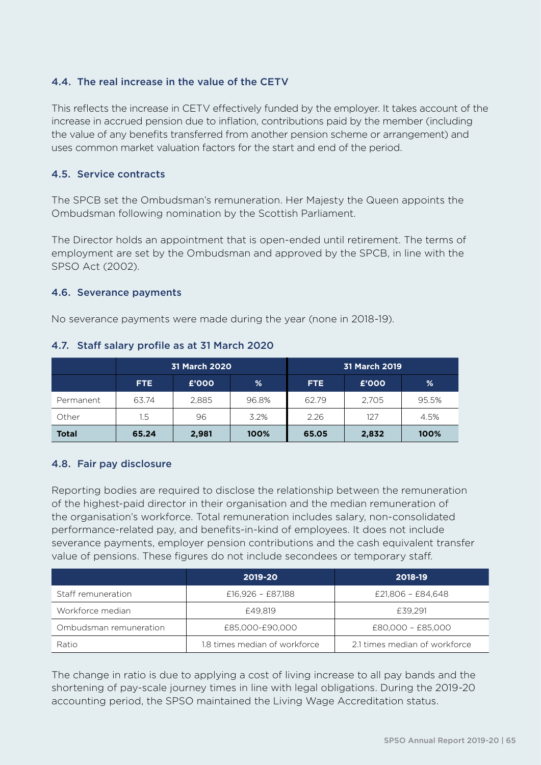## 4.4. The real increase in the value of the CETV

This reflects the increase in CETV effectively funded by the employer. It takes account of the increase in accrued pension due to inflation, contributions paid by the member (including the value of any benefits transferred from another pension scheme or arrangement) and uses common market valuation factors for the start and end of the period.

## 4.5. Service contracts

The SPCB set the Ombudsman's remuneration. Her Majesty the Queen appoints the Ombudsman following nomination by the Scottish Parliament.

The Director holds an appointment that is open-ended until retirement. The terms of employment are set by the Ombudsman and approved by the SPCB, in line with the SPSO Act (2002).

#### 4.6. Severance payments

No severance payments were made during the year (none in 2018-19).

|              | <b>31 March 2020</b> |       | 31 March 2019 |       |       |       |
|--------------|----------------------|-------|---------------|-------|-------|-------|
|              | FTE.                 | £'000 | %             | FTE.  | £'000 | %     |
| Permanent    | 63.74                | 2.885 | 96.8%         | 62.79 | 2.705 | 95.5% |
| Other        | 1.5                  | 96    | 3.2%          | 2.26  | 127   | 4.5%  |
| <b>Total</b> | 65.24                | 2,981 | 100%          | 65.05 | 2,832 | 100%  |

#### 4.7. Staff salary profile as at 31 March 2020

## 4.8. Fair pay disclosure

Reporting bodies are required to disclose the relationship between the remuneration of the highest-paid director in their organisation and the median remuneration of the organisation's workforce. Total remuneration includes salary, non-consolidated performance-related pay, and benefits-in-kind of employees. It does not include severance payments, employer pension contributions and the cash equivalent transfer value of pensions. These figures do not include secondees or temporary staff.

|                        | 2019-20                       | 2018-19                       |
|------------------------|-------------------------------|-------------------------------|
| Staff remuneration     | £16,926 - £87,188             | £21,806 - £84,648             |
| Workforce median       | £49.819                       | £39.291                       |
| Ombudsman remuneration | £85,000-£90,000               | £80,000 - £85,000             |
| Ratio                  | 1.8 times median of workforce | 2.1 times median of workforce |

The change in ratio is due to applying a cost of living increase to all pay bands and the shortening of pay-scale journey times in line with legal obligations. During the 2019-20 accounting period, the SPSO maintained the Living Wage Accreditation status.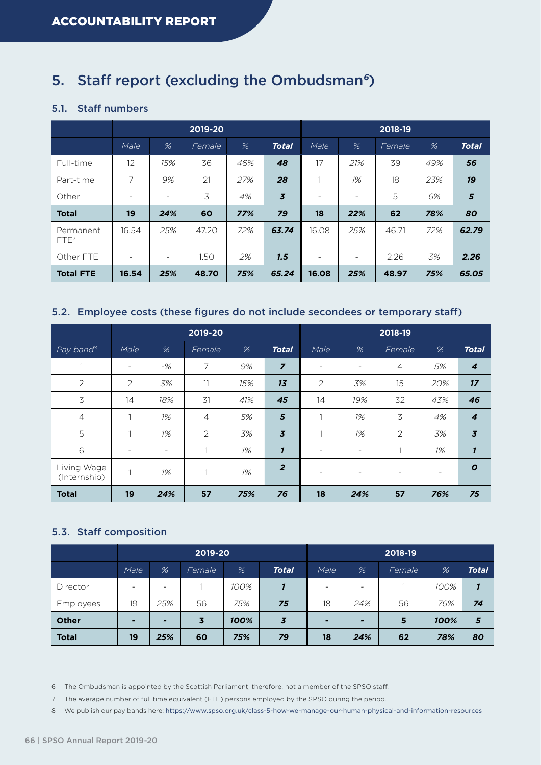## 5. Staff report (excluding the Ombudsman*6*)

### 5.1. Staff numbers

|                               | 2019-20 |                          |        |     | 2018-19        |       |                          |        |     |              |
|-------------------------------|---------|--------------------------|--------|-----|----------------|-------|--------------------------|--------|-----|--------------|
|                               | Male    | %                        | Female | %   | <b>Total</b>   | Male  | %                        | Female | %   | <b>Total</b> |
| Full-time                     | 12      | 15%                      | 36     | 46% | 48             | 17    | 21%                      | 39     | 49% | 56           |
| Part-time                     | 7       | 9%                       | 21     | 27% | 28             |       | 1%                       | 18     | 23% | 19           |
| Other                         |         | -                        | 3      | 4%  | $\overline{3}$ |       | $\overline{\phantom{0}}$ | 5      | 6%  | ${\bf 5}$    |
| <b>Total</b>                  | 19      | 24%                      | 60     | 77% | 79             | 18    | 22%                      | 62     | 78% | 80           |
| Permanent<br>FTE <sup>7</sup> | 16.54   | 25%                      | 47.20  | 72% | 63.74          | 16.08 | 25%                      | 46.71  | 72% | 62.79        |
| Other FTE                     |         | $\overline{\phantom{0}}$ | 1.50   | 2%  | 1.5            |       |                          | 2.26   | 3%  | 2.26         |
| <b>Total FTE</b>              | 16.54   | 25%                      | 48.70  | 75% | 65.24          | 16.08 | 25%                      | 48.97  | 75% | 65,05        |

#### 5.2. Employee costs (these figures do not include secondees or temporary staff)

|                             | 2019-20                  |                          |                |     |                |      |                          | 2018-19        |     |                  |
|-----------------------------|--------------------------|--------------------------|----------------|-----|----------------|------|--------------------------|----------------|-----|------------------|
| $Pay$ band $^8$             | Male                     | %                        | Female         | %   | <b>Total</b>   | Male | %                        | Female         | %   | <b>Total</b>     |
|                             | $\overline{\phantom{a}}$ | $-$ %                    | 7              | 9%  | $\overline{z}$ |      | $\overline{\phantom{a}}$ | $\overline{4}$ | 5%  | 4                |
| $\overline{2}$              | $\overline{2}$           | 3%                       | 11             | 15% | 13             | 2    | 3%                       | 15             | 20% | 17               |
| 3                           | 14                       | 18%                      | 31             | 41% | 45             | 14   | 19%                      | 32             | 43% | 46               |
| $\overline{4}$              |                          | 1%                       | $\overline{4}$ | 5%  | 5              |      | 1%                       | $\mathcal{Z}$  | 4%  | 4                |
| 5                           |                          | 1%                       | $\overline{2}$ | 3%  | $\overline{3}$ |      | 1%                       | $\overline{2}$ | 3%  | $\overline{3}$   |
| $\,$ 6                      | $\overline{\phantom{0}}$ | $\overline{\phantom{a}}$ |                | 1%  | $\mathbf{I}$   |      | $\overline{\phantom{a}}$ | 1              | 1%  | $\mathbf{1}$     |
| Living Wage<br>(Internship) | h                        | 1%                       |                | 1%  | $\overline{2}$ |      | ۰                        |                |     | $\boldsymbol{o}$ |
| <b>Total</b>                | 19                       | 24%                      | 57             | 75% | 76             | 18   | 24%                      | 57             | 76% | 75               |

## 5.3. Staff composition

|              | 2019-20                  |                          |        |      |                         | 2018-19 |                          |        |      |              |
|--------------|--------------------------|--------------------------|--------|------|-------------------------|---------|--------------------------|--------|------|--------------|
|              | Male                     | %                        | Female | %    | <b>Total</b>            | Male    | %                        | Female | %    | <b>Total</b> |
| Director     | $\overline{\phantom{a}}$ | $\overline{\phantom{0}}$ |        | 100% |                         | $\sim$  | $\overline{\phantom{0}}$ |        | 100% |              |
| Employees    | 19                       | 25%                      | 56     | 75%  | 75                      | 18      | 24%                      | 56     | 76%  | 74           |
| <b>Other</b> | $\blacksquare$           | $\overline{ }$           | 3      | 100% | $\overline{\mathbf{3}}$ | ٠       | $\qquad \qquad$          | 5      | 100% | 5            |
| <b>Total</b> | 19                       | 25%                      | 60     | 75%  | 79                      | 18      | 24%                      | 62     | 78%  | 80           |

6 The Ombudsman is appointed by the Scottish Parliament, therefore, not a member of the SPSO staff.

7 The average number of full time equivalent (FTE) persons employed by the SPSO during the period.

8 We publish our pay bands here: <https://www.spso.org.uk/class-5-how-we-manage-our-human-physical-and-information-resources>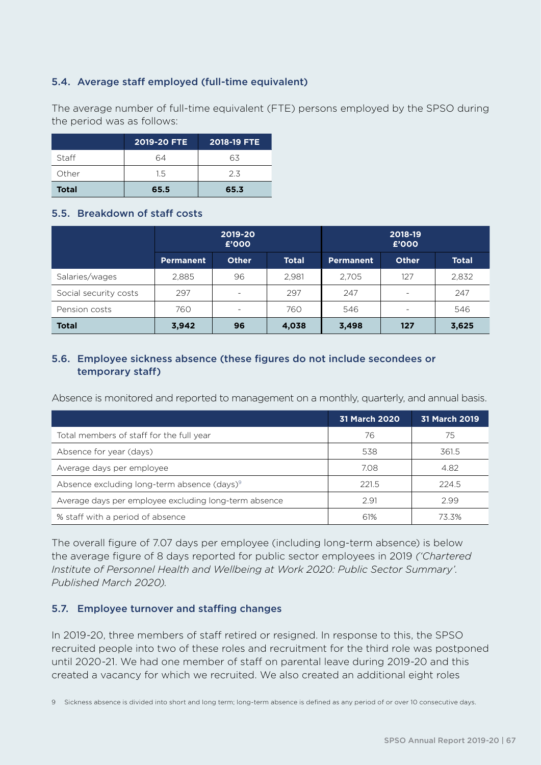## 5.4. Average staff employed (full-time equivalent)

The average number of full-time equivalent (FTE) persons employed by the SPSO during the period was as follows:

|              | 2019-20 FTE | 2018-19 FTE |
|--------------|-------------|-------------|
| Staff        | 64          | 63          |
| Other        | 1.5         | 23          |
| <b>Total</b> | 65.5        | 65.3        |

#### 5.5. Breakdown of staff costs

|                       |                  | 2019-20<br>£'000         |              | 2018-19<br>£'000 |                          |              |  |
|-----------------------|------------------|--------------------------|--------------|------------------|--------------------------|--------------|--|
|                       | <b>Permanent</b> | <b>Other</b>             | <b>Total</b> | <b>Permanent</b> | <b>Other</b>             | <b>Total</b> |  |
| Salaries/wages        | 2,885            | 96                       | 2,981        | 2,705            | 127                      | 2,832        |  |
| Social security costs | 297              |                          | 297          | 247              | $\overline{\phantom{a}}$ | 247          |  |
| Pension costs         | 760              | $\overline{\phantom{0}}$ | 760          | 546              | $\overline{\phantom{a}}$ | 546          |  |
| <b>Total</b>          | 3,942            | 96                       | 4,038        | 3,498            | 127                      | 3,625        |  |

## 5.6. Employee sickness absence (these figures do not include secondees or temporary staff)

Absence is monitored and reported to management on a monthly, quarterly, and annual basis.

|                                                         | <b>31 March 2020</b> | 31 March 2019 |
|---------------------------------------------------------|----------------------|---------------|
| Total members of staff for the full year                | 76                   | 75            |
| Absence for year (days)                                 | 538                  | 361.5         |
| Average days per employee                               | 7.08                 | 4.82          |
| Absence excluding long-term absence (days) <sup>9</sup> | 221.5                | 224.5         |
| Average days per employee excluding long-term absence   | 2.91                 | 2.99          |
| % staff with a period of absence                        | 61%                  | 73.3%         |

The overall figure of 7.07 days per employee (including long-term absence) is below the average figure of 8 days reported for public sector employees in 2019 *('Chartered Institute of Personnel Health and Wellbeing at Work 2020: Public Sector Summary'. Published March 2020).*

## 5.7. Employee turnover and staffing changes

In 2019-20, three members of staff retired or resigned. In response to this, the SPSO recruited people into two of these roles and recruitment for the third role was postponed until 2020-21. We had one member of staff on parental leave during 2019-20 and this created a vacancy for which we recruited. We also created an additional eight roles

9 Sickness absence is divided into short and long term; long-term absence is defined as any period of or over 10 consecutive days.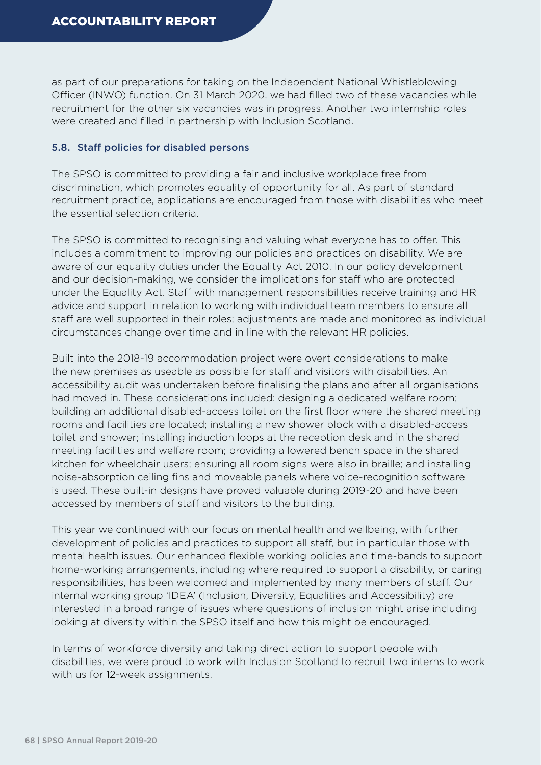as part of our preparations for taking on the Independent National Whistleblowing Officer (INWO) function. On 31 March 2020, we had filled two of these vacancies while recruitment for the other six vacancies was in progress. Another two internship roles were created and filled in partnership with Inclusion Scotland.

#### 5.8. Staff policies for disabled persons

The SPSO is committed to providing a fair and inclusive workplace free from discrimination, which promotes equality of opportunity for all. As part of standard recruitment practice, applications are encouraged from those with disabilities who meet the essential selection criteria.

The SPSO is committed to recognising and valuing what everyone has to offer. This includes a commitment to improving our policies and practices on disability. We are aware of our equality duties under the Equality Act 2010. In our policy development and our decision-making, we consider the implications for staff who are protected under the Equality Act. Staff with management responsibilities receive training and HR advice and support in relation to working with individual team members to ensure all staff are well supported in their roles; adjustments are made and monitored as individual circumstances change over time and in line with the relevant HR policies.

Built into the 2018-19 accommodation project were overt considerations to make the new premises as useable as possible for staff and visitors with disabilities. An accessibility audit was undertaken before finalising the plans and after all organisations had moved in. These considerations included: designing a dedicated welfare room; building an additional disabled-access toilet on the first floor where the shared meeting rooms and facilities are located; installing a new shower block with a disabled-access toilet and shower; installing induction loops at the reception desk and in the shared meeting facilities and welfare room; providing a lowered bench space in the shared kitchen for wheelchair users; ensuring all room signs were also in braille; and installing noise-absorption ceiling fins and moveable panels where voice-recognition software is used. These built-in designs have proved valuable during 2019-20 and have been accessed by members of staff and visitors to the building.

This year we continued with our focus on mental health and wellbeing, with further development of policies and practices to support all staff, but in particular those with mental health issues. Our enhanced flexible working policies and time-bands to support home-working arrangements, including where required to support a disability, or caring responsibilities, has been welcomed and implemented by many members of staff. Our internal working group 'IDEA' (Inclusion, Diversity, Equalities and Accessibility) are interested in a broad range of issues where questions of inclusion might arise including looking at diversity within the SPSO itself and how this might be encouraged.

In terms of workforce diversity and taking direct action to support people with disabilities, we were proud to work with Inclusion Scotland to recruit two interns to work with us for 12-week assignments.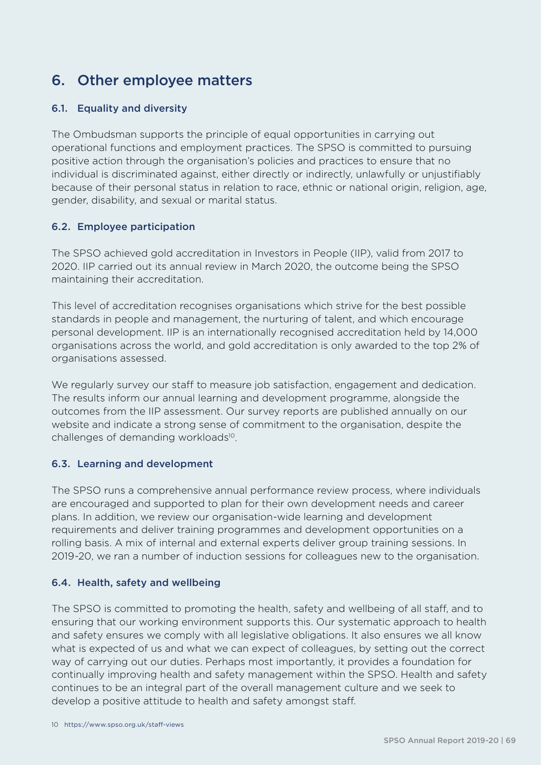## 6. Other employee matters

## 6.1. Equality and diversity

The Ombudsman supports the principle of equal opportunities in carrying out operational functions and employment practices. The SPSO is committed to pursuing positive action through the organisation's policies and practices to ensure that no individual is discriminated against, either directly or indirectly, unlawfully or unjustifiably because of their personal status in relation to race, ethnic or national origin, religion, age, gender, disability, and sexual or marital status.

## 6.2. Employee participation

The SPSO achieved gold accreditation in Investors in People (IIP), valid from 2017 to 2020. IIP carried out its annual review in March 2020, the outcome being the SPSO maintaining their accreditation.

This level of accreditation recognises organisations which strive for the best possible standards in people and management, the nurturing of talent, and which encourage personal development. IIP is an internationally recognised accreditation held by 14,000 organisations across the world, and gold accreditation is only awarded to the top 2% of organisations assessed.

We regularly survey our staff to measure job satisfaction, engagement and dedication. The results inform our annual learning and development programme, alongside the outcomes from the IIP assessment. Our survey reports are published annually on our website and indicate a strong sense of commitment to the organisation, despite the challenges of demanding workloads<sup>10</sup>.

## 6.3. Learning and development

The SPSO runs a comprehensive annual performance review process, where individuals are encouraged and supported to plan for their own development needs and career plans. In addition, we review our organisation-wide learning and development requirements and deliver training programmes and development opportunities on a rolling basis. A mix of internal and external experts deliver group training sessions. In 2019-20, we ran a number of induction sessions for colleagues new to the organisation.

## 6.4. Health, safety and wellbeing

The SPSO is committed to promoting the health, safety and wellbeing of all staff, and to ensuring that our working environment supports this. Our systematic approach to health and safety ensures we comply with all legislative obligations. It also ensures we all know what is expected of us and what we can expect of colleagues, by setting out the correct way of carrying out our duties. Perhaps most importantly, it provides a foundation for continually improving health and safety management within the SPSO. Health and safety continues to be an integral part of the overall management culture and we seek to develop a positive attitude to health and safety amongst staff.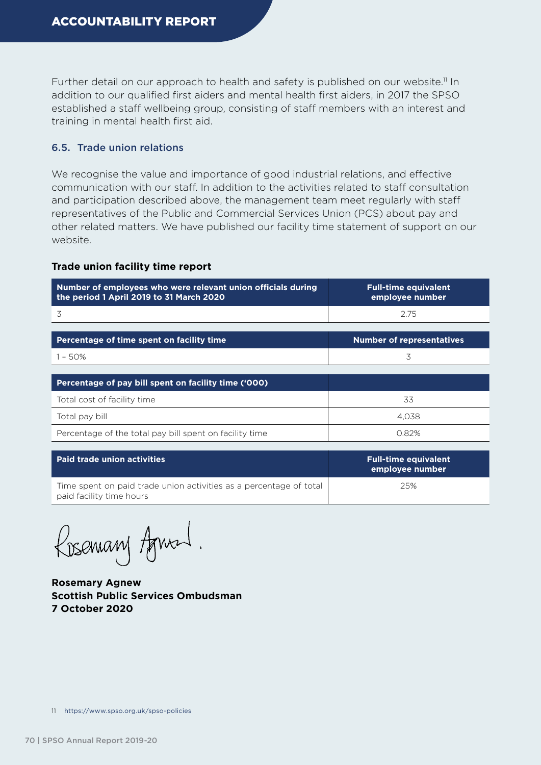Further detail on our approach to health and safety is published on our website.<sup>11</sup> In addition to our qualified first aiders and mental health first aiders, in 2017 the SPSO established a staff wellbeing group, consisting of staff members with an interest and training in mental health first aid.

### 6.5. Trade union relations

We recognise the value and importance of good industrial relations, and effective communication with our staff. In addition to the activities related to staff consultation and participation described above, the management team meet regularly with staff representatives of the Public and Commercial Services Union (PCS) about pay and other related matters. We have published our facility time statement of support on our website.

#### **Trade union facility time report**

| Number of employees who were relevant union officials during<br>the period 1 April 2019 to 31 March 2020 | <b>Full-time equivalent</b><br>employee number |
|----------------------------------------------------------------------------------------------------------|------------------------------------------------|
| 3                                                                                                        | 2.75                                           |
|                                                                                                          |                                                |
| Percentage of time spent on facility time                                                                | <b>Number of representatives</b>               |
| $1 - 50%$                                                                                                | 3                                              |
|                                                                                                          |                                                |
| Percentage of pay bill spent on facility time ('000)                                                     |                                                |
| Total cost of facility time                                                                              | 33                                             |
| Total pay bill                                                                                           | 4.038                                          |
| Percentage of the total pay bill spent on facility time                                                  | 0.82%                                          |

| Paid trade union activities                                                                    | <b>Full-time equivalent</b><br>employee number |
|------------------------------------------------------------------------------------------------|------------------------------------------------|
| Time spent on paid trade union activities as a percentage of total<br>paid facility time hours | 25%                                            |

Rosemary Agnal.

**Rosemary Agnew Scottish Public Services Ombudsman 7 October 2020**

<sup>11</sup> <https://www.spso.org.uk/spso-policies>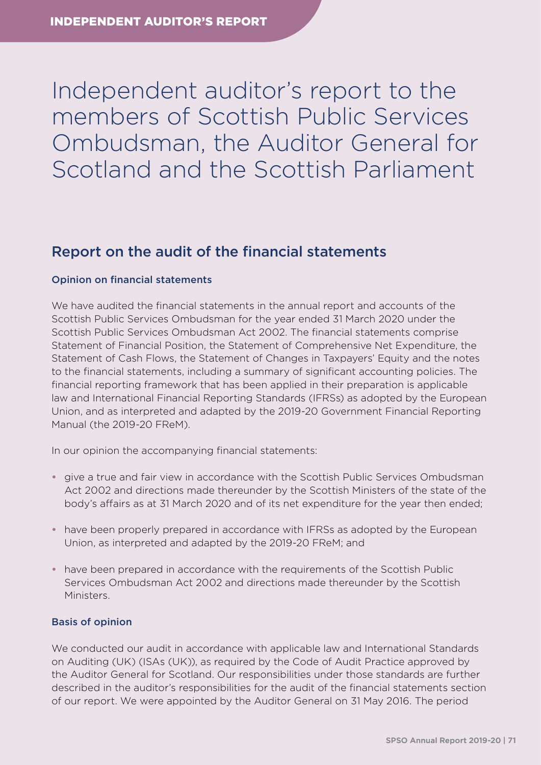## Independent auditor's report to the members of Scottish Public Services Ombudsman, the Auditor General for Scotland and the Scottish Parliament

## Report on the audit of the financial statements

#### Opinion on financial statements

We have audited the financial statements in the annual report and accounts of the Scottish Public Services Ombudsman for the year ended 31 March 2020 under the Scottish Public Services Ombudsman Act 2002. The financial statements comprise Statement of Financial Position, the Statement of Comprehensive Net Expenditure, the Statement of Cash Flows, the Statement of Changes in Taxpayers' Equity and the notes to the financial statements, including a summary of significant accounting policies. The financial reporting framework that has been applied in their preparation is applicable law and International Financial Reporting Standards (IFRSs) as adopted by the European Union, and as interpreted and adapted by the 2019-20 Government Financial Reporting Manual (the 2019-20 FReM).

In our opinion the accompanying financial statements:

- **•** give a true and fair view in accordance with the Scottish Public Services Ombudsman Act 2002 and directions made thereunder by the Scottish Ministers of the state of the body's affairs as at 31 March 2020 and of its net expenditure for the year then ended;
- **•** have been properly prepared in accordance with IFRSs as adopted by the European Union, as interpreted and adapted by the 2019-20 FReM; and
- **•** have been prepared in accordance with the requirements of the Scottish Public Services Ombudsman Act 2002 and directions made thereunder by the Scottish Ministers.

#### Basis of opinion

We conducted our audit in accordance with applicable law and International Standards on Auditing (UK) (ISAs (UK)), as required by the [Code of Audit Practice](http://www.audit-scotland.gov.uk/uploads/docs/report/2016/code_audit_practice_16.pdf) approved by the Auditor General for Scotland. Our responsibilities under those standards are further described in the auditor's responsibilities for the audit of the financial statements section of our report. We were appointed by the Auditor General on 31 May 2016. The period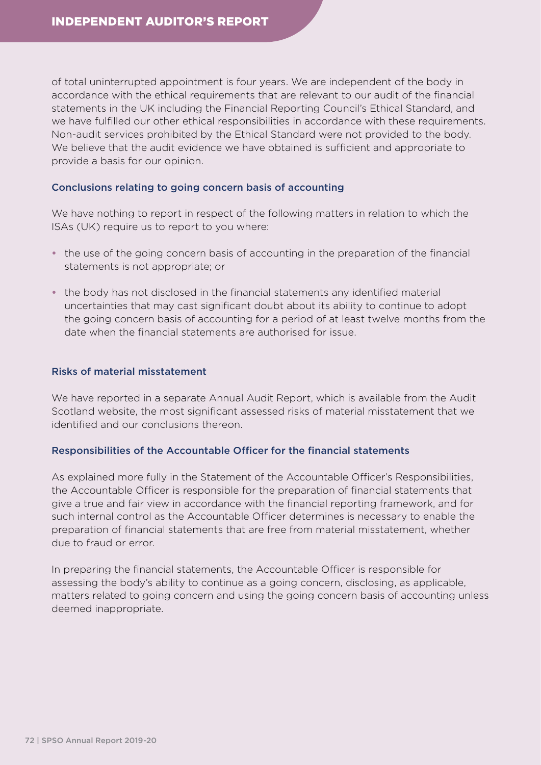of total uninterrupted appointment is four years. We are independent of the body in accordance with the ethical requirements that are relevant to our audit of the financial statements in the UK including the Financial Reporting Council's Ethical Standard, and we have fulfilled our other ethical responsibilities in accordance with these requirements. Non-audit services prohibited by the Ethical Standard were not provided to the body. We believe that the audit evidence we have obtained is sufficient and appropriate to provide a basis for our opinion.

#### Conclusions relating to going concern basis of accounting

We have nothing to report in respect of the following matters in relation to which the ISAs (UK) require us to report to you where:

- the use of the going concern basis of accounting in the preparation of the financial statements is not appropriate; or
- **•** the body has not disclosed in the financial statements any identified material uncertainties that may cast significant doubt about its ability to continue to adopt the going concern basis of accounting for a period of at least twelve months from the date when the financial statements are authorised for issue.

#### Risks of material misstatement

We have reported in a separate Annual Audit Report, which is available from the [Audit](http://www.audit-scotland.gov.uk/our-work/annual-audits)  [Scotland website](http://www.audit-scotland.gov.uk/our-work/annual-audits), the most significant assessed risks of material misstatement that we identified and our conclusions thereon.

#### Responsibilities of the Accountable Officer for the financial statements

As explained more fully in the Statement of the Accountable Officer's Responsibilities, the Accountable Officer is responsible for the preparation of financial statements that give a true and fair view in accordance with the financial reporting framework, and for such internal control as the Accountable Officer determines is necessary to enable the preparation of financial statements that are free from material misstatement, whether due to fraud or error.

In preparing the financial statements, the Accountable Officer is responsible for assessing the body's ability to continue as a going concern, disclosing, as applicable, matters related to going concern and using the going concern basis of accounting unless deemed inappropriate.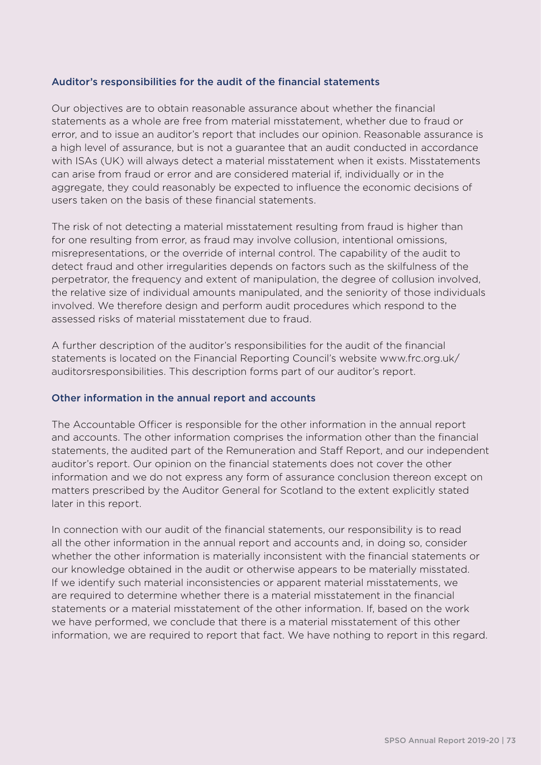#### Auditor's responsibilities for the audit of the financial statements

Our objectives are to obtain reasonable assurance about whether the financial statements as a whole are free from material misstatement, whether due to fraud or error, and to issue an auditor's report that includes our opinion. Reasonable assurance is a high level of assurance, but is not a guarantee that an audit conducted in accordance with ISAs (UK) will always detect a material misstatement when it exists. Misstatements can arise from fraud or error and are considered material if, individually or in the aggregate, they could reasonably be expected to influence the economic decisions of users taken on the basis of these financial statements.

The risk of not detecting a material misstatement resulting from fraud is higher than for one resulting from error, as fraud may involve collusion, intentional omissions, misrepresentations, or the override of internal control. The capability of the audit to detect fraud and other irregularities depends on factors such as the skilfulness of the perpetrator, the frequency and extent of manipulation, the degree of collusion involved, the relative size of individual amounts manipulated, and the seniority of those individuals involved. We therefore design and perform audit procedures which respond to the assessed risks of material misstatement due to fraud.

A further description of the auditor's responsibilities for the audit of the financial statements is located on the Financial Reporting Council's website [www.frc.org.uk/](https://www.frc.org.uk/Our-Work/Audit-and-Actuarial-Regulation/Audit-and-assurance/Standards-and-guidance/Standards-and-guidance-for-auditors/Auditors-responsibilities-for-audit/Description-of-auditors-responsibilities-for-audit.aspx) [auditorsresponsibilities](https://www.frc.org.uk/Our-Work/Audit-and-Actuarial-Regulation/Audit-and-assurance/Standards-and-guidance/Standards-and-guidance-for-auditors/Auditors-responsibilities-for-audit/Description-of-auditors-responsibilities-for-audit.aspx). This description forms part of our auditor's report.

#### Other information in the annual report and accounts

The Accountable Officer is responsible for the other information in the annual report and accounts. The other information comprises the information other than the financial statements, the audited part of the Remuneration and Staff Report, and our independent auditor's report. Our opinion on the financial statements does not cover the other information and we do not express any form of assurance conclusion thereon except on matters prescribed by the Auditor General for Scotland to the extent explicitly stated later in this report.

In connection with our audit of the financial statements, our responsibility is to read all the other information in the annual report and accounts and, in doing so, consider whether the other information is materially inconsistent with the financial statements or our knowledge obtained in the audit or otherwise appears to be materially misstated. If we identify such material inconsistencies or apparent material misstatements, we are required to determine whether there is a material misstatement in the financial statements or a material misstatement of the other information. If, based on the work we have performed, we conclude that there is a material misstatement of this other information, we are required to report that fact. We have nothing to report in this regard.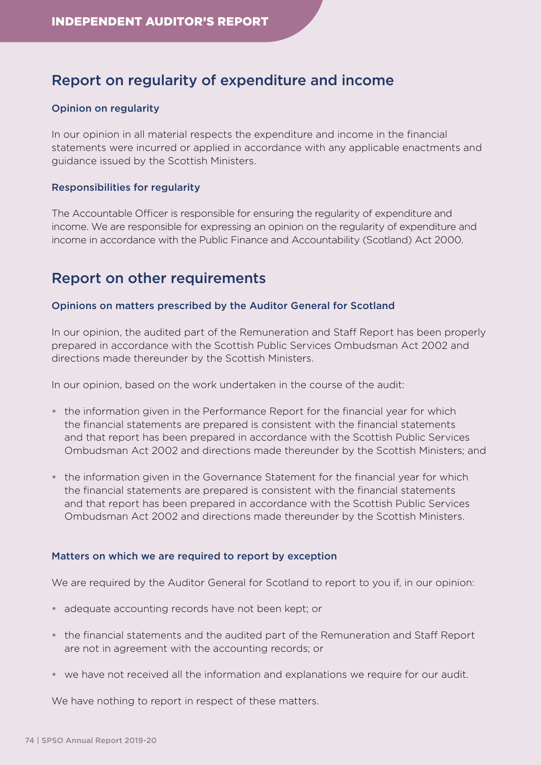## Report on regularity of expenditure and income

#### Opinion on regularity

In our opinion in all material respects the expenditure and income in the financial statements were incurred or applied in accordance with any applicable enactments and guidance issued by the Scottish Ministers.

#### Responsibilities for regularity

The Accountable Officer is responsible for ensuring the regularity of expenditure and income. We are responsible for expressing an opinion on the regularity of expenditure and income in accordance with the Public Finance and Accountability (Scotland) Act 2000.

## Report on other requirements

#### Opinions on matters prescribed by the Auditor General for Scotland

In our opinion, the audited part of the Remuneration and Staff Report has been properly prepared in accordance with the Scottish Public Services Ombudsman Act 2002 and directions made thereunder by the Scottish Ministers.

In our opinion, based on the work undertaken in the course of the audit:

- **•** the information given in the Performance Report for the financial year for which the financial statements are prepared is consistent with the financial statements and that report has been prepared in accordance with the Scottish Public Services Ombudsman Act 2002 and directions made thereunder by the Scottish Ministers; and
- **•** the information given in the Governance Statement for the financial year for which the financial statements are prepared is consistent with the financial statements and that report has been prepared in accordance with the Scottish Public Services Ombudsman Act 2002 and directions made thereunder by the Scottish Ministers.

#### Matters on which we are required to report by exception

We are required by the Auditor General for Scotland to report to you if, in our opinion:

- **•** adequate accounting records have not been kept; or
- **•** the financial statements and the audited part of the Remuneration and Staff Report are not in agreement with the accounting records; or
- **•** we have not received all the information and explanations we require for our audit.

We have nothing to report in respect of these matters.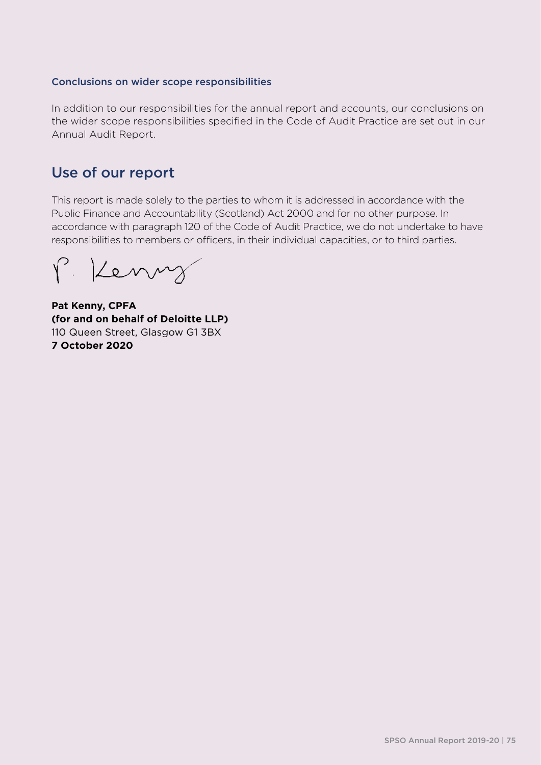#### Conclusions on wider scope responsibilities

In addition to our responsibilities for the annual report and accounts, our conclusions on the wider scope responsibilities specified in the Code of Audit Practice are set out in our Annual Audit Report.

## Use of our report

This report is made solely to the parties to whom it is addressed in accordance with the Public Finance and Accountability (Scotland) Act 2000 and for no other purpose. In accordance with paragraph 120 of the Code of Audit Practice, we do not undertake to have responsibilities to members or officers, in their individual capacities, or to third parties.

P. Kenny

**Pat Kenny, CPFA (for and on behalf of Deloitte LLP)** 110 Queen Street, Glasgow G1 3BX **7 October 2020**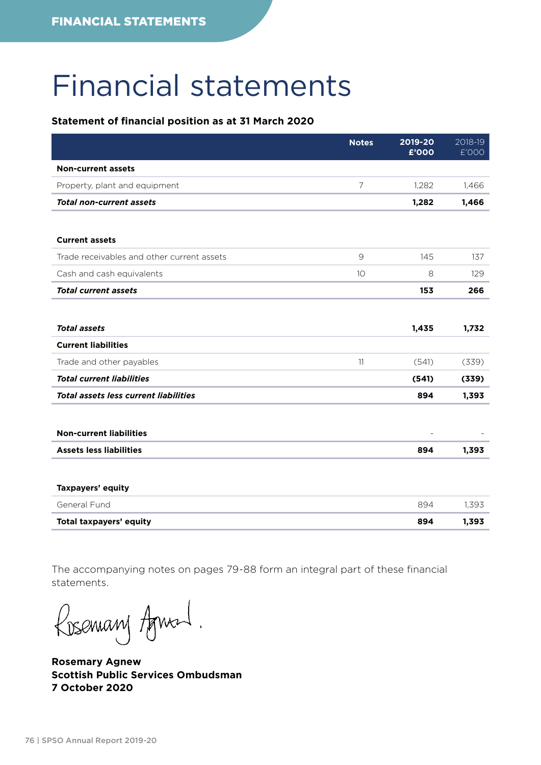## Financial statements

#### **Statement of financial position as at 31 March 2020**

|                                              | <b>Notes</b>  | 2019-20<br>£'000 | 2018-19<br>£'000 |
|----------------------------------------------|---------------|------------------|------------------|
| <b>Non-current assets</b>                    |               |                  |                  |
| Property, plant and equipment                | 7             | 1,282            | 1,466            |
| <b>Total non-current assets</b>              |               | 1,282            | 1,466            |
|                                              |               |                  |                  |
| <b>Current assets</b>                        |               |                  |                  |
| Trade receivables and other current assets   | $\mathcal{G}$ | 145              | 137              |
| Cash and cash equivalents                    | 10            | $\,8\,$          | 129              |
| <b>Total current assets</b>                  |               | 153              | 266              |
|                                              |               |                  |                  |
| <b>Total assets</b>                          |               | 1,435            | 1,732            |
| <b>Current liabilities</b>                   |               |                  |                  |
| Trade and other payables                     | 11            | (541)            | (339)            |
| <b>Total current liabilities</b>             |               | (541)            | (339)            |
| <b>Total assets less current liabilities</b> |               | 894              | 1,393            |
|                                              |               |                  |                  |
| <b>Non-current liabilities</b>               |               |                  |                  |
| <b>Assets less liabilities</b>               |               | 894              | 1,393            |
|                                              |               |                  |                  |
| Taxpayers' equity                            |               |                  |                  |
| General Fund                                 |               | 894              | 1,393            |
| Total taxpayers' equity                      |               | 894              | 1,393            |

The accompanying notes on pages 79-88 form an integral part of these financial statements.

Rosemary Agneed.

**Rosemary Agnew Scottish Public Services Ombudsman 7 October 2020**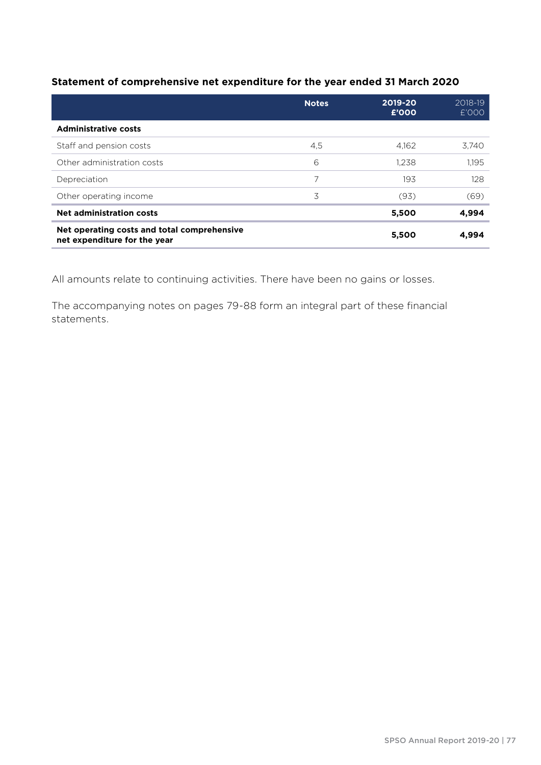#### **Statement of comprehensive net expenditure for the year ended 31 March 2020**

|                                                                             | <b>Notes</b> | 2019-20<br>£'000 | 2018-19<br>£'000 |
|-----------------------------------------------------------------------------|--------------|------------------|------------------|
| <b>Administrative costs</b>                                                 |              |                  |                  |
| Staff and pension costs                                                     | 4,5          | 4.162            | 3.740            |
| Other administration costs                                                  | 6            | 1.238            | 1.195            |
| Depreciation                                                                | 7            | 193              | 128              |
| Other operating income                                                      | 3            | (93)             | (69)             |
| <b>Net administration costs</b>                                             |              | 5,500            | 4,994            |
| Net operating costs and total comprehensive<br>net expenditure for the year |              | 5,500            | 4,994            |

All amounts relate to continuing activities. There have been no gains or losses.

The accompanying notes on pages 79-88 form an integral part of these financial statements.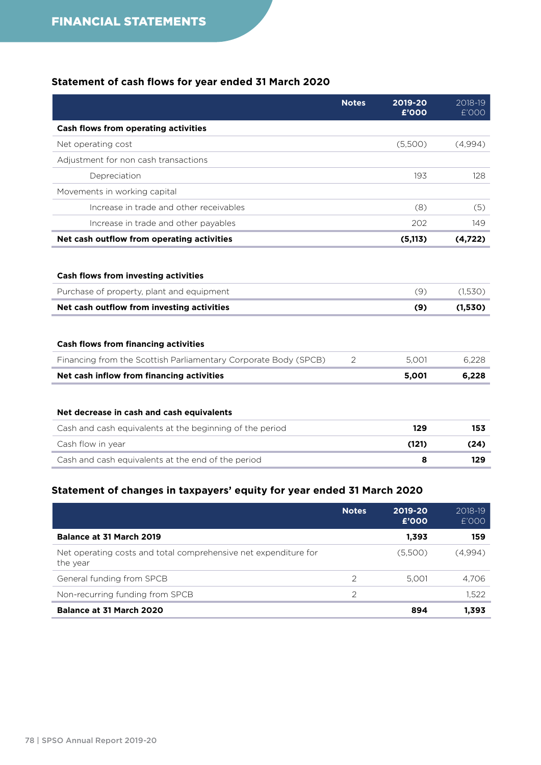#### **Statement of cash flows for year ended 31 March 2020**

|                                                                                                                                        | <b>Notes</b> | 2019-20<br>£'000 | 2018-19<br>£'000   |
|----------------------------------------------------------------------------------------------------------------------------------------|--------------|------------------|--------------------|
| Cash flows from operating activities                                                                                                   |              |                  |                    |
| Net operating cost                                                                                                                     |              | (5,500)          | (4.994)            |
| Adjustment for non cash transactions                                                                                                   |              |                  |                    |
| Depreciation                                                                                                                           |              | 193              | 128                |
| Movements in working capital                                                                                                           |              |                  |                    |
| Increase in trade and other receivables                                                                                                |              | (8)              | (5)                |
| Increase in trade and other payables                                                                                                   |              | 202              | 149                |
| Net cash outflow from operating activities                                                                                             |              | (5, 113)         | (4, 722)           |
| <b>Cash flows from investing activities</b><br>Purchase of property, plant and equipment<br>Net cash outflow from investing activities |              | (9)<br>(9)       | (1,530)<br>(1,530) |
| <b>Cash flows from financing activities</b>                                                                                            |              |                  |                    |
| Financing from the Scottish Parliamentary Corporate Body (SPCB)                                                                        | 2            | 5,001            | 6,228              |
| Net cash inflow from financing activities                                                                                              |              | 5,001            | 6,228              |
| Net decrease in cash and cash equivalents                                                                                              |              |                  |                    |
| Cash and cash equivalents at the beginning of the period                                                                               |              | 129              | 153                |
| Cash flow in year                                                                                                                      |              | (121)            | (24)               |
| Cash and cash equivalents at the end of the period                                                                                     |              | 8                | 129                |

#### **Statement of changes in taxpayers' equity for year ended 31 March 2020**

|                                                                             | <b>Notes</b>  | 2019-20<br>£'000 | 2018-19<br>£'000 |
|-----------------------------------------------------------------------------|---------------|------------------|------------------|
| <b>Balance at 31 March 2019</b>                                             |               | 1,393            | 159              |
| Net operating costs and total comprehensive net expenditure for<br>the year |               | (5,500)          | (4,994)          |
| General funding from SPCB                                                   | $\mathcal{P}$ | 5.001            | 4.706            |
| Non-recurring funding from SPCB                                             | $\mathcal{D}$ |                  | 1,522            |
| Balance at 31 March 2020                                                    |               | 894              | 1,393            |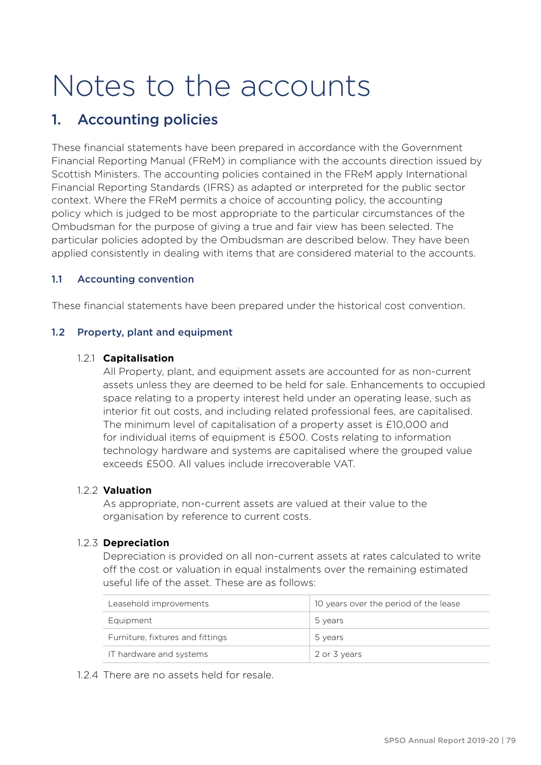# Notes to the accounts

## 1. Accounting policies

These financial statements have been prepared in accordance with the Government Financial Reporting Manual (FReM) in compliance with the accounts direction issued by Scottish Ministers. The accounting policies contained in the FReM apply International Financial Reporting Standards (IFRS) as adapted or interpreted for the public sector context. Where the FReM permits a choice of accounting policy, the accounting policy which is judged to be most appropriate to the particular circumstances of the Ombudsman for the purpose of giving a true and fair view has been selected. The particular policies adopted by the Ombudsman are described below. They have been applied consistently in dealing with items that are considered material to the accounts.

#### 1.1 Accounting convention

These financial statements have been prepared under the historical cost convention.

#### 1.2 Property, plant and equipment

#### 1.2.1 **Capitalisation**

All Property, plant, and equipment assets are accounted for as non-current assets unless they are deemed to be held for sale. Enhancements to occupied space relating to a property interest held under an operating lease, such as interior fit out costs, and including related professional fees, are capitalised. The minimum level of capitalisation of a property asset is £10,000 and for individual items of equipment is £500. Costs relating to information technology hardware and systems are capitalised where the grouped value exceeds £500. All values include irrecoverable VAT.

#### 1.2.2 **Valuation**

As appropriate, non-current assets are valued at their value to the organisation by reference to current costs.

#### 1.2.3 **Depreciation**

Depreciation is provided on all non-current assets at rates calculated to write off the cost or valuation in equal instalments over the remaining estimated useful life of the asset. These are as follows:

| Leasehold improvements           | 10 years over the period of the lease |
|----------------------------------|---------------------------------------|
| Equipment                        | 5 years                               |
| Furniture, fixtures and fittings | 5 years                               |
| IT hardware and systems          | 2 or 3 years                          |

#### 1.2.4 There are no assets held for resale.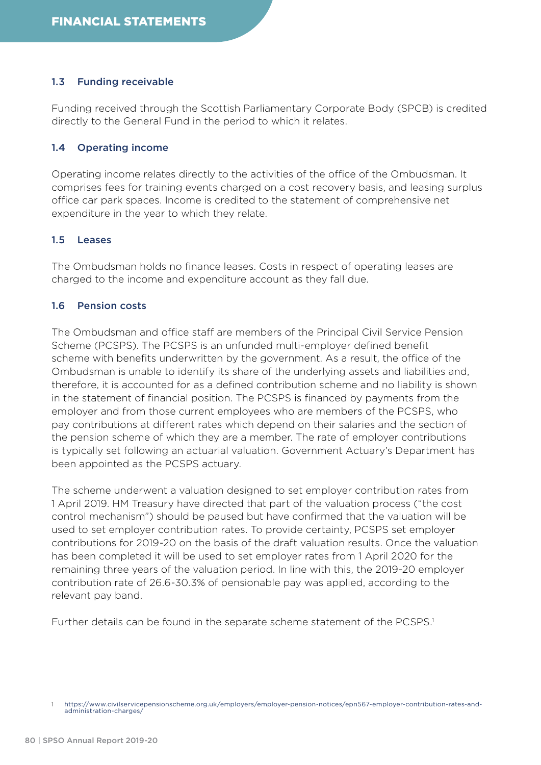#### 1.3 Funding receivable

Funding received through the Scottish Parliamentary Corporate Body (SPCB) is credited directly to the General Fund in the period to which it relates.

#### 1.4 Operating income

Operating income relates directly to the activities of the office of the Ombudsman. It comprises fees for training events charged on a cost recovery basis, and leasing surplus office car park spaces. Income is credited to the statement of comprehensive net expenditure in the year to which they relate.

#### 1.5 Leases

The Ombudsman holds no finance leases. Costs in respect of operating leases are charged to the income and expenditure account as they fall due.

#### 1.6 Pension costs

The Ombudsman and office staff are members of the Principal Civil Service Pension Scheme (PCSPS). The PCSPS is an unfunded multi-employer defined benefit scheme with benefits underwritten by the government. As a result, the office of the Ombudsman is unable to identify its share of the underlying assets and liabilities and, therefore, it is accounted for as a defined contribution scheme and no liability is shown in the statement of financial position. The PCSPS is financed by payments from the employer and from those current employees who are members of the PCSPS, who pay contributions at different rates which depend on their salaries and the section of the pension scheme of which they are a member. The rate of employer contributions is typically set following an actuarial valuation. Government Actuary's Department has been appointed as the PCSPS actuary.

The scheme underwent a valuation designed to set employer contribution rates from 1 April 2019. HM Treasury have directed that part of the valuation process ("the cost control mechanism") should be paused but have confirmed that the valuation will be used to set employer contribution rates. To provide certainty, PCSPS set employer contributions for 2019-20 on the basis of the draft valuation results. Once the valuation has been completed it will be used to set employer rates from 1 April 2020 for the remaining three years of the valuation period. In line with this, the 2019-20 employer contribution rate of 26.6-30.3% of pensionable pay was applied, according to the relevant pay band.

Further details can be found in the separate scheme statement of the PCSPS.1

<sup>1</sup> [https://www.civilservicepensionscheme.org.uk/employers/employer-pension-notices/epn567-employer-contribution-rates-and](https://www.civilservicepensionscheme.org.uk/employers/employer-pension-notices/epn567-employer-contribution-rates-and-administration-charges/)[administration-charges/](https://www.civilservicepensionscheme.org.uk/employers/employer-pension-notices/epn567-employer-contribution-rates-and-administration-charges/)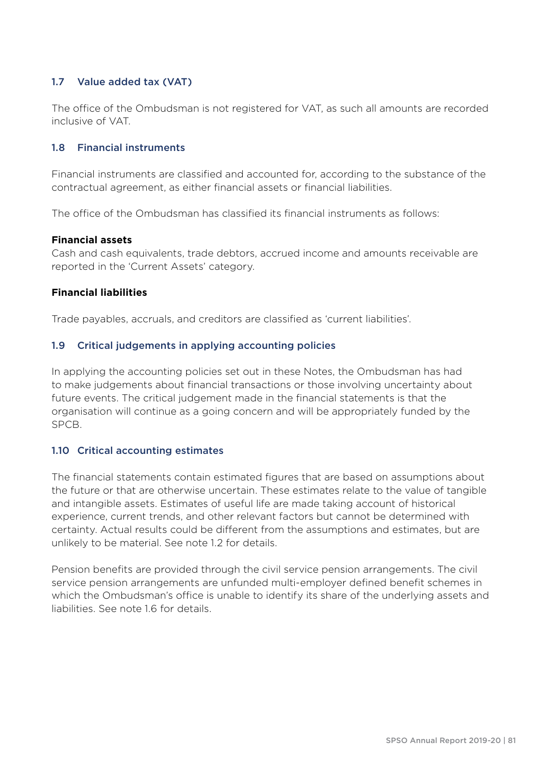#### 1.7 Value added tax (VAT)

The office of the Ombudsman is not registered for VAT, as such all amounts are recorded inclusive of VAT.

#### 1.8 Financial instruments

Financial instruments are classified and accounted for, according to the substance of the contractual agreement, as either financial assets or financial liabilities.

The office of the Ombudsman has classified its financial instruments as follows:

#### **Financial assets**

Cash and cash equivalents, trade debtors, accrued income and amounts receivable are reported in the 'Current Assets' category.

#### **Financial liabilities**

Trade payables, accruals, and creditors are classified as 'current liabilities'.

#### 1.9 Critical judgements in applying accounting policies

In applying the accounting policies set out in these Notes, the Ombudsman has had to make judgements about financial transactions or those involving uncertainty about future events. The critical judgement made in the financial statements is that the organisation will continue as a going concern and will be appropriately funded by the SPCB.

#### 1.10 Critical accounting estimates

The financial statements contain estimated figures that are based on assumptions about the future or that are otherwise uncertain. These estimates relate to the value of tangible and intangible assets. Estimates of useful life are made taking account of historical experience, current trends, and other relevant factors but cannot be determined with certainty. Actual results could be different from the assumptions and estimates, but are unlikely to be material. See note 1.2 for details.

Pension benefits are provided through the civil service pension arrangements. The civil service pension arrangements are unfunded multi-employer defined benefit schemes in which the Ombudsman's office is unable to identify its share of the underlying assets and liabilities. See note 1.6 for details.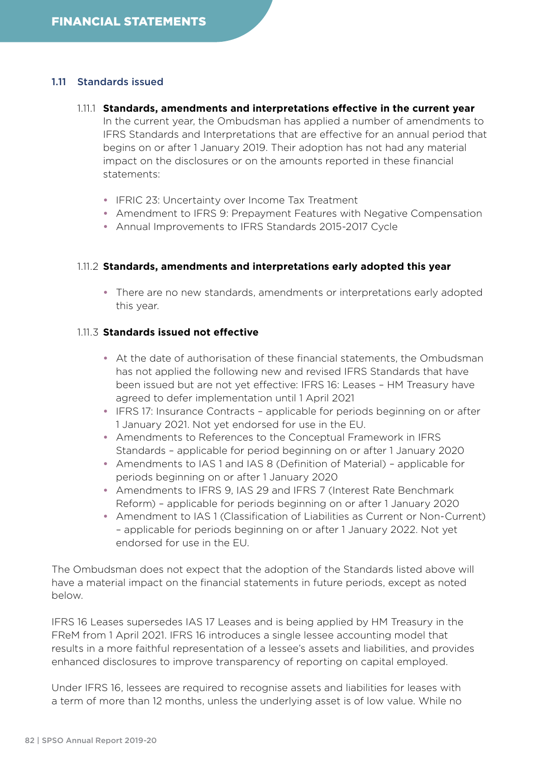#### 1.11 Standards issued

#### 1.11.1 **Standards, amendments and interpretations effective in the current year** In the current year, the Ombudsman has applied a number of amendments to IFRS Standards and Interpretations that are effective for an annual period that begins on or after 1 January 2019. Their adoption has not had any material impact on the disclosures or on the amounts reported in these financial statements:

- **•** IFRIC 23: Uncertainty over Income Tax Treatment
- **•** Amendment to IFRS 9: Prepayment Features with Negative Compensation
- **•** Annual Improvements to IFRS Standards 2015-2017 Cycle

#### 1.11.2 **Standards, amendments and interpretations early adopted this year**

**•** There are no new standards, amendments or interpretations early adopted this year.

#### 1.11.3 **Standards issued not effective**

- **•** At the date of authorisation of these financial statements, the Ombudsman has not applied the following new and revised IFRS Standards that have been issued but are not yet effective: IFRS 16: Leases – HM Treasury have agreed to defer implementation until 1 April 2021
- **•** IFRS 17: Insurance Contracts applicable for periods beginning on or after 1 January 2021. Not yet endorsed for use in the EU.
- **•** Amendments to References to the Conceptual Framework in IFRS Standards – applicable for period beginning on or after 1 January 2020
- **•** Amendments to IAS 1 and IAS 8 (Definition of Material) applicable for periods beginning on or after 1 January 2020
- **•** Amendments to IFRS 9, IAS 29 and IFRS 7 (Interest Rate Benchmark Reform) – applicable for periods beginning on or after 1 January 2020
- **•** Amendment to IAS 1 (Classification of Liabilities as Current or Non-Current) – applicable for periods beginning on or after 1 January 2022. Not yet endorsed for use in the EU.

The Ombudsman does not expect that the adoption of the Standards listed above will have a material impact on the financial statements in future periods, except as noted below.

IFRS 16 Leases supersedes IAS 17 Leases and is being applied by HM Treasury in the FReM from 1 April 2021. IFRS 16 introduces a single lessee accounting model that results in a more faithful representation of a lessee's assets and liabilities, and provides enhanced disclosures to improve transparency of reporting on capital employed.

Under IFRS 16, lessees are required to recognise assets and liabilities for leases with a term of more than 12 months, unless the underlying asset is of low value. While no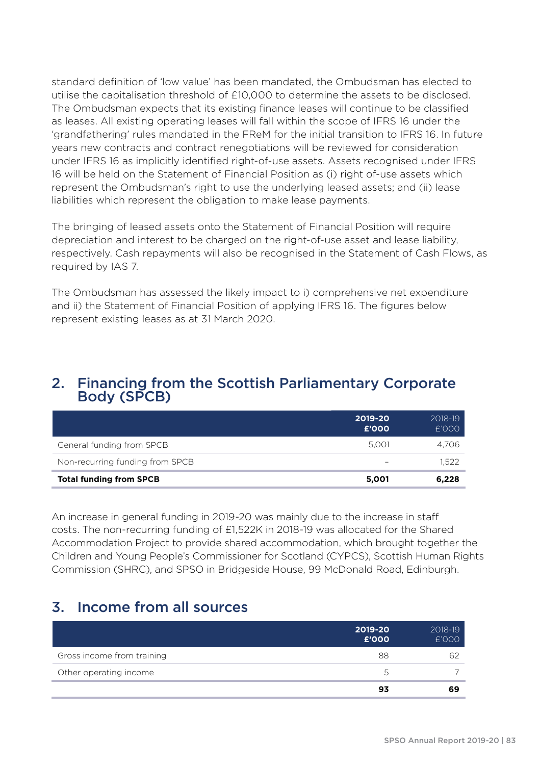standard definition of 'low value' has been mandated, the Ombudsman has elected to utilise the capitalisation threshold of £10,000 to determine the assets to be disclosed. The Ombudsman expects that its existing finance leases will continue to be classified as leases. All existing operating leases will fall within the scope of IFRS 16 under the 'grandfathering' rules mandated in the FReM for the initial transition to IFRS 16. In future years new contracts and contract renegotiations will be reviewed for consideration under IFRS 16 as implicitly identified right-of-use assets. Assets recognised under IFRS 16 will be held on the Statement of Financial Position as (i) right of-use assets which represent the Ombudsman's right to use the underlying leased assets; and (ii) lease liabilities which represent the obligation to make lease payments.

The bringing of leased assets onto the Statement of Financial Position will require depreciation and interest to be charged on the right-of-use asset and lease liability, respectively. Cash repayments will also be recognised in the Statement of Cash Flows, as required by IAS 7.

The Ombudsman has assessed the likely impact to i) comprehensive net expenditure and ii) the Statement of Financial Position of applying IFRS 16. The figures below represent existing leases as at 31 March 2020.

### 2. Financing from the Scottish Parliamentary Corporate Body (SPCB)

|                                 | 2019-20<br>£'000 | 2018-19<br>E'OOO |
|---------------------------------|------------------|------------------|
| General funding from SPCB       | 5.001            | 4.706            |
| Non-recurring funding from SPCB |                  | 1.522            |
| <b>Total funding from SPCB</b>  | 5.001            | 6,228            |

An increase in general funding in 2019-20 was mainly due to the increase in staff costs. The non-recurring funding of £1,522K in 2018-19 was allocated for the Shared Accommodation Project to provide shared accommodation, which brought together the Children and Young People's Commissioner for Scotland (CYPCS), Scottish Human Rights Commission (SHRC), and SPSO in Bridgeside House, 99 McDonald Road, Edinburgh.

## 3. Income from all sources

|                            | 2019-20<br>£'000 | 2018-19<br>£'000 |
|----------------------------|------------------|------------------|
| Gross income from training | 88               | 62               |
| Other operating income     | h.               |                  |
|                            | 93               | 69               |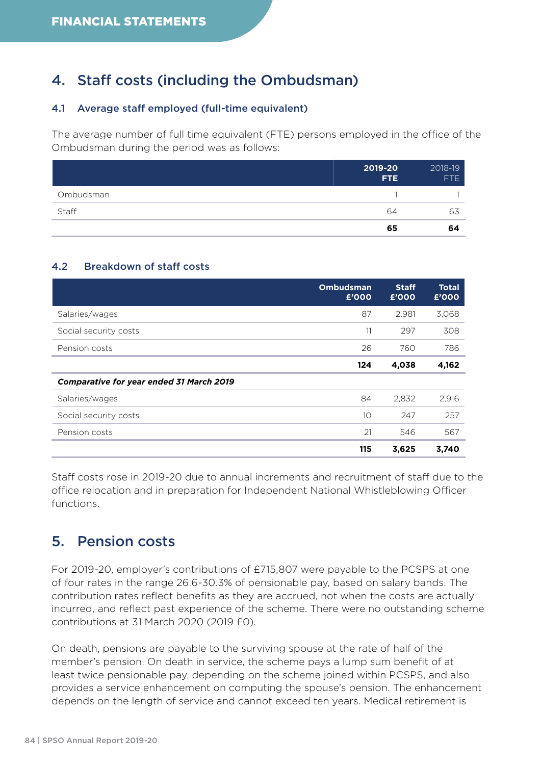## 4. Staff costs (including the Ombudsman)

#### 4.1 Average staff employed (full-time equivalent)

The average number of full time equivalent (FTE) persons employed in the office of the Ombudsman during the period was as follows:

|           | 2019-20<br>FTE. | 2018-19<br>FTE |
|-----------|-----------------|----------------|
| Ombudsman |                 |                |
| Staff     | 64              | 63             |
|           | 65              | 64             |

#### 4.2 Breakdown of staff costs

|                                                 | <b>Ombudsman</b><br>£'000 | <b>Staff</b><br>£'000 | <b>Total</b><br>£'000 |
|-------------------------------------------------|---------------------------|-----------------------|-----------------------|
| Salaries/wages                                  | 87                        | 2.981                 | 3,068                 |
| Social security costs                           | 11                        | 297                   | 308                   |
| Pension costs                                   | 26                        | 760                   | 786                   |
|                                                 | 124                       | 4,038                 | 4,162                 |
| <b>Comparative for year ended 31 March 2019</b> |                           |                       |                       |
| Salaries/wages                                  | 84                        | 2,832                 | 2,916                 |
| Social security costs                           | 10                        | 247                   | 257                   |
| Pension costs                                   | 21                        | 546                   | 567                   |
|                                                 | 115                       | 3,625                 | 3,740                 |

Staff costs rose in 2019-20 due to annual increments and recruitment of staff due to the office relocation and in preparation for Independent National Whistleblowing Officer functions.

## 5. Pension costs

For 2019-20, employer's contributions of £715,807 were payable to the PCSPS at one of four rates in the range 26.6-30.3% of pensionable pay, based on salary bands. The contribution rates reflect benefits as they are accrued, not when the costs are actually incurred, and reflect past experience of the scheme. There were no outstanding scheme contributions at 31 March 2020 (2019 £0).

On death, pensions are payable to the surviving spouse at the rate of half of the member's pension. On death in service, the scheme pays a lump sum benefit of at least twice pensionable pay, depending on the scheme joined within PCSPS, and also provides a service enhancement on computing the spouse's pension. The enhancement depends on the length of service and cannot exceed ten years. Medical retirement is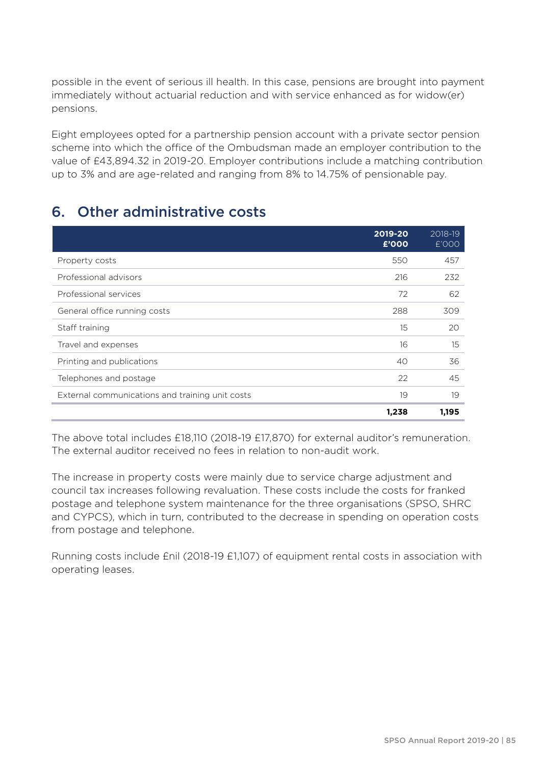possible in the event of serious ill health. In this case, pensions are brought into payment immediately without actuarial reduction and with service enhanced as for widow(er) pensions.

Eight employees opted for a partnership pension account with a private sector pension scheme into which the office of the Ombudsman made an employer contribution to the value of £43,894.32 in 2019-20. Employer contributions include a matching contribution up to 3% and are age-related and ranging from 8% to 14.75% of pensionable pay.

## 6. Other administrative costs

|                                                 | 2019-20<br>£'000 | 2018-19<br>£'000 |
|-------------------------------------------------|------------------|------------------|
| Property costs                                  | 550              | 457              |
| Professional advisors                           | 216              | 232              |
| Professional services                           | 72               | 62               |
| General office running costs                    | 288              | 309              |
| Staff training                                  | 15               | 20               |
| Travel and expenses                             | 16               | 15               |
| Printing and publications                       | 40               | 36               |
| Telephones and postage                          | 22               | 45               |
| External communications and training unit costs | 19               | 19               |
|                                                 | 1,238            | 1,195            |

The above total includes £18,110 (2018-19 £17,870) for external auditor's remuneration. The external auditor received no fees in relation to non-audit work.

The increase in property costs were mainly due to service charge adjustment and council tax increases following revaluation. These costs include the costs for franked postage and telephone system maintenance for the three organisations (SPSO, SHRC and CYPCS), which in turn, contributed to the decrease in spending on operation costs from postage and telephone.

Running costs include £nil (2018-19 £1,107) of equipment rental costs in association with operating leases.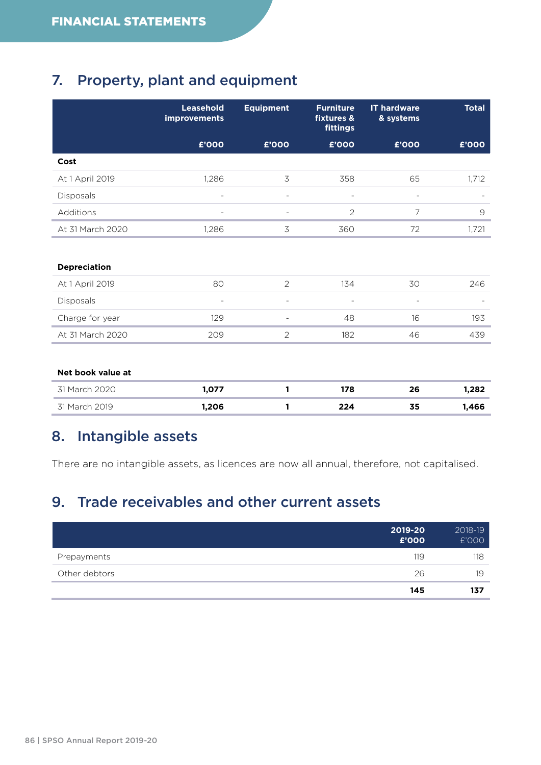## 7. Property, plant and equipment

|                     | Leasehold<br>improvements | <b>Equipment</b>         | <b>Furniture</b><br>fixtures &<br>fittings | <b>IT hardware</b><br>& systems | <b>Total</b>  |
|---------------------|---------------------------|--------------------------|--------------------------------------------|---------------------------------|---------------|
|                     | £'000                     | £'000                    | £'000                                      | £'000                           | £'000         |
| Cost                |                           |                          |                                            |                                 |               |
| At 1 April 2019     | 1,286                     | 3                        | 358                                        | 65                              | 1,712         |
| Disposals           |                           | $\overline{a}$           |                                            | $\overline{a}$                  |               |
| Additions           |                           | $\overline{\phantom{a}}$ | $\overline{2}$                             | 7                               | $\mathcal{Q}$ |
| At 31 March 2020    | 1,286                     | 3                        | 360                                        | 72                              | 1,721         |
|                     |                           |                          |                                            |                                 |               |
| <b>Depreciation</b> |                           |                          |                                            |                                 |               |
| At 1 April 2019     | 80                        | $\overline{2}$           | 134                                        | 30                              | 246           |
| Disposals           | ÷                         | $\overline{\phantom{m}}$ | $\qquad \qquad \blacksquare$               | $\overline{\phantom{a}}$        |               |
| Charge for year     | 129                       | $\overline{\phantom{a}}$ | 48                                         | 16                              | 193           |
| At 31 March 2020    | 209                       | $\overline{2}$           | 182                                        | 46                              | 439           |
|                     |                           |                          |                                            |                                 |               |
| Net book value at   |                           |                          |                                            |                                 |               |
| 31 March 2020       | 1,077                     | 1                        | 178                                        | 26                              | 1,282         |
| 31 March 2019       | 1,206                     | 1                        | 224                                        | 35                              | 1,466         |

## 8. Intangible assets

There are no intangible assets, as licences are now all annual, therefore, not capitalised.

## 9. Trade receivables and other current assets

|               | 2019-20<br>£'000 | 2018-19<br>£'000 |
|---------------|------------------|------------------|
| Prepayments   | 119              | 118              |
| Other debtors | 26               | 19               |
|               | 145              | 137              |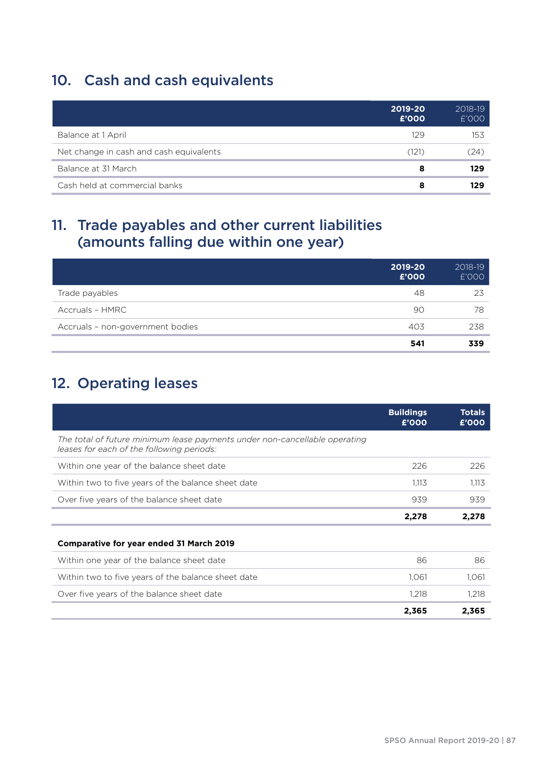## 10. Cash and cash equivalents

|                                         | 2019-20<br>£'000 | 2018-19<br>£'000 |
|-----------------------------------------|------------------|------------------|
| Balance at 1 April                      | 129              | 153              |
| Net change in cash and cash equivalents | (121)            | (24)             |
| Balance at 31 March                     | 8                | 129              |
| Cash held at commercial banks           | 8                | 129              |

## 11. Trade payables and other current liabilities (amounts falling due within one year)

|                                  | 2019-20<br>£'000 | 2018-19<br>£'000 |
|----------------------------------|------------------|------------------|
| Trade payables                   | 48               | 23               |
| Accruals - HMRC                  | 90               | 78               |
| Accruals - non-government bodies | 403              | 238              |
|                                  | 541              | 339              |

## 12. Operating leases

|                                                                                                                         | <b>Buildings</b><br>£'000 | <b>Totals</b><br>£'000 |
|-------------------------------------------------------------------------------------------------------------------------|---------------------------|------------------------|
| The total of future minimum lease payments under non-cancellable operating<br>leases for each of the following periods: |                           |                        |
| Within one year of the balance sheet date                                                                               | 226                       | 226                    |
| Within two to five years of the balance sheet date                                                                      | 1.113                     | 1.113                  |
| Over five years of the balance sheet date                                                                               | 939                       | 939                    |
|                                                                                                                         | 2,278                     | 2,278                  |
| <b>Comparative for year ended 31 March 2019</b>                                                                         |                           |                        |
| Within one year of the balance sheet date                                                                               | 86                        | 86                     |
| Within two to five years of the balance sheet date                                                                      | 1.061                     | 1,061                  |
| Over five years of the balance sheet date                                                                               | 1.218                     | 1,218                  |
|                                                                                                                         | 2,365                     | 2,365                  |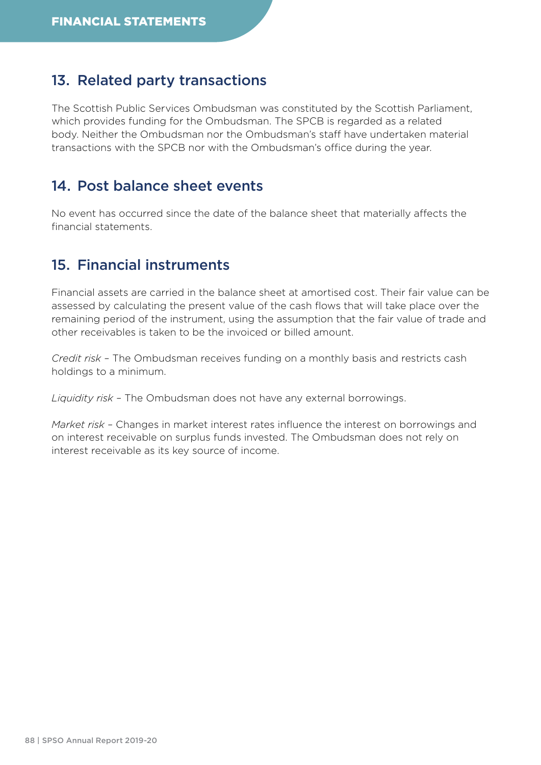## 13. Related party transactions

The Scottish Public Services Ombudsman was constituted by the Scottish Parliament, which provides funding for the Ombudsman. The SPCB is regarded as a related body. Neither the Ombudsman nor the Ombudsman's staff have undertaken material transactions with the SPCB nor with the Ombudsman's office during the year.

### 14. Post balance sheet events

No event has occurred since the date of the balance sheet that materially affects the financial statements.

## 15. Financial instruments

Financial assets are carried in the balance sheet at amortised cost. Their fair value can be assessed by calculating the present value of the cash flows that will take place over the remaining period of the instrument, using the assumption that the fair value of trade and other receivables is taken to be the invoiced or billed amount.

*Credit risk –* The Ombudsman receives funding on a monthly basis and restricts cash holdings to a minimum.

*Liquidity risk –* The Ombudsman does not have any external borrowings.

*Market risk –* Changes in market interest rates influence the interest on borrowings and on interest receivable on surplus funds invested. The Ombudsman does not rely on interest receivable as its key source of income.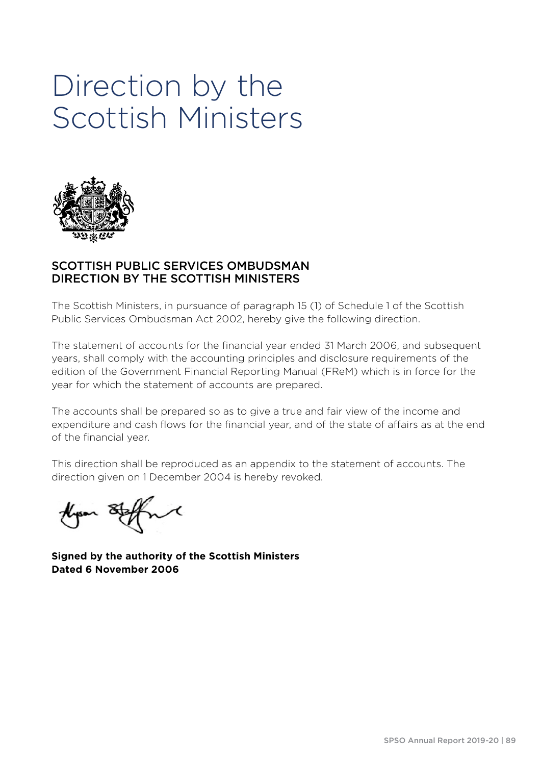## Direction by the Scottish Ministers



#### SCOTTISH PUBLIC SERVICES OMBUDSMAN DIRECTION BY THE SCOTTISH MINISTERS

The Scottish Ministers, in pursuance of paragraph 15 (1) of Schedule 1 of the Scottish Public Services Ombudsman Act 2002, hereby give the following direction.

The statement of accounts for the financial year ended 31 March 2006, and subsequent years, shall comply with the accounting principles and disclosure requirements of the edition of the Government Financial Reporting Manual (FReM) which is in force for the year for which the statement of accounts are prepared.

The accounts shall be prepared so as to give a true and fair view of the income and expenditure and cash flows for the financial year, and of the state of affairs as at the end of the financial year.

This direction shall be reproduced as an appendix to the statement of accounts. The direction given on 1 December 2004 is hereby revoked.

 $\boldsymbol{\mathcal{M}}$ Alyson &

**Signed by the authority of the Scottish Ministers Dated 6 November 2006**